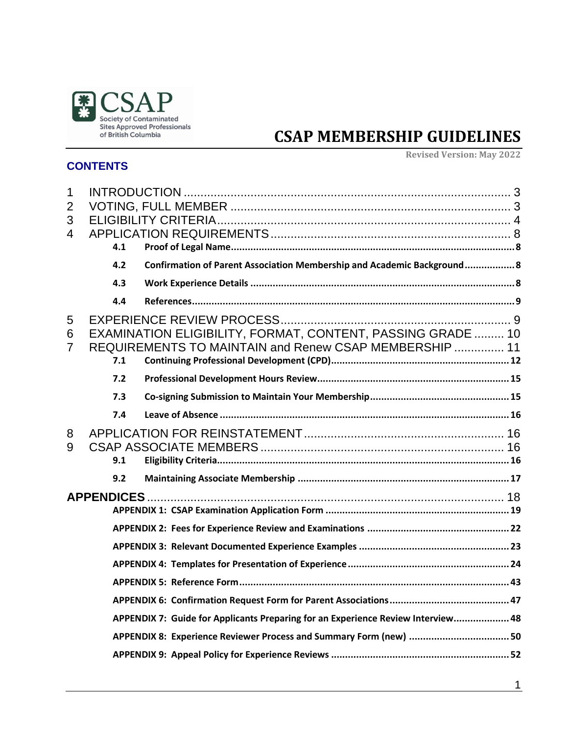

# **CSAP MEMBERSHIP GUIDELINES**

### **CONTENTS**

**Revised Version: May 2022**

| 1<br>$\overline{2}$<br>3<br>$\overline{4}$ | 4.1 |                                                                                                                       |
|--------------------------------------------|-----|-----------------------------------------------------------------------------------------------------------------------|
|                                            | 4.2 | Confirmation of Parent Association Membership and Academic Background 8                                               |
|                                            | 4.3 |                                                                                                                       |
|                                            | 4.4 |                                                                                                                       |
| 5<br>6<br>$\overline{7}$                   | 7.1 | EXAMINATION ELIGIBILITY, FORMAT, CONTENT, PASSING GRADE  10<br>REQUIREMENTS TO MAINTAIN and Renew CSAP MEMBERSHIP  11 |
|                                            | 7.2 |                                                                                                                       |
|                                            | 7.3 |                                                                                                                       |
|                                            | 7.4 |                                                                                                                       |
| 8<br>9                                     | 9.1 |                                                                                                                       |
|                                            | 9.2 |                                                                                                                       |
|                                            |     |                                                                                                                       |
|                                            |     |                                                                                                                       |
|                                            |     |                                                                                                                       |
|                                            |     |                                                                                                                       |
|                                            |     |                                                                                                                       |
|                                            |     |                                                                                                                       |
|                                            |     | APPENDIX 7: Guide for Applicants Preparing for an Experience Review Interview 48                                      |
|                                            |     |                                                                                                                       |
|                                            |     |                                                                                                                       |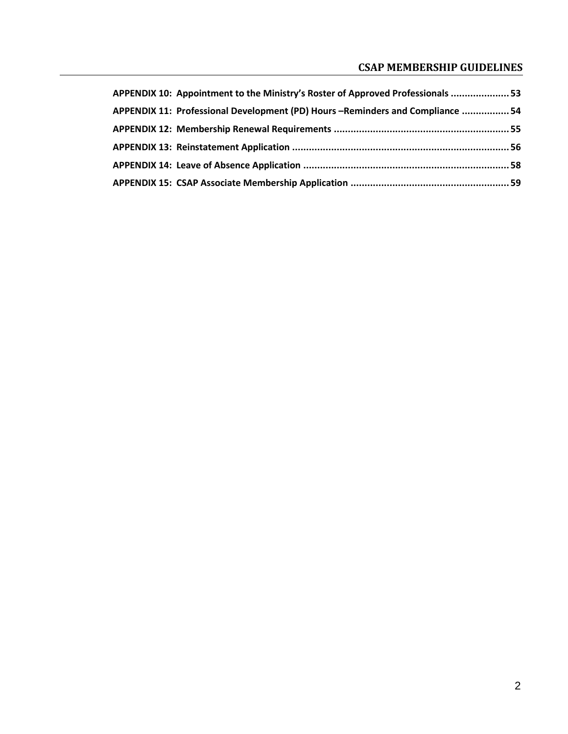### **CSAP MEMBERSHIP GUIDELINES**

| APPENDIX 10: Appointment to the Ministry's Roster of Approved Professionals  53 |  |
|---------------------------------------------------------------------------------|--|
| APPENDIX 11: Professional Development (PD) Hours - Reminders and Compliance  54 |  |
|                                                                                 |  |
|                                                                                 |  |
|                                                                                 |  |
|                                                                                 |  |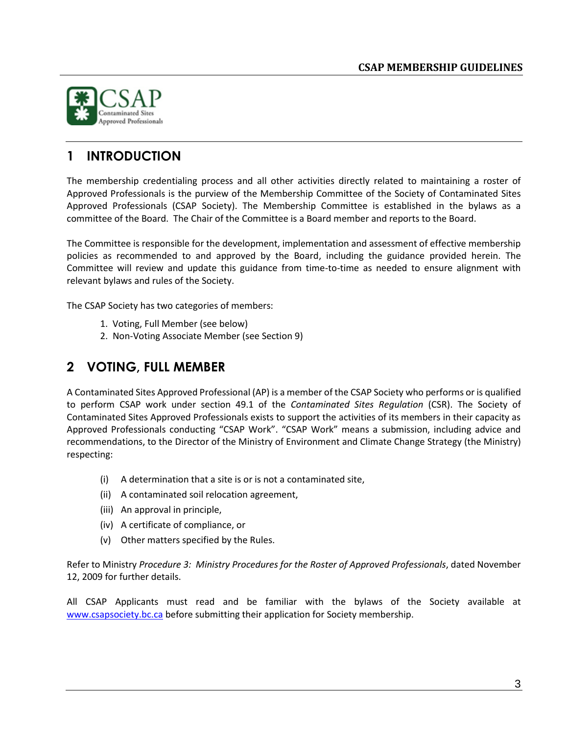

# <span id="page-2-0"></span>**1 INTRODUCTION**

The membership credentialing process and all other activities directly related to maintaining a roster of Approved Professionals is the purview of the Membership Committee of the Society of Contaminated Sites Approved Professionals (CSAP Society). The Membership Committee is established in the bylaws as a committee of the Board. The Chair of the Committee is a Board member and reports to the Board.

The Committee is responsible for the development, implementation and assessment of effective membership policies as recommended to and approved by the Board, including the guidance provided herein. The Committee will review and update this guidance from time-to-time as needed to ensure alignment with relevant bylaws and rules of the Society.

The CSAP Society has two categories of members:

- 1. Voting, Full Member (see below)
- 2. Non-Voting Associate Member (see Section 9)

# <span id="page-2-1"></span>**2 VOTING, FULL MEMBER**

A Contaminated Sites Approved Professional (AP) is a member of the CSAP Society who performs or is qualified to perform CSAP work under section 49.1 of the *Contaminated Sites Regulation* (CSR). The Society of Contaminated Sites Approved Professionals exists to support the activities of its members in their capacity as Approved Professionals conducting "CSAP Work". "CSAP Work" means a submission, including advice and recommendations, to the Director of the Ministry of Environment and Climate Change Strategy (the Ministry) respecting:

- (i) A determination that a site is or is not a contaminated site,
- (ii) A contaminated soil relocation agreement,
- (iii) An approval in principle,
- (iv) A certificate of compliance, or
- (v) Other matters specified by the Rules.

Refer to Ministry Procedure 3: Ministry Procedures for the Roster of Approved Professionals, dated November 12, 2009 for further details.

All CSAP Applicants must read and be familiar with the bylaws of the Society available at [www.csapsociety.bc.ca](http://www.csapsociety.bc.ca/) before submitting their application for Society membership.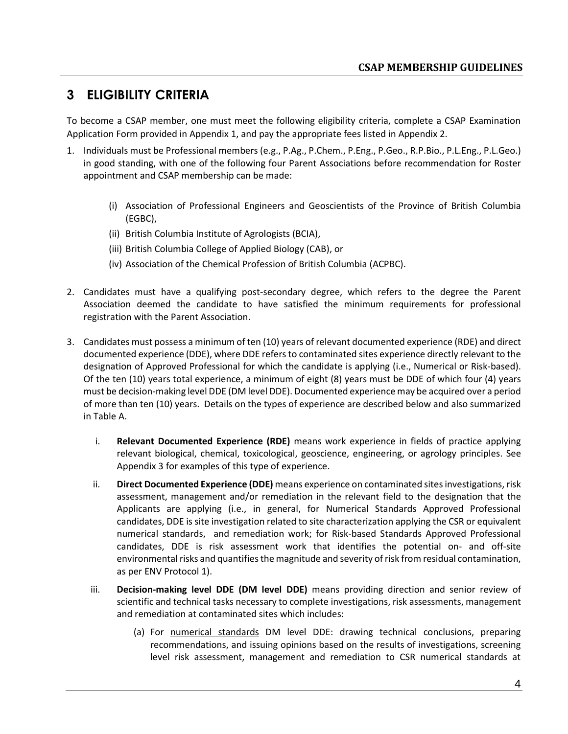# <span id="page-3-0"></span>**3 ELIGIBILITY CRITERIA**

To become a CSAP member, one must meet the following eligibility criteria, complete a CSAP Examination Application Form provided in Appendix 1, and pay the appropriate fees listed in Appendix 2.

- 1. Individuals must be Professional members (e.g., P.Ag., P.Chem., P.Eng., P.Geo., R.P.Bio., P.L.Eng., P.L.Geo.) in good standing, with one of the following four Parent Associations before recommendation for Roster appointment and CSAP membership can be made:
	- (i) Association of Professional Engineers and Geoscientists of the Province of British Columbia (EGBC),
	- (ii) British Columbia Institute of Agrologists (BCIA),
	- (iii) British Columbia College of Applied Biology (CAB), or
	- (iv) Association of the Chemical Profession of British Columbia (ACPBC).
- 2. Candidates must have a qualifying post-secondary degree, which refers to the degree the Parent Association deemed the candidate to have satisfied the minimum requirements for professional registration with the Parent Association.
- 3. Candidates must possess a minimum of ten (10) years of relevant documented experience (RDE) and direct documented experience (DDE), where DDE refers to contaminated sites experience directly relevant to the designation of Approved Professional for which the candidate is applying (i.e., Numerical or Risk-based). Of the ten (10) years total experience, a minimum of eight (8) years must be DDE of which four (4) years must be decision-making level DDE (DM level DDE). Documented experience may be acquired over a period of more than ten (10) years. Details on the types of experience are described below and also summarized in Table A.
	- i. **Relevant Documented Experience (RDE)** means work experience in fields of practice applying relevant biological, chemical, toxicological, geoscience, engineering, or agrology principles. See Appendix 3 for examples of this type of experience.
	- ii. **Direct Documented Experience (DDE)** means experience on contaminated sites investigations, risk assessment, management and/or remediation in the relevant field to the designation that the Applicants are applying (i.e., in general, for Numerical Standards Approved Professional candidates, DDE is site investigation related to site characterization applying the CSR or equivalent numerical standards, and remediation work; for Risk-based Standards Approved Professional candidates, DDE is risk assessment work that identifies the potential on- and off-site environmental risks and quantifies the magnitude and severity of risk from residual contamination, as per ENV Protocol 1).
	- iii. **Decision-making level DDE (DM level DDE)** means providing direction and senior review of scientific and technical tasks necessary to complete investigations, risk assessments, management and remediation at contaminated sites which includes:
		- (a) For numerical standards DM level DDE: drawing technical conclusions, preparing recommendations, and issuing opinions based on the results of investigations, screening level risk assessment, management and remediation to CSR numerical standards at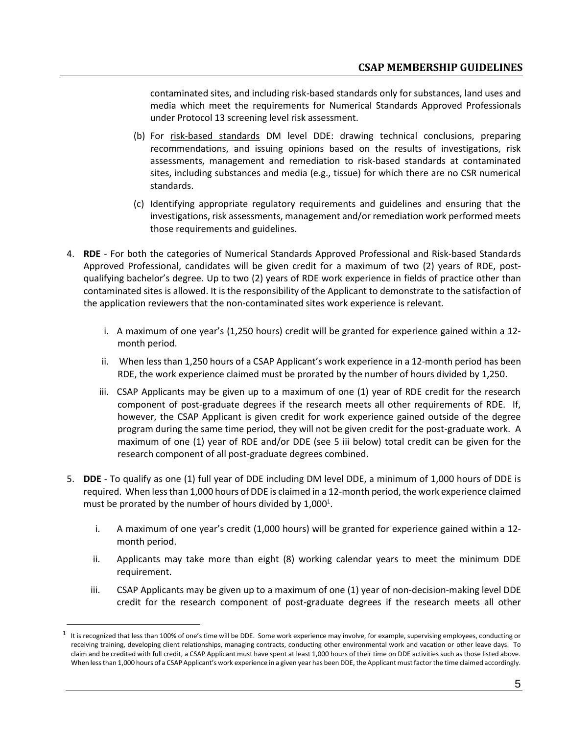contaminated sites, and including risk-based standards only for substances, land uses and media which meet the requirements for Numerical Standards Approved Professionals under Protocol 13 screening level risk assessment.

- (b) For risk-based standards DM level DDE: drawing technical conclusions, preparing recommendations, and issuing opinions based on the results of investigations, risk assessments, management and remediation to risk-based standards at contaminated sites, including substances and media (e.g., tissue) for which there are no CSR numerical standards.
- (c) Identifying appropriate regulatory requirements and guidelines and ensuring that the investigations, risk assessments, management and/or remediation work performed meets those requirements and guidelines.
- 4. **RDE** For both the categories of Numerical Standards Approved Professional and Risk-based Standards Approved Professional, candidates will be given credit for a maximum of two (2) years of RDE, postqualifying bachelor's degree. Up to two (2) years of RDE work experience in fields of practice other than contaminated sites is allowed. It is the responsibility of the Applicant to demonstrate to the satisfaction of the application reviewers that the non-contaminated sites work experience is relevant.
	- i. A maximum of one year's (1,250 hours) credit will be granted for experience gained within a 12 month period.
	- ii. When less than 1,250 hours of a CSAP Applicant's work experience in a 12-month period has been RDE, the work experience claimed must be prorated by the number of hours divided by 1,250.
	- iii. CSAP Applicants may be given up to a maximum of one (1) year of RDE credit for the research component of post-graduate degrees if the research meets all other requirements of RDE. If, however, the CSAP Applicant is given credit for work experience gained outside of the degree program during the same time period, they will not be given credit for the post-graduate work. A maximum of one (1) year of RDE and/or DDE (see 5 iii below) total credit can be given for the research component of all post-graduate degrees combined.
- 5. **DDE** To qualify as one (1) full year of DDE including DM level DDE, a minimum of 1,000 hours of DDE is required. When less than 1,000 hours of DDE is claimed in a 12-month period, the work experience claimed must be prorated by the number of hours divided by  $1,000^1$ .
	- i. A maximum of one year's credit (1,000 hours) will be granted for experience gained within a 12 month period.
	- ii. Applicants may take more than eight (8) working calendar years to meet the minimum DDE requirement.
	- iii. CSAP Applicants may be given up to a maximum of one (1) year of non-decision-making level DDE credit for the research component of post-graduate degrees if the research meets all other

 $1$  It is recognized that less than 100% of one's time will be DDE. Some work experience may involve, for example, supervising employees, conducting or receiving training, developing client relationships, managing contracts, conducting other environmental work and vacation or other leave days. To claim and be credited with full credit, a CSAP Applicant must have spent at least 1,000 hours of their time on DDE activities such as those listed above. When less than 1,000 hours of a CSAP Applicant's work experience in a given year has been DDE, the Applicant must factor the time claimed accordingly.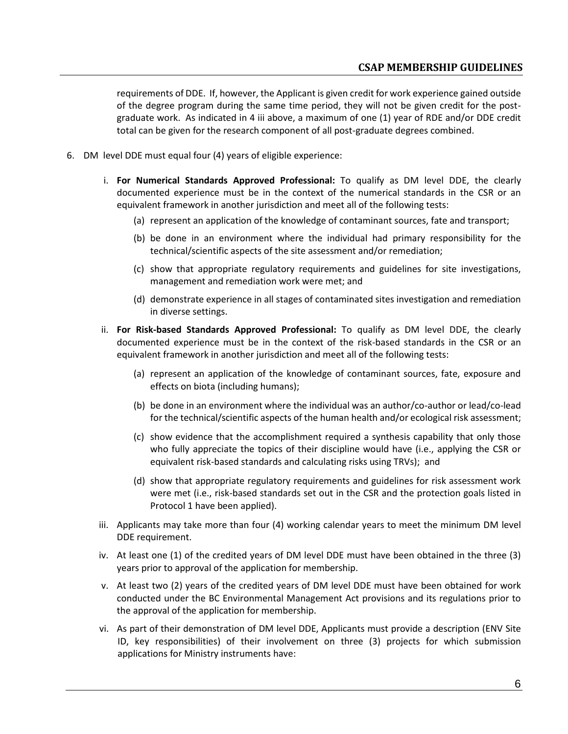requirements of DDE. If, however, the Applicant is given credit for work experience gained outside of the degree program during the same time period, they will not be given credit for the postgraduate work. As indicated in 4 iii above, a maximum of one (1) year of RDE and/or DDE credit total can be given for the research component of all post-graduate degrees combined.

- 6. DM level DDE must equal four (4) years of eligible experience:
	- i. **For Numerical Standards Approved Professional:** To qualify as DM level DDE, the clearly documented experience must be in the context of the numerical standards in the CSR or an equivalent framework in another jurisdiction and meet all of the following tests:
		- (a) represent an application of the knowledge of contaminant sources, fate and transport;
		- (b) be done in an environment where the individual had primary responsibility for the technical/scientific aspects of the site assessment and/or remediation;
		- (c) show that appropriate regulatory requirements and guidelines for site investigations, management and remediation work were met; and
		- (d) demonstrate experience in all stages of contaminated sites investigation and remediation in diverse settings.
	- ii. **For Risk-based Standards Approved Professional:** To qualify as DM level DDE, the clearly documented experience must be in the context of the risk-based standards in the CSR or an equivalent framework in another jurisdiction and meet all of the following tests:
		- (a) represent an application of the knowledge of contaminant sources, fate, exposure and effects on biota (including humans);
		- (b) be done in an environment where the individual was an author/co-author or lead/co-lead for the technical/scientific aspects of the human health and/or ecological risk assessment;
		- (c) show evidence that the accomplishment required a synthesis capability that only those who fully appreciate the topics of their discipline would have (i.e., applying the CSR or equivalent risk-based standards and calculating risks using TRVs); and
		- (d) show that appropriate regulatory requirements and guidelines for risk assessment work were met (i.e., risk-based standards set out in the CSR and the protection goals listed in Protocol 1 have been applied).
	- iii. Applicants may take more than four (4) working calendar years to meet the minimum DM level DDE requirement.
	- iv. At least one (1) of the credited years of DM level DDE must have been obtained in the three (3) years prior to approval of the application for membership.
	- v. At least two (2) years of the credited years of DM level DDE must have been obtained for work conducted under the BC Environmental Management Act provisions and its regulations prior to the approval of the application for membership.
	- vi. As part of their demonstration of DM level DDE, Applicants must provide a description (ENV Site ID, key responsibilities) of their involvement on three (3) projects for which submission applications for Ministry instruments have: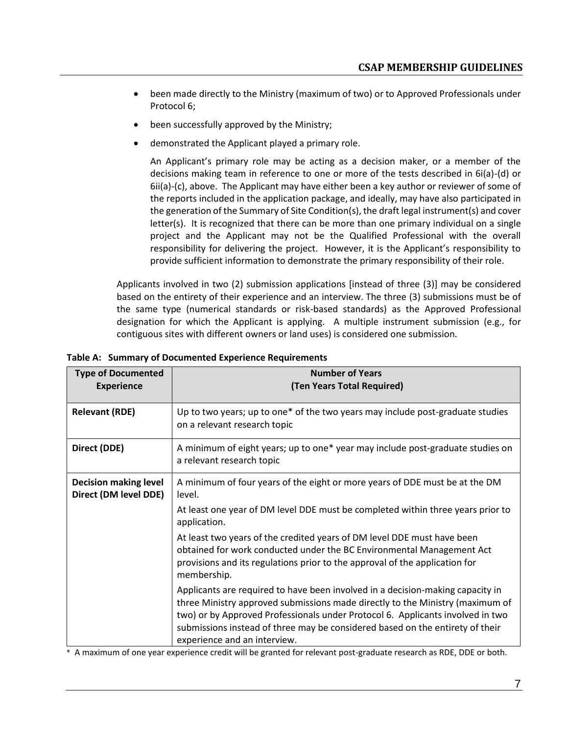- been made directly to the Ministry (maximum of two) or to Approved Professionals under Protocol 6;
- been successfully approved by the Ministry;
- demonstrated the Applicant played a primary role.

An Applicant's primary role may be acting as a decision maker, or a member of the decisions making team in reference to one or more of the tests described in 6i(a)-(d) or 6ii(a)-(c), above. The Applicant may have either been a key author or reviewer of some of the reports included in the application package, and ideally, may have also participated in the generation of the Summary of Site Condition(s), the draft legal instrument(s) and cover letter(s). It is recognized that there can be more than one primary individual on a single project and the Applicant may not be the Qualified Professional with the overall responsibility for delivering the project. However, it is the Applicant's responsibility to provide sufficient information to demonstrate the primary responsibility of their role.

Applicants involved in two (2) submission applications [instead of three (3)] may be considered based on the entirety of their experience and an interview. The three (3) submissions must be of the same type (numerical standards or risk-based standards) as the Approved Professional designation for which the Applicant is applying. A multiple instrument submission (e.g., for contiguous sites with different owners or land uses) is considered one submission.

| <b>Type of Documented</b><br><b>Experience</b>        | <b>Number of Years</b><br>(Ten Years Total Required)                                                                                                                                                                                                                                                                                                               |  |  |  |
|-------------------------------------------------------|--------------------------------------------------------------------------------------------------------------------------------------------------------------------------------------------------------------------------------------------------------------------------------------------------------------------------------------------------------------------|--|--|--|
| <b>Relevant (RDE)</b>                                 | Up to two years; up to one* of the two years may include post-graduate studies<br>on a relevant research topic                                                                                                                                                                                                                                                     |  |  |  |
| Direct (DDE)                                          | A minimum of eight years; up to one* year may include post-graduate studies on<br>a relevant research topic                                                                                                                                                                                                                                                        |  |  |  |
| <b>Decision making level</b><br>Direct (DM level DDE) | A minimum of four years of the eight or more years of DDE must be at the DM<br>level.<br>At least one year of DM level DDE must be completed within three years prior to<br>application.<br>At least two years of the credited years of DM level DDE must have been                                                                                                |  |  |  |
|                                                       | obtained for work conducted under the BC Environmental Management Act<br>provisions and its regulations prior to the approval of the application for<br>membership.                                                                                                                                                                                                |  |  |  |
|                                                       | Applicants are required to have been involved in a decision-making capacity in<br>three Ministry approved submissions made directly to the Ministry (maximum of<br>two) or by Approved Professionals under Protocol 6. Applicants involved in two<br>submissions instead of three may be considered based on the entirety of their<br>experience and an interview. |  |  |  |

**Table A: Summary of Documented Experience Requirements**

\* A maximum of one year experience credit will be granted for relevant post-graduate research as RDE, DDE or both.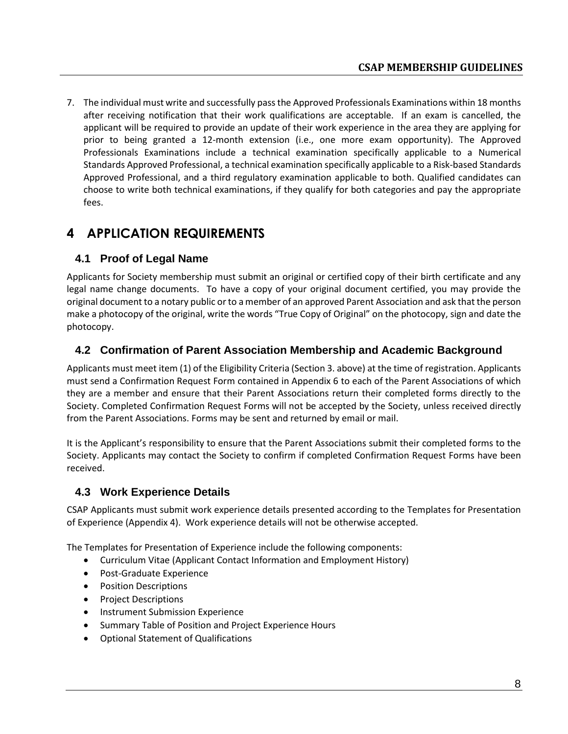7. The individual must write and successfully passthe Approved Professionals Examinations within 18 months after receiving notification that their work qualifications are acceptable. If an exam is cancelled, the applicant will be required to provide an update of their work experience in the area they are applying for prior to being granted a 12-month extension (i.e., one more exam opportunity). The Approved Professionals Examinations include a technical examination specifically applicable to a Numerical Standards Approved Professional, a technical examination specifically applicable to a Risk-based Standards Approved Professional, and a third regulatory examination applicable to both. Qualified candidates can choose to write both technical examinations, if they qualify for both categories and pay the appropriate fees.

# <span id="page-7-0"></span>**4 APPLICATION REQUIREMENTS**

### <span id="page-7-1"></span>**4.1 Proof of Legal Name**

Applicants for Society membership must submit an original or certified copy of their birth certificate and any legal name change documents. To have a copy of your original document certified, you may provide the original document to a notary public or to a member of an approved Parent Association and ask that the person make a photocopy of the original, write the words "True Copy of Original" on the photocopy, sign and date the photocopy.

### <span id="page-7-2"></span>**4.2 Confirmation of Parent Association Membership and Academic Background**

Applicants must meet item (1) of the Eligibility Criteria (Section 3. above) at the time of registration. Applicants must send a Confirmation Request Form contained in Appendix 6 to each of the Parent Associations of which they are a member and ensure that their Parent Associations return their completed forms directly to the Society. Completed Confirmation Request Forms will not be accepted by the Society, unless received directly from the Parent Associations. Forms may be sent and returned by email or mail.

It is the Applicant's responsibility to ensure that the Parent Associations submit their completed forms to the Society. Applicants may contact the Society to confirm if completed Confirmation Request Forms have been received.

### <span id="page-7-3"></span>**4.3 Work Experience Details**

CSAP Applicants must submit work experience details presented according to the Templates for Presentation of Experience (Appendix 4). Work experience details will not be otherwise accepted.

The Templates for Presentation of Experience include the following components:

- Curriculum Vitae (Applicant Contact Information and Employment History)
- Post-Graduate Experience
- Position Descriptions
- Project Descriptions
- Instrument Submission Experience
- Summary Table of Position and Project Experience Hours
- Optional Statement of Qualifications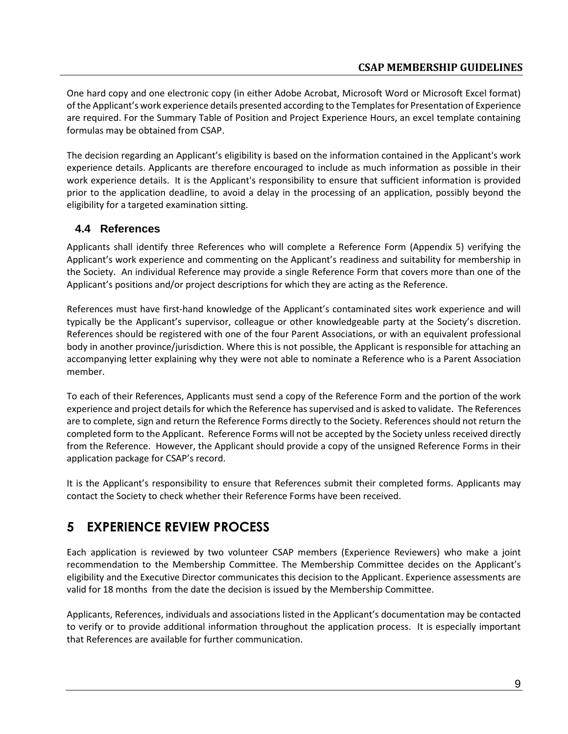One hard copy and one electronic copy (in either Adobe Acrobat, Microsoft Word or Microsoft Excel format) of the Applicant's work experience details presented according to the Templatesfor Presentation of Experience are required. For the Summary Table of Position and Project Experience Hours, an excel template containing formulas may be obtained from CSAP.

The decision regarding an Applicant's eligibility is based on the information contained in the Applicant's work experience details. Applicants are therefore encouraged to include as much information as possible in their work experience details. It is the Applicant's responsibility to ensure that sufficient information is provided prior to the application deadline, to avoid a delay in the processing of an application, possibly beyond the eligibility for a targeted examination sitting.

### <span id="page-8-0"></span>**4.4 References**

Applicants shall identify three References who will complete a Reference Form (Appendix 5) verifying the Applicant's work experience and commenting on the Applicant's readiness and suitability for membership in the Society. An individual Reference may provide a single Reference Form that covers more than one of the Applicant's positions and/or project descriptions for which they are acting as the Reference.

References must have first-hand knowledge of the Applicant's contaminated sites work experience and will typically be the Applicant's supervisor, colleague or other knowledgeable party at the Society's discretion. References should be registered with one of the four Parent Associations, or with an equivalent professional body in another province/jurisdiction. Where this is not possible, the Applicant is responsible for attaching an accompanying letter explaining why they were not able to nominate a Reference who is a Parent Association member.

To each of their References, Applicants must send a copy of the Reference Form and the portion of the work experience and project details for which the Reference has supervised and is asked to validate. The References are to complete, sign and return the Reference Forms directly to the Society. References should not return the completed form to the Applicant. Reference Forms will not be accepted by the Society unless received directly from the Reference. However, the Applicant should provide a copy of the unsigned Reference Forms in their application package for CSAP's record.

It is the Applicant's responsibility to ensure that References submit their completed forms. Applicants may contact the Society to check whether their Reference Forms have been received.

# <span id="page-8-1"></span>**5 EXPERIENCE REVIEW PROCESS**

Each application is reviewed by two volunteer CSAP members (Experience Reviewers) who make a joint recommendation to the Membership Committee. The Membership Committee decides on the Applicant's eligibility and the Executive Director communicates this decision to the Applicant. Experience assessments are valid for 18 months from the date the decision is issued by the Membership Committee.

Applicants, References, individuals and associations listed in the Applicant's documentation may be contacted to verify or to provide additional information throughout the application process. It is especially important that References are available for further communication.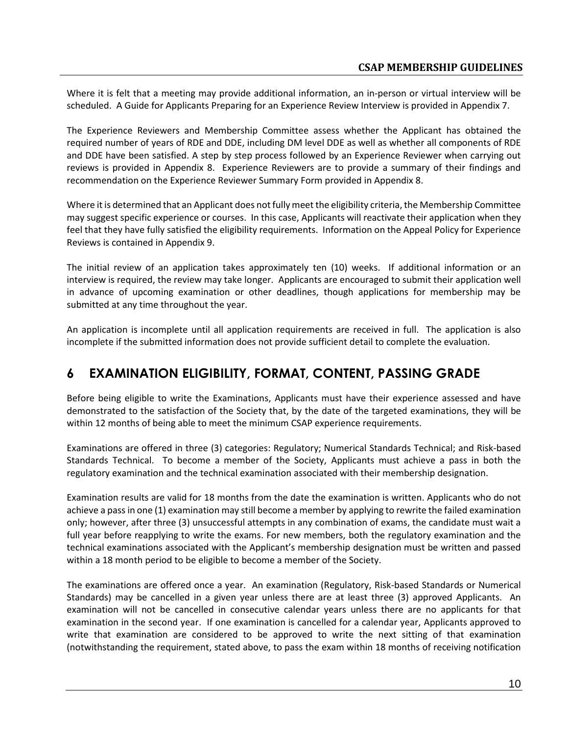Where it is felt that a meeting may provide additional information, an in-person or virtual interview will be scheduled. A Guide for Applicants Preparing for an Experience Review Interview is provided in Appendix 7.

The Experience Reviewers and Membership Committee assess whether the Applicant has obtained the required number of years of RDE and DDE, including DM level DDE as well as whether all components of RDE and DDE have been satisfied. A step by step process followed by an Experience Reviewer when carrying out reviews is provided in Appendix 8. Experience Reviewers are to provide a summary of their findings and recommendation on the Experience Reviewer Summary Form provided in Appendix 8.

Where it is determined that an Applicant does not fully meet the eligibility criteria, the Membership Committee may suggest specific experience or courses. In this case, Applicants will reactivate their application when they feel that they have fully satisfied the eligibility requirements. Information on the Appeal Policy for Experience Reviews is contained in Appendix 9.

The initial review of an application takes approximately ten (10) weeks. If additional information or an interview is required, the review may take longer. Applicants are encouraged to submit their application well in advance of upcoming examination or other deadlines, though applications for membership may be submitted at any time throughout the year.

An application is incomplete until all application requirements are received in full. The application is also incomplete if the submitted information does not provide sufficient detail to complete the evaluation.

# <span id="page-9-0"></span>**6 EXAMINATION ELIGIBILITY, FORMAT, CONTENT, PASSING GRADE**

Before being eligible to write the Examinations, Applicants must have their experience assessed and have demonstrated to the satisfaction of the Society that, by the date of the targeted examinations, they will be within 12 months of being able to meet the minimum CSAP experience requirements.

Examinations are offered in three (3) categories: Regulatory; Numerical Standards Technical; and Risk-based Standards Technical. To become a member of the Society, Applicants must achieve a pass in both the regulatory examination and the technical examination associated with their membership designation.

Examination results are valid for 18 months from the date the examination is written. Applicants who do not achieve a pass in one (1) examination may still become a member by applying to rewrite the failed examination only; however, after three (3) unsuccessful attempts in any combination of exams, the candidate must wait a full year before reapplying to write the exams. For new members, both the regulatory examination and the technical examinations associated with the Applicant's membership designation must be written and passed within a 18 month period to be eligible to become a member of the Society.

The examinations are offered once a year. An examination (Regulatory, Risk-based Standards or Numerical Standards) may be cancelled in a given year unless there are at least three (3) approved Applicants. An examination will not be cancelled in consecutive calendar years unless there are no applicants for that examination in the second year. If one examination is cancelled for a calendar year, Applicants approved to write that examination are considered to be approved to write the next sitting of that examination (notwithstanding the requirement, stated above, to pass the exam within 18 months of receiving notification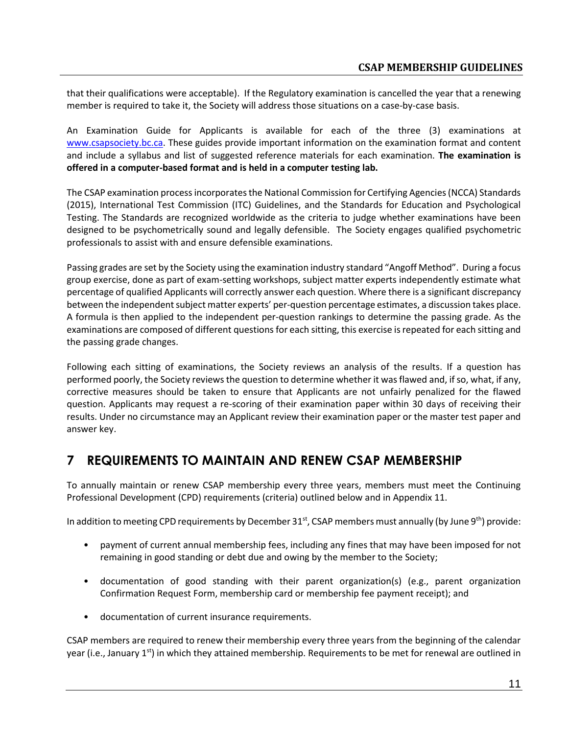that their qualifications were acceptable). If the Regulatory examination is cancelled the year that a renewing member is required to take it, the Society will address those situations on a case-by-case basis.

An Examination Guide for Applicants is available for each of the three (3) examinations at [www.csapsociety.bc.ca.](https://csapsociety.bc.ca/examination-guides-and-fees/) These guides provide important information on the examination format and content and include a syllabus and list of suggested reference materials for each examination. **The examination is offered in a computer-based format and is held in a computer testing lab.**

The CSAP examination process incorporates the National Commission for Certifying Agencies (NCCA) Standards (2015), International Test Commission (ITC) Guidelines, and the Standards for Education and Psychological Testing. The Standards are recognized worldwide as the criteria to judge whether examinations have been designed to be psychometrically sound and legally defensible. The Society engages qualified psychometric professionals to assist with and ensure defensible examinations.

Passing grades are set by the Society using the examination industry standard "Angoff Method". During a focus group exercise, done as part of exam-setting workshops, subject matter experts independently estimate what percentage of qualified Applicants will correctly answer each question. Where there is a significant discrepancy between the independent subject matter experts' per-question percentage estimates, a discussion takes place. A formula is then applied to the independent per-question rankings to determine the passing grade. As the examinations are composed of different questions for each sitting, this exercise is repeated for each sitting and the passing grade changes.

Following each sitting of examinations, the Society reviews an analysis of the results. If a question has performed poorly, the Society reviews the question to determine whether it was flawed and, if so, what, if any, corrective measures should be taken to ensure that Applicants are not unfairly penalized for the flawed question. Applicants may request a re-scoring of their examination paper within 30 days of receiving their results. Under no circumstance may an Applicant review their examination paper or the master test paper and answer key.

## <span id="page-10-0"></span>**7 REQUIREMENTS TO MAINTAIN AND RENEW CSAP MEMBERSHIP**

To annually maintain or renew CSAP membership every three years, members must meet the Continuing Professional Development (CPD) requirements (criteria) outlined below and in Appendix 11.

In addition to meeting CPD requirements by December 31st, CSAP members must annually (by June 9<sup>th</sup>) provide:

- payment of current annual membership fees, including any fines that may have been imposed for not remaining in good standing or debt due and owing by the member to the Society;
- documentation of good standing with their parent organization(s) (e.g., parent organization Confirmation Request Form, membership card or membership fee payment receipt); and
- documentation of current insurance requirements.

CSAP members are required to renew their membership every three years from the beginning of the calendar year (i.e., January 1<sup>st</sup>) in which they attained membership. Requirements to be met for renewal are outlined in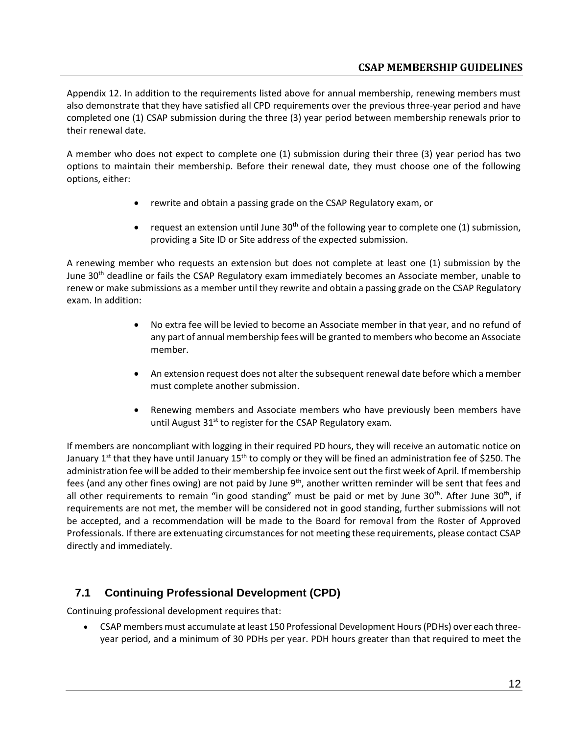### **CSAP MEMBERSHIP GUIDELINES**

Appendix 12. In addition to the requirements listed above for annual membership, renewing members must also demonstrate that they have satisfied all CPD requirements over the previous three-year period and have completed one (1) CSAP submission during the three (3) year period between membership renewals prior to their renewal date.

A member who does not expect to complete one (1) submission during their three (3) year period has two options to maintain their membership. Before their renewal date, they must choose one of the following options, either:

- rewrite and obtain a passing grade on the CSAP Regulatory exam, or
- request an extension until June  $30<sup>th</sup>$  of the following year to complete one (1) submission, providing a Site ID or Site address of the expected submission.

A renewing member who requests an extension but does not complete at least one (1) submission by the June 30<sup>th</sup> deadline or fails the CSAP Regulatory exam immediately becomes an Associate member, unable to renew or make submissions as a member until they rewrite and obtain a passing grade on the CSAP Regulatory exam. In addition:

- No extra fee will be levied to become an Associate member in that year, and no refund of any part of annual membership fees will be granted to members who become an Associate member.
- An extension request does not alter the subsequent renewal date before which a member must complete another submission.
- Renewing members and Associate members who have previously been members have until August  $31<sup>st</sup>$  to register for the CSAP Regulatory exam.

If members are noncompliant with logging in their required PD hours, they will receive an automatic notice on January 1<sup>st</sup> that they have until January 15<sup>th</sup> to comply or they will be fined an administration fee of \$250. The administration fee will be added to their membership fee invoice sent out the first week of April. If membership fees (and any other fines owing) are not paid by June  $9<sup>th</sup>$ , another written reminder will be sent that fees and all other requirements to remain "in good standing" must be paid or met by June  $30<sup>th</sup>$ . After June  $30<sup>th</sup>$ , if requirements are not met, the member will be considered not in good standing, further submissions will not be accepted, and a recommendation will be made to the Board for removal from the Roster of Approved Professionals. If there are extenuating circumstances for not meeting these requirements, please contact CSAP directly and immediately.

### <span id="page-11-0"></span>**7.1 Continuing Professional Development (CPD)**

Continuing professional development requires that:

• CSAP members must accumulate at least 150 Professional Development Hours (PDHs) over each threeyear period, and a minimum of 30 PDHs per year. PDH hours greater than that required to meet the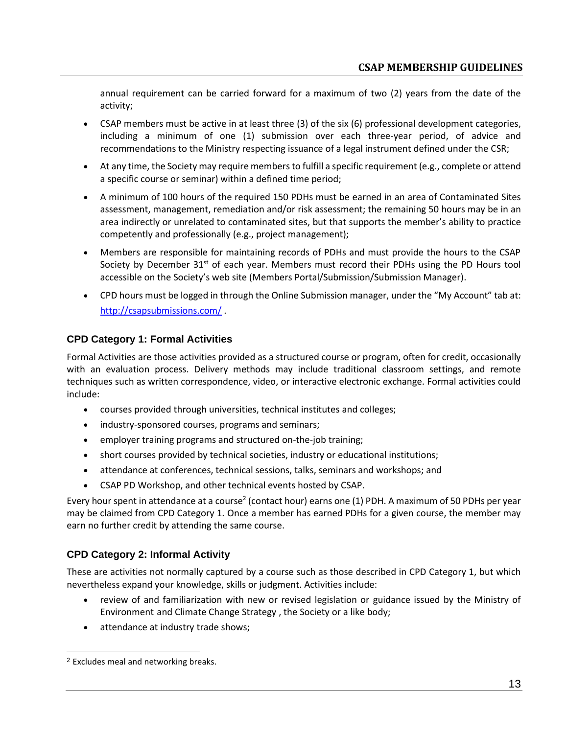annual requirement can be carried forward for a maximum of two (2) years from the date of the activity;

- CSAP members must be active in at least three (3) of the six (6) professional development categories, including a minimum of one (1) submission over each three-year period, of advice and recommendations to the Ministry respecting issuance of a legal instrument defined under the CSR;
- At any time, the Society may require members to fulfill a specific requirement (e.g., complete or attend a specific course or seminar) within a defined time period;
- A minimum of 100 hours of the required 150 PDHs must be earned in an area of Contaminated Sites assessment, management, remediation and/or risk assessment; the remaining 50 hours may be in an area indirectly or unrelated to contaminated sites, but that supports the member's ability to practice competently and professionally (e.g., project management);
- Members are responsible for maintaining records of PDHs and must provide the hours to the CSAP Society by December 31<sup>st</sup> of each year. Members must record their PDHs using the PD Hours tool accessible on the Society's web site (Members Portal/Submission/Submission Manager).
- CPD hours must be logged in through the Online Submission manager, under the "My Account" tab at: <http://csapsubmissions.com/> .

### **CPD Category 1: Formal Activities**

Formal Activities are those activities provided as a structured course or program, often for credit, occasionally with an evaluation process. Delivery methods may include traditional classroom settings, and remote techniques such as written correspondence, video, or interactive electronic exchange. Formal activities could include:

- courses provided through universities, technical institutes and colleges;
- industry-sponsored courses, programs and seminars;
- employer training programs and structured on-the-job training;
- short courses provided by technical societies, industry or educational institutions;
- attendance at conferences, technical sessions, talks, seminars and workshops; and
- CSAP PD Workshop, and other technical events hosted by CSAP.

Every hour spent in attendance at a course<sup>2</sup> (contact hour) earns one (1) PDH. A maximum of 50 PDHs per year may be claimed from CPD Category 1. Once a member has earned PDHs for a given course, the member may earn no further credit by attending the same course.

### **CPD Category 2: Informal Activity**

These are activities not normally captured by a course such as those described in CPD Category 1, but which nevertheless expand your knowledge, skills or judgment. Activities include:

- review of and familiarization with new or revised legislation or guidance issued by the Ministry of Environment and Climate Change Strategy , the Society or a like body;
- attendance at industry trade shows;

<sup>2</sup> Excludes meal and networking breaks.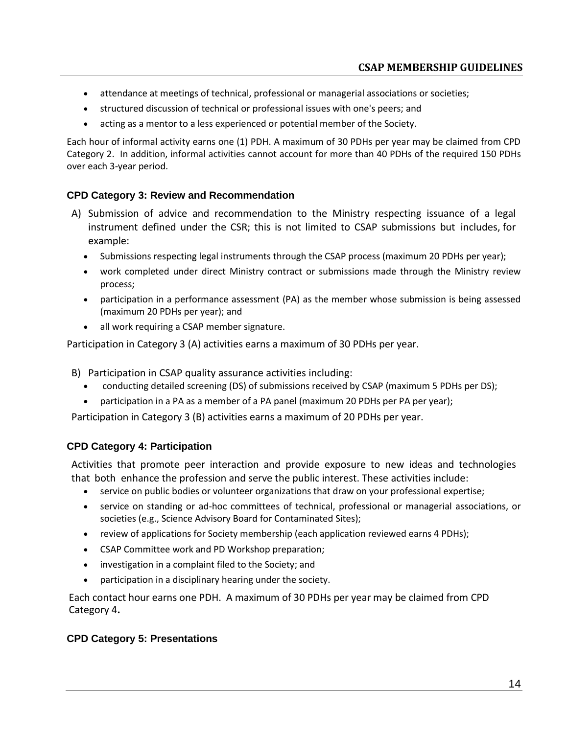- attendance at meetings of technical, professional or managerial associations or societies;
- structured discussion of technical or professional issues with one's peers; and
- acting as a mentor to a less experienced or potential member of the Society.

Each hour of informal activity earns one (1) PDH. A maximum of 30 PDHs per year may be claimed from CPD Category 2. In addition, informal activities cannot account for more than 40 PDHs of the required 150 PDHs over each 3-year period.

#### **CPD Category 3: Review and Recommendation**

- A) Submission of advice and recommendation to the Ministry respecting issuance of a legal instrument defined under the CSR; this is not limited to CSAP submissions but includes, for example:
	- Submissions respecting legal instruments through the CSAP process (maximum 20 PDHs per year);
	- work completed under direct Ministry contract or submissions made through the Ministry review process;
	- participation in a performance assessment (PA) as the member whose submission is being assessed (maximum 20 PDHs per year); and
	- all work requiring a CSAP member signature.

Participation in Category 3 (A) activities earns a maximum of 30 PDHs per year.

- B) Participation in CSAP quality assurance activities including:
	- conducting detailed screening (DS) of submissions received by CSAP (maximum 5 PDHs per DS);
	- participation in a PA as a member of a PA panel (maximum 20 PDHs per PA per year);

Participation in Category 3 (B) activities earns a maximum of 20 PDHs per year.

#### **CPD Category 4: Participation**

Activities that promote peer interaction and provide exposure to new ideas and technologies that both enhance the profession and serve the public interest. These activities include:

- service on public bodies or volunteer organizations that draw on your professional expertise;
- service on standing or ad-hoc committees of technical, professional or managerial associations, or societies (e.g., Science Advisory Board for Contaminated Sites);
- review of applications for Society membership (each application reviewed earns 4 PDHs);
- CSAP Committee work and PD Workshop preparation;
- investigation in a complaint filed to the Society; and
- participation in a disciplinary hearing under the society.

Each contact hour earns one PDH. A maximum of 30 PDHs per year may be claimed from CPD Category 4**.**

#### **CPD Category 5: Presentations**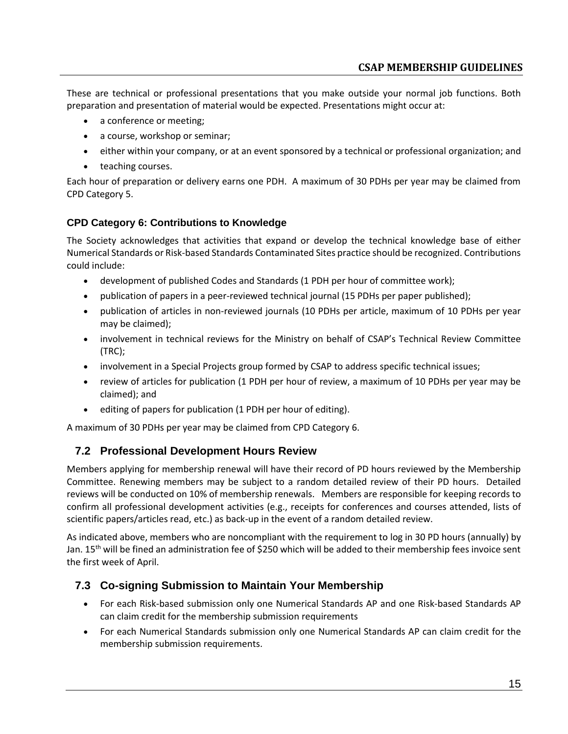These are technical or professional presentations that you make outside your normal job functions. Both preparation and presentation of material would be expected. Presentations might occur at:

- a conference or meeting;
- a course, workshop or seminar;
- either within your company, or at an event sponsored by a technical or professional organization; and
- teaching courses.

Each hour of preparation or delivery earns one PDH. A maximum of 30 PDHs per year may be claimed from CPD Category 5.

### **CPD Category 6: Contributions to Knowledge**

The Society acknowledges that activities that expand or develop the technical knowledge base of either Numerical Standards or Risk-based Standards Contaminated Sites practice should be recognized. Contributions could include:

- development of published Codes and Standards (1 PDH per hour of committee work);
- publication of papers in a peer-reviewed technical journal (15 PDHs per paper published);
- publication of articles in non-reviewed journals (10 PDHs per article, maximum of 10 PDHs per year may be claimed);
- involvement in technical reviews for the Ministry on behalf of CSAP's Technical Review Committee (TRC);
- involvement in a Special Projects group formed by CSAP to address specific technical issues;
- review of articles for publication (1 PDH per hour of review, a maximum of 10 PDHs per year may be claimed); and
- editing of papers for publication (1 PDH per hour of editing).

<span id="page-14-0"></span>A maximum of 30 PDHs per year may be claimed from CPD Category 6.

### **7.2 Professional Development Hours Review**

Members applying for membership renewal will have their record of PD hours reviewed by the Membership Committee. Renewing members may be subject to a random detailed review of their PD hours. Detailed reviews will be conducted on 10% of membership renewals. Members are responsible for keeping records to confirm all professional development activities (e.g., receipts for conferences and courses attended, lists of scientific papers/articles read, etc.) as back-up in the event of a random detailed review.

As indicated above, members who are noncompliant with the requirement to log in 30 PD hours (annually) by Jan. 15<sup>th</sup> will be fined an administration fee of \$250 which will be added to their membership fees invoice sent the first week of April.

### <span id="page-14-1"></span>**7.3 Co-signing Submission to Maintain Your Membership**

- For each Risk-based submission only one Numerical Standards AP and one Risk-based Standards AP can claim credit for the membership submission requirements
- For each Numerical Standards submission only one Numerical Standards AP can claim credit for the membership submission requirements.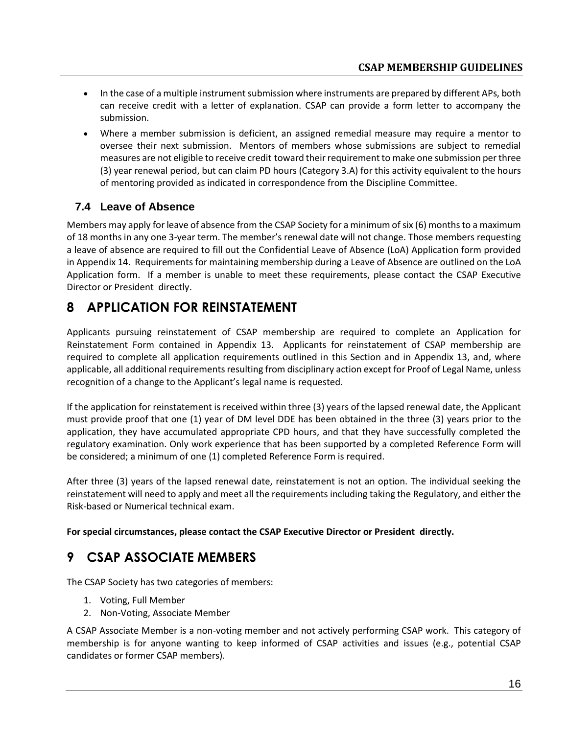- In the case of a multiple instrument submission where instruments are prepared by different APs, both can receive credit with a letter of explanation. CSAP can provide a form letter to accompany the submission.
- Where a member submission is deficient, an assigned remedial measure may require a mentor to oversee their next submission. Mentors of members whose submissions are subject to remedial measures are not eligible to receive credit toward their requirement to make one submission per three (3) year renewal period, but can claim PD hours (Category 3.A) for this activity equivalent to the hours of mentoring provided as indicated in correspondence from the Discipline Committee.

### <span id="page-15-0"></span>**7.4 Leave of Absence**

Members may apply for leave of absence from the CSAP Society for a minimum of six (6) months to a maximum of 18 months in any one 3-year term. The member's renewal date will not change. Those members requesting a leave of absence are required to fill out the Confidential Leave of Absence (LoA) Application form provided in Appendix 14. Requirements for maintaining membership during a Leave of Absence are outlined on the LoA Application form. If a member is unable to meet these requirements, please contact the CSAP Executive Director or President directly.

# <span id="page-15-1"></span>**8 APPLICATION FOR REINSTATEMENT**

Applicants pursuing reinstatement of CSAP membership are required to complete an Application for Reinstatement Form contained in Appendix 13. Applicants for reinstatement of CSAP membership are required to complete all application requirements outlined in this Section and in Appendix 13, and, where applicable, all additional requirements resulting from disciplinary action except for Proof of Legal Name, unless recognition of a change to the Applicant's legal name is requested.

If the application for reinstatement is received within three (3) years of the lapsed renewal date, the Applicant must provide proof that one (1) year of DM level DDE has been obtained in the three (3) years prior to the application, they have accumulated appropriate CPD hours, and that they have successfully completed the regulatory examination. Only work experience that has been supported by a completed Reference Form will be considered; a minimum of one (1) completed Reference Form is required.

After three (3) years of the lapsed renewal date, reinstatement is not an option. The individual seeking the reinstatement will need to apply and meet all the requirements including taking the Regulatory, and either the Risk-based or Numerical technical exam.

**For special circumstances, please contact the CSAP Executive Director or President directly.**

# <span id="page-15-2"></span>**9 CSAP ASSOCIATE MEMBERS**

<span id="page-15-3"></span>The CSAP Society has two categories of members:

- 1. Voting, Full Member
- 2. Non-Voting, Associate Member

A CSAP Associate Member is a non-voting member and not actively performing CSAP work. This category of membership is for anyone wanting to keep informed of CSAP activities and issues (e.g., potential CSAP candidates or former CSAP members).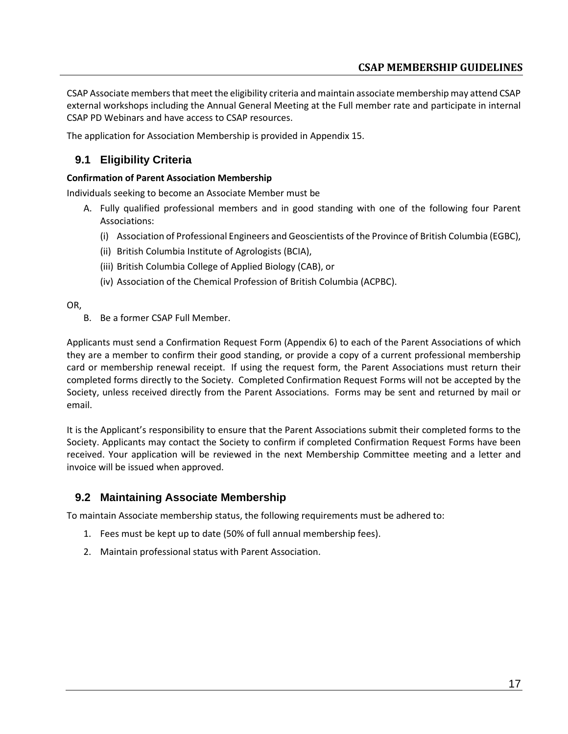CSAP Associate members that meet the eligibility criteria and maintain associate membership may attend CSAP external workshops including the Annual General Meeting at the Full member rate and participate in internal CSAP PD Webinars and have access to CSAP resources.

The application for Association Membership is provided in Appendix 15.

### **9.1 Eligibility Criteria**

#### **Confirmation of Parent Association Membership**

Individuals seeking to become an Associate Member must be

- A. Fully qualified professional members and in good standing with one of the following four Parent Associations:
	- (i) Association of Professional Engineers and Geoscientists of the Province of British Columbia (EGBC),
	- (ii) British Columbia Institute of Agrologists (BCIA),
	- (iii) British Columbia College of Applied Biology (CAB), or
	- (iv) Association of the Chemical Profession of British Columbia (ACPBC).

OR,

B. Be a former CSAP Full Member.

Applicants must send a Confirmation Request Form (Appendix 6) to each of the Parent Associations of which they are a member to confirm their good standing, or provide a copy of a current professional membership card or membership renewal receipt. If using the request form, the Parent Associations must return their completed forms directly to the Society. Completed Confirmation Request Forms will not be accepted by the Society, unless received directly from the Parent Associations. Forms may be sent and returned by mail or email.

It is the Applicant's responsibility to ensure that the Parent Associations submit their completed forms to the Society. Applicants may contact the Society to confirm if completed Confirmation Request Forms have been received. Your application will be reviewed in the next Membership Committee meeting and a letter and invoice will be issued when approved.

### <span id="page-16-0"></span>**9.2 Maintaining Associate Membership**

To maintain Associate membership status, the following requirements must be adhered to:

- 1. Fees must be kept up to date (50% of full annual membership fees).
- 2. Maintain professional status with Parent Association.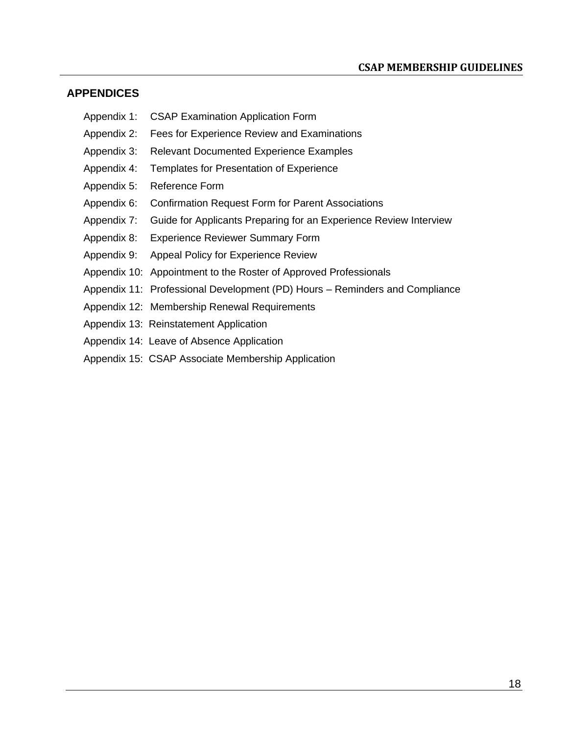### <span id="page-17-0"></span>**APPENDICES**

- Appendix 1: CSAP Examination Application Form
- Appendix 2: Fees for Experience Review and Examinations
- Appendix 3: Relevant Documented Experience Examples
- Appendix 4: Templates for Presentation of Experience
- Appendix 5: Reference Form
- Appendix 6: Confirmation Request Form for Parent Associations
- Appendix 7: Guide for Applicants Preparing for an Experience Review Interview
- Appendix 8: Experience Reviewer Summary Form
- Appendix 9: Appeal Policy for Experience Review
- Appendix 10: Appointment to the Roster of Approved Professionals
- Appendix 11: Professional Development (PD) Hours Reminders and Compliance
- Appendix 12: Membership Renewal Requirements
- Appendix 13: Reinstatement Application
- Appendix 14: Leave of Absence Application
- Appendix 15: CSAP Associate Membership Application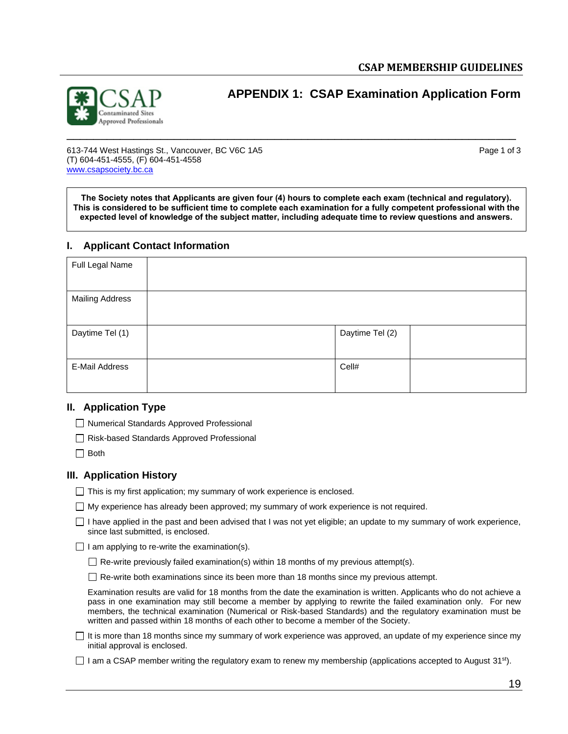

<span id="page-18-0"></span>**APPENDIX 1: CSAP Examination Application Form**

613-744 West Hastings St., Vancouver, BC V6C 1A5 Page 1 of 3 (T) 604-451-4555, (F) 604-451-4558 [www.csapsociety.bc.ca](http://www.csapsociety.bc.ca/)

**The Society notes that Applicants are given four (4) hours to complete each exam (technical and regulatory). This is considered to be sufficient time to complete each examination for a fully competent professional with the expected level of knowledge of the subject matter, including adequate time to review questions and answers.**

#### **I. Applicant Contact Information**

| Full Legal Name        |                 |  |
|------------------------|-----------------|--|
| <b>Mailing Address</b> |                 |  |
| Daytime Tel (1)        | Daytime Tel (2) |  |
| E-Mail Address         | Cell#           |  |

#### **II. Application Type**

□ Numerical Standards Approved Professional

□ Risk-based Standards Approved Professional

 $\Box$  Both

#### **III. Application History**

 $\Box$  This is my first application; my summary of work experience is enclosed.

 $\Box$  My experience has already been approved; my summary of work experience is not required.

 $\Box$  I have applied in the past and been advised that I was not yet eligible; an update to my summary of work experience, since last submitted, is enclosed.

 $\Box$  I am applying to re-write the examination(s).

 $\Box$  Re-write previously failed examination(s) within 18 months of my previous attempt(s).

 $\Box$  Re-write both examinations since its been more than 18 months since my previous attempt.

Examination results are valid for 18 months from the date the examination is written. Applicants who do not achieve a pass in one examination may still become a member by applying to rewrite the failed examination only. For new members, the technical examination (Numerical or Risk-based Standards) and the regulatory examination must be written and passed within 18 months of each other to become a member of the Society.

 $\Box$  It is more than 18 months since my summary of work experience was approved, an update of my experience since my initial approval is enclosed.

I am a CSAP member writing the regulatory exam to renew my membership (applications accepted to August 31st).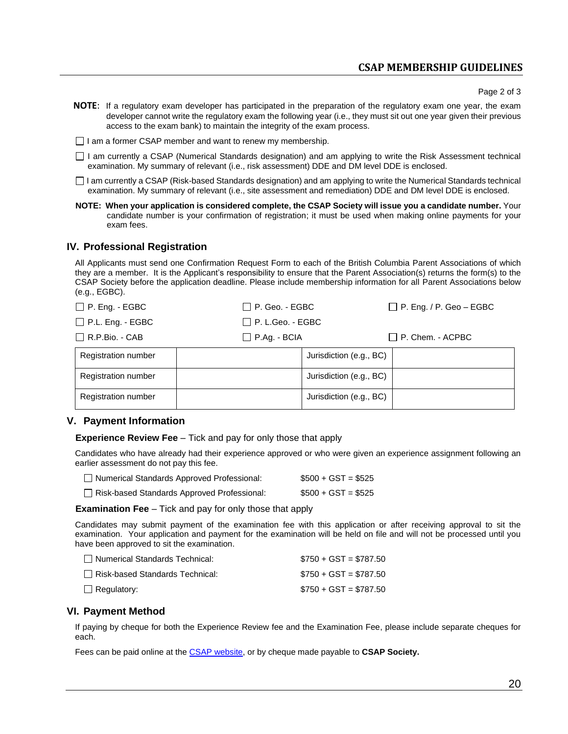### **CSAP MEMBERSHIP GUIDELINES**

Page 2 of 3

**NOTE**: If a regulatory exam developer has participated in the preparation of the regulatory exam one year, the exam developer cannot write the regulatory exam the following year (i.e., they must sit out one year given their previous access to the exam bank) to maintain the integrity of the exam process.

 $\Box$  I am a former CSAP member and want to renew my membership.

I am currently a CSAP (Numerical Standards designation) and am applying to write the Risk Assessment technical examination. My summary of relevant (i.e., risk assessment) DDE and DM level DDE is enclosed.

I am currently a CSAP (Risk-based Standards designation) and am applying to write the Numerical Standards technical examination. My summary of relevant (i.e., site assessment and remediation) DDE and DM level DDE is enclosed.

**NOTE: When your application is considered complete, the CSAP Society will issue you a candidate number.** Your candidate number is your confirmation of registration; it must be used when making online payments for your exam fees.

#### **IV. Professional Registration**

All Applicants must send one Confirmation Request Form to each of the British Columbia Parent Associations of which they are a member. It is the Applicant's responsibility to ensure that the Parent Association(s) returns the form(s) to the CSAP Society before the application deadline. Please include membership information for all Parent Associations below (e.g., EGBC).

| $\Box$ P. Eng. - EGBC      | $\Box$ P. Geo. - EGBC   |                         | $\Box$ P. Eng. / P. Geo – EGBC |
|----------------------------|-------------------------|-------------------------|--------------------------------|
| $\Box$ P.L. Eng. - EGBC    | $\Box$ P. L.Geo. - EGBC |                         |                                |
| $\Box$ R.P.Bio. - CAB      | $\Box$ P.Ag. - BCIA     |                         | $\Box$ P. Chem. - ACPBC        |
| <b>Registration number</b> |                         | Jurisdiction (e.g., BC) |                                |
| <b>Registration number</b> |                         | Jurisdiction (e.g., BC) |                                |
| <b>Registration number</b> |                         | Jurisdiction (e.g., BC) |                                |

#### **V. Payment Information**

**Experience Review Fee** – Tick and pay for only those that apply

Candidates who have already had their experience approved or who were given an experience assignment following an earlier assessment do not pay this fee.

| Numerical Standards Approved Professional:  | $$500 + GST = $525$ |
|---------------------------------------------|---------------------|
| Risk-based Standards Approved Professional: | $$500 + GST = $525$ |

**Examination Fee** – Tick and pay for only those that apply

Candidates may submit payment of the examination fee with this application or after receiving approval to sit the examination. Your application and payment for the examination will be held on file and will not be processed until you have been approved to sit the examination.

| Numerical Standards Technical:    | $$750 + GST = $787.50$ |
|-----------------------------------|------------------------|
| □ Risk-based Standards Technical: | $$750 + GST = $787.50$ |
| $\Box$ Regulatory:                | $$750 + GST = $787.50$ |

#### **VI. Payment Method**

If paying by cheque for both the Experience Review fee and the Examination Fee, please include separate cheques for each.

Fees can be paid online at the [CSAP website,](http://www.csapsociety.bc.ca/) or by cheque made payable to **CSAP Society.**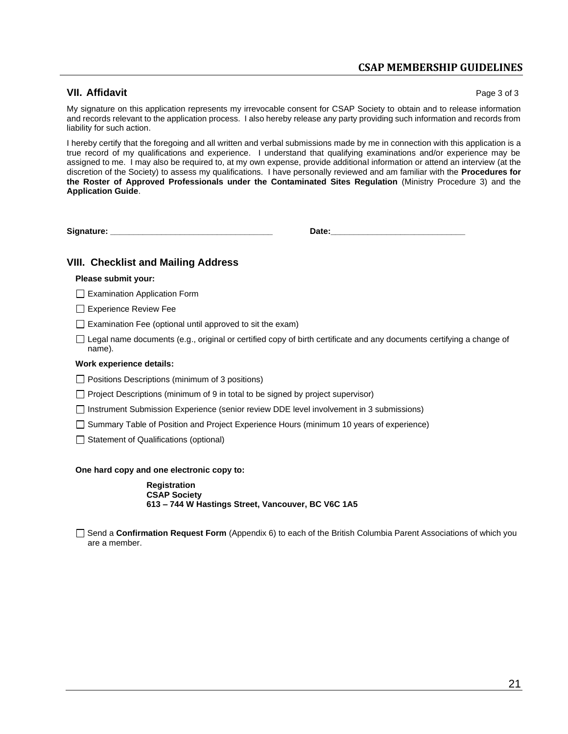### **CSAP MEMBERSHIP GUIDELINES**

#### **VII. Affidavit** Page 3 of 3

My signature on this application represents my irrevocable consent for CSAP Society to obtain and to release information and records relevant to the application process. I also hereby release any party providing such information and records from liability for such action.

I hereby certify that the foregoing and all written and verbal submissions made by me in connection with this application is a true record of my qualifications and experience. I understand that qualifying examinations and/or experience may be assigned to me. I may also be required to, at my own expense, provide additional information or attend an interview (at the discretion of the Society) to assess my qualifications. I have personally reviewed and am familiar with the **Procedures for the Roster of Approved Professionals under the Contaminated Sites Regulation** (Ministry Procedure 3) and the **Application Guide**.

**Signature: \_\_\_\_\_\_\_\_\_\_\_\_\_\_\_\_\_\_\_\_\_\_\_\_\_\_\_\_\_\_\_\_\_\_\_ Date:\_\_\_\_\_\_\_\_\_\_\_\_\_\_\_\_\_\_\_\_\_\_\_\_\_\_\_\_\_**

#### **VIII. Checklist and Mailing Address**

#### **Please submit your:**

 $\Box$  Examination Application Form

Experience Review Fee

 $\Box$  Examination Fee (optional until approved to sit the exam)

 $\Box$  Legal name documents (e.g., original or certified copy of birth certificate and any documents certifying a change of name).

#### **Work experience details:**

 $\Box$  Positions Descriptions (minimum of 3 positions)

 $\Box$  Project Descriptions (minimum of 9 in total to be signed by project supervisor)

Instrument Submission Experience (senior review DDE level involvement in 3 submissions)

 $\Box$  Summary Table of Position and Project Experience Hours (minimum 10 years of experience)

 $\Box$  Statement of Qualifications (optional)

**One hard copy and one electronic copy to:**

**Registration CSAP Society 613 – 744 W Hastings Street, Vancouver, BC V6C 1A5**

Send a **Confirmation Request Form** (Appendix 6) to each of the British Columbia Parent Associations of which you are a member.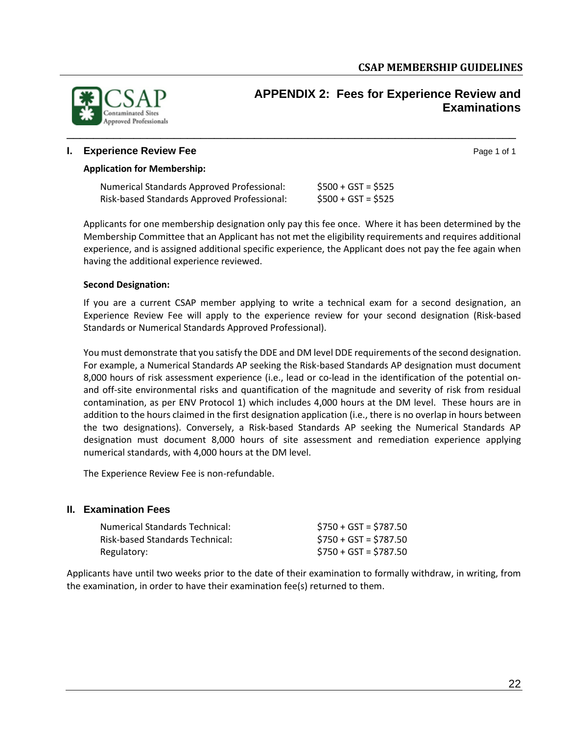

### <span id="page-21-0"></span>**APPENDIX 2: Fees for Experience Review and Examinations**

#### **I. Experience Review Fee** Page 1 of 1

#### **Application for Membership:**

| Numerical Standards Approved Professional:  | $$500 + GST = $525$ |
|---------------------------------------------|---------------------|
| Risk-based Standards Approved Professional: | $$500 + GST = $525$ |

Applicants for one membership designation only pay this fee once. Where it has been determined by the Membership Committee that an Applicant has not met the eligibility requirements and requires additional experience, and is assigned additional specific experience, the Applicant does not pay the fee again when having the additional experience reviewed.

#### **Second Designation:**

If you are a current CSAP member applying to write a technical exam for a second designation, an Experience Review Fee will apply to the experience review for your second designation (Risk-based Standards or Numerical Standards Approved Professional).

You must demonstrate that you satisfy the DDE and DM level DDE requirements of the second designation. For example, a Numerical Standards AP seeking the Risk-based Standards AP designation must document 8,000 hours of risk assessment experience (i.e., lead or co-lead in the identification of the potential onand off-site environmental risks and quantification of the magnitude and severity of risk from residual contamination, as per ENV Protocol 1) which includes 4,000 hours at the DM level. These hours are in addition to the hours claimed in the first designation application (i.e., there is no overlap in hours between the two designations). Conversely, a Risk-based Standards AP seeking the Numerical Standards AP designation must document 8,000 hours of site assessment and remediation experience applying numerical standards, with 4,000 hours at the DM level.

The Experience Review Fee is non-refundable.

#### **II. Examination Fees**

| <b>Numerical Standards Technical:</b> | $$750 + GST = $787.50$ |
|---------------------------------------|------------------------|
| Risk-based Standards Technical:       | $$750 + GST = $787.50$ |
| Regulatory:                           | $$750 + GST = $787.50$ |

Applicants have until two weeks prior to the date of their examination to formally withdraw, in writing, from the examination, in order to have their examination fee(s) returned to them.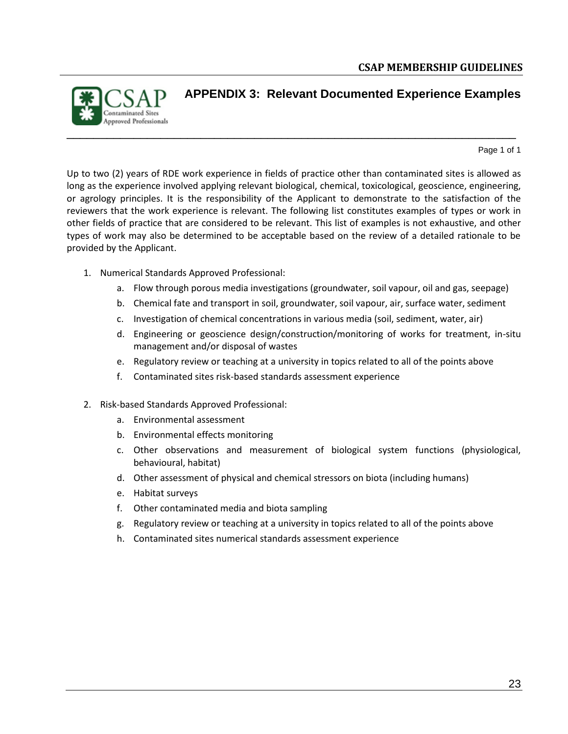

### <span id="page-22-0"></span>**APPENDIX 3: Relevant Documented Experience Examples**

Page 1 of 1

Up to two (2) years of RDE work experience in fields of practice other than contaminated sites is allowed as long as the experience involved applying relevant biological, chemical, toxicological, geoscience, engineering, or agrology principles. It is the responsibility of the Applicant to demonstrate to the satisfaction of the reviewers that the work experience is relevant. The following list constitutes examples of types or work in other fields of practice that are considered to be relevant. This list of examples is not exhaustive, and other types of work may also be determined to be acceptable based on the review of a detailed rationale to be provided by the Applicant.

\_\_\_\_\_\_\_\_\_\_\_\_\_\_\_\_\_\_\_\_\_\_\_\_\_\_\_\_\_\_\_\_\_\_\_\_\_\_\_\_\_\_\_\_\_\_\_\_\_\_\_\_\_\_\_\_\_\_\_\_\_\_\_\_\_\_\_

- 1. Numerical Standards Approved Professional:
	- a. Flow through porous media investigations (groundwater, soil vapour, oil and gas, seepage)
	- b. Chemical fate and transport in soil, groundwater, soil vapour, air, surface water, sediment
	- c. Investigation of chemical concentrations in various media (soil, sediment, water, air)
	- d. Engineering or geoscience design/construction/monitoring of works for treatment, in-situ management and/or disposal of wastes
	- e. Regulatory review or teaching at a university in topics related to all of the points above
	- f. Contaminated sites risk-based standards assessment experience
- 2. Risk-based Standards Approved Professional:
	- a. Environmental assessment
	- b. Environmental effects monitoring
	- c. Other observations and measurement of biological system functions (physiological, behavioural, habitat)
	- d. Other assessment of physical and chemical stressors on biota (including humans)
	- e. Habitat surveys
	- f. Other contaminated media and biota sampling
	- g. Regulatory review or teaching at a university in topics related to all of the points above
	- h. Contaminated sites numerical standards assessment experience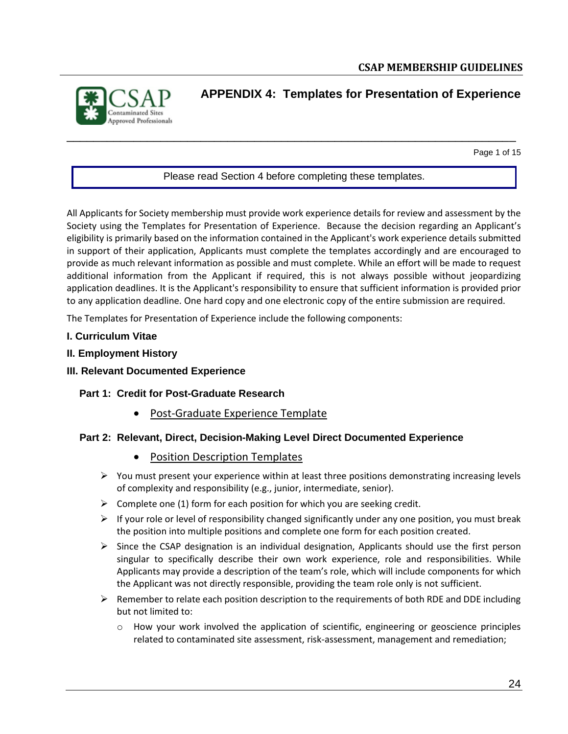

### <span id="page-23-0"></span>**APPENDIX 4: Templates for Presentation of Experience**

Page 1 of 15

#### Please read Section 4 before completing these templates.

\_\_\_\_\_\_\_\_\_\_\_\_\_\_\_\_\_\_\_\_\_\_\_\_\_\_\_\_\_\_\_\_\_\_\_\_\_\_\_\_\_\_\_\_\_\_\_\_\_\_\_\_\_\_\_\_\_\_\_\_\_\_\_\_\_\_\_

All Applicants for Society membership must provide work experience details for review and assessment by the Society using the Templates for Presentation of Experience. Because the decision regarding an Applicant's eligibility is primarily based on the information contained in the Applicant's work experience details submitted in support of their application, Applicants must complete the templates accordingly and are encouraged to provide as much relevant information as possible and must complete. While an effort will be made to request additional information from the Applicant if required, this is not always possible without jeopardizing application deadlines. It is the Applicant's responsibility to ensure that sufficient information is provided prior to any application deadline. One hard copy and one electronic copy of the entire submission are required.

The Templates for Presentation of Experience include the following components:

- **I. Curriculum Vitae**
- **II. Employment History**
- **III. Relevant Documented Experience**

#### **Part 1: Credit for Post-Graduate Research**

• Post-Graduate Experience Template

#### **Part 2: Relevant, Direct, Decision-Making Level Direct Documented Experience**

- Position Description Templates
- $\triangleright$  You must present your experience within at least three positions demonstrating increasing levels of complexity and responsibility (e.g., junior, intermediate, senior).
- $\triangleright$  Complete one (1) form for each position for which you are seeking credit.
- $\triangleright$  If your role or level of responsibility changed significantly under any one position, you must break the position into multiple positions and complete one form for each position created.
- $\triangleright$  Since the CSAP designation is an individual designation, Applicants should use the first person singular to specifically describe their own work experience, role and responsibilities. While Applicants may provide a description of the team's role, which will include components for which the Applicant was not directly responsible, providing the team role only is not sufficient.
- $\triangleright$  Remember to relate each position description to the requirements of both RDE and DDE including but not limited to:
	- o How your work involved the application of scientific, engineering or geoscience principles related to contaminated site assessment, risk-assessment, management and remediation;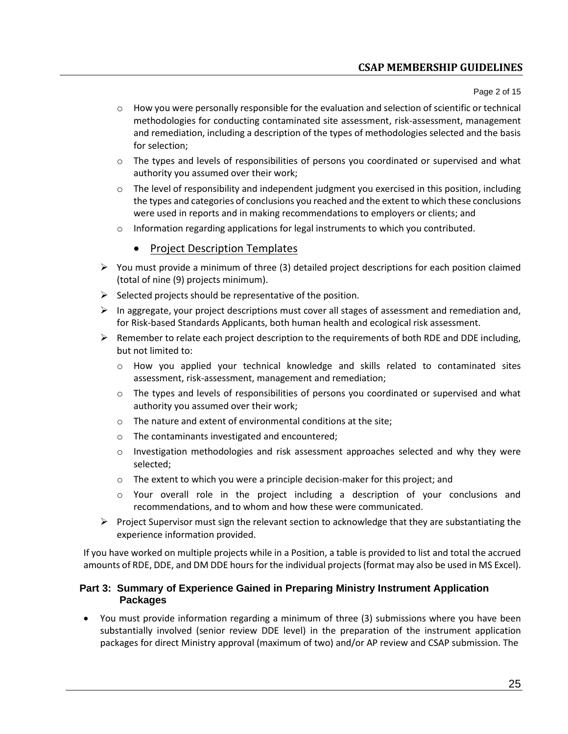### **CSAP MEMBERSHIP GUIDELINES**

Page 2 of 15

- $\circ$  How you were personally responsible for the evaluation and selection of scientific or technical methodologies for conducting contaminated site assessment, risk-assessment, management and remediation, including a description of the types of methodologies selected and the basis for selection;
- $\circ$  The types and levels of responsibilities of persons you coordinated or supervised and what authority you assumed over their work;
- $\circ$  The level of responsibility and independent judgment you exercised in this position, including the types and categories of conclusions you reached and the extent to which these conclusions were used in reports and in making recommendations to employers or clients; and
- $\circ$  Information regarding applications for legal instruments to which you contributed.

### • Project Description Templates

- $\triangleright$  You must provide a minimum of three (3) detailed project descriptions for each position claimed (total of nine (9) projects minimum).
- $\triangleright$  Selected projects should be representative of the position.
- $\triangleright$  In aggregate, your project descriptions must cover all stages of assessment and remediation and, for Risk-based Standards Applicants, both human health and ecological risk assessment.
- $\triangleright$  Remember to relate each project description to the requirements of both RDE and DDE including, but not limited to:
	- o How you applied your technical knowledge and skills related to contaminated sites assessment, risk-assessment, management and remediation;
	- $\circ$  The types and levels of responsibilities of persons you coordinated or supervised and what authority you assumed over their work;
	- o The nature and extent of environmental conditions at the site;
	- o The contaminants investigated and encountered;
	- $\circ$  Investigation methodologies and risk assessment approaches selected and why they were selected;
	- o The extent to which you were a principle decision-maker for this project; and
	- o Your overall role in the project including a description of your conclusions and recommendations, and to whom and how these were communicated.
- $\triangleright$  Project Supervisor must sign the relevant section to acknowledge that they are substantiating the experience information provided.

If you have worked on multiple projects while in a Position, a table is provided to list and total the accrued amounts of RDE, DDE, and DM DDE hours for the individual projects (format may also be used in MS Excel).

#### **Part 3: Summary of Experience Gained in Preparing Ministry Instrument Application Packages**

• You must provide information regarding a minimum of three (3) submissions where you have been substantially involved (senior review DDE level) in the preparation of the instrument application packages for direct Ministry approval (maximum of two) and/or AP review and CSAP submission. The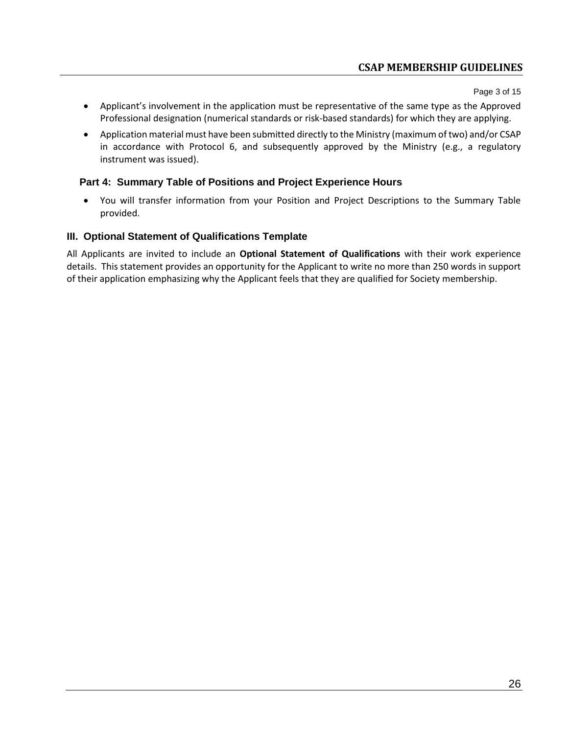Page 3 of 15

- Applicant's involvement in the application must be representative of the same type as the Approved Professional designation (numerical standards or risk-based standards) for which they are applying.
- Application material must have been submitted directly to the Ministry (maximum of two) and/or CSAP in accordance with Protocol 6, and subsequently approved by the Ministry (e.g., a regulatory instrument was issued).

### **Part 4: Summary Table of Positions and Project Experience Hours**

• You will transfer information from your Position and Project Descriptions to the Summary Table provided.

### **III. Optional Statement of Qualifications Template**

All Applicants are invited to include an **Optional Statement of Qualifications** with their work experience details. This statement provides an opportunity for the Applicant to write no more than 250 words in support of their application emphasizing why the Applicant feels that they are qualified for Society membership.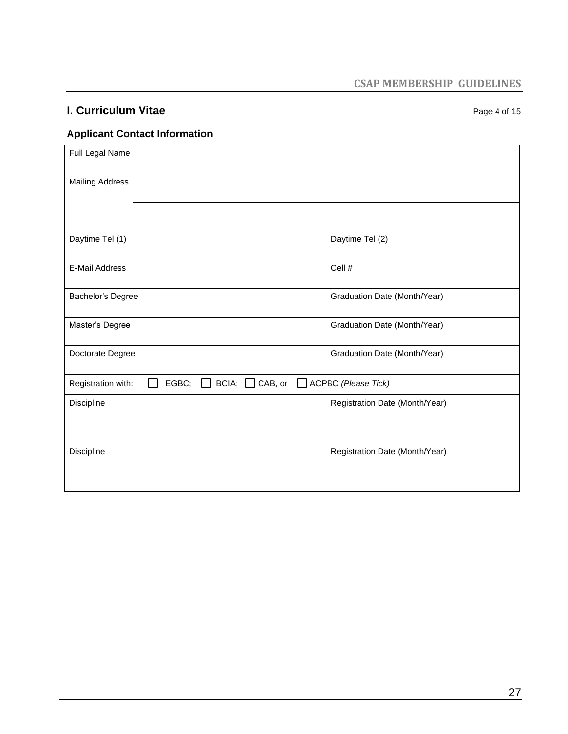# **I. Curriculum Vitae** *Page 4 of 15* Page 4 of 15

### **Applicant Contact Information**

| Full Legal Name                                                                                             |                                |
|-------------------------------------------------------------------------------------------------------------|--------------------------------|
| <b>Mailing Address</b>                                                                                      |                                |
|                                                                                                             |                                |
| Daytime Tel (1)                                                                                             | Daytime Tel (2)                |
| <b>E-Mail Address</b>                                                                                       | Cell #                         |
| Bachelor's Degree                                                                                           | Graduation Date (Month/Year)   |
| Master's Degree                                                                                             | Graduation Date (Month/Year)   |
| Doctorate Degree                                                                                            | Graduation Date (Month/Year)   |
| $BCIA$ ; $\Box$ CAB, or<br>EGBC;<br>Registration with:<br>$\lfloor \rfloor$<br>$\mathbf{I}$<br>$\mathbf{1}$ | <b>ACPBC</b> (Please Tick)     |
| Discipline                                                                                                  | Registration Date (Month/Year) |
| Discipline                                                                                                  | Registration Date (Month/Year) |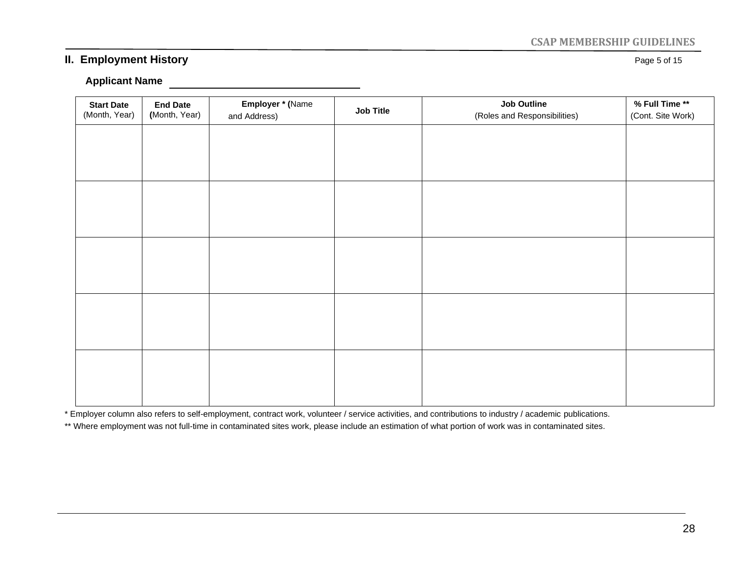### **CSAP MEMBERSHIP GUIDELINES**

### **II. Employment History Page 5 of 15**

#### **Applicant Name**

| <b>Start Date</b><br>(Month, Year) | <b>End Date</b><br>(Month, Year) | Employer * (Name<br>and Address) | Job Title | <b>Job Outline</b><br>(Roles and Responsibilities) | % Full Time **<br>(Cont. Site Work) |
|------------------------------------|----------------------------------|----------------------------------|-----------|----------------------------------------------------|-------------------------------------|
|                                    |                                  |                                  |           |                                                    |                                     |
|                                    |                                  |                                  |           |                                                    |                                     |
|                                    |                                  |                                  |           |                                                    |                                     |
|                                    |                                  |                                  |           |                                                    |                                     |
|                                    |                                  |                                  |           |                                                    |                                     |
|                                    |                                  |                                  |           |                                                    |                                     |
|                                    |                                  |                                  |           |                                                    |                                     |
|                                    |                                  |                                  |           |                                                    |                                     |
|                                    |                                  |                                  |           |                                                    |                                     |
|                                    |                                  |                                  |           |                                                    |                                     |

\* Employer column also refers to self-employment, contract work, volunteer / service activities, and contributions to industry / academic publications.

<u> 1980 - Johann Barbara, martxa a</u>

\*\* Where employment was not full-time in contaminated sites work, please include an estimation of what portion of work was in contaminated sites.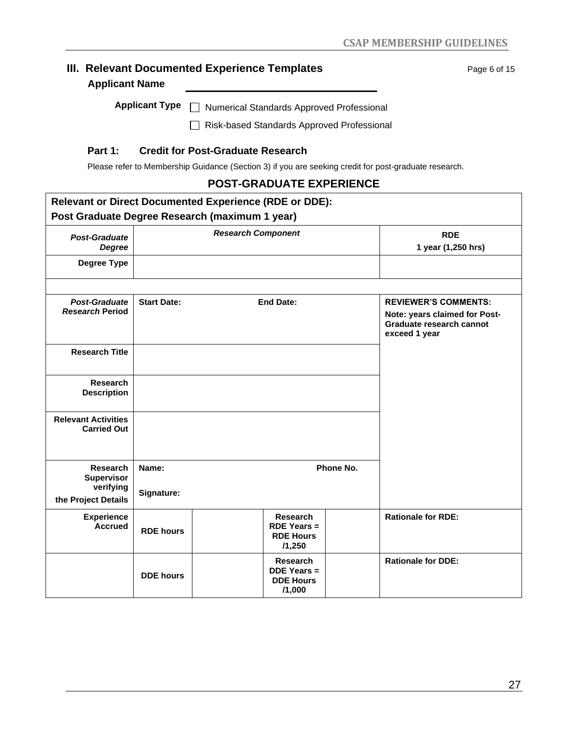# **III. Relevant Documented Experience Templates Page 6 of 15** Page 6 of 15 **Applicant Name** Applicant Type  $\Box$  Numerical Standards Approved Professional □ Risk-based Standards Approved Professional

### **Part 1: Credit for Post-Graduate Research**

Please refer to Membership Guidance (Section 3) if you are seeking credit for post-graduate research.

### **POST-GRADUATE EXPERIENCE**

| <b>Relevant or Direct Documented Experience (RDE or DDE):</b> |                                        |                           |                                                                     |                                                                                                           |                                  |
|---------------------------------------------------------------|----------------------------------------|---------------------------|---------------------------------------------------------------------|-----------------------------------------------------------------------------------------------------------|----------------------------------|
| Post Graduate Degree Research (maximum 1 year)                |                                        |                           |                                                                     |                                                                                                           |                                  |
| <b>Post-Graduate</b><br><b>Degree</b>                         |                                        | <b>Research Component</b> |                                                                     |                                                                                                           | <b>RDE</b><br>1 year (1,250 hrs) |
| Degree Type                                                   |                                        |                           |                                                                     |                                                                                                           |                                  |
|                                                               |                                        |                           |                                                                     |                                                                                                           |                                  |
| Post-Graduate<br><b>Research Period</b>                       | <b>Start Date:</b><br><b>End Date:</b> |                           |                                                                     | <b>REVIEWER'S COMMENTS:</b><br>Note: years claimed for Post-<br>Graduate research cannot<br>exceed 1 year |                                  |
| <b>Research Title</b>                                         |                                        |                           |                                                                     |                                                                                                           |                                  |
| Research<br><b>Description</b>                                |                                        |                           |                                                                     |                                                                                                           |                                  |
| <b>Relevant Activities</b><br><b>Carried Out</b>              |                                        |                           |                                                                     |                                                                                                           |                                  |
| <b>Research</b><br><b>Supervisor</b>                          | Name:                                  |                           |                                                                     | Phone No.                                                                                                 |                                  |
| verifying<br>the Project Details                              | Signature:                             |                           |                                                                     |                                                                                                           |                                  |
| <b>Experience</b><br><b>Accrued</b>                           | <b>RDE hours</b>                       |                           | <b>Research</b><br><b>RDE Years =</b><br><b>RDE Hours</b><br>/1,250 | <b>Rationale for RDE:</b>                                                                                 |                                  |
|                                                               | <b>DDE</b> hours                       |                           | <b>Research</b><br><b>DDE Years =</b><br><b>DDE Hours</b><br>/1,000 |                                                                                                           | <b>Rationale for DDE:</b>        |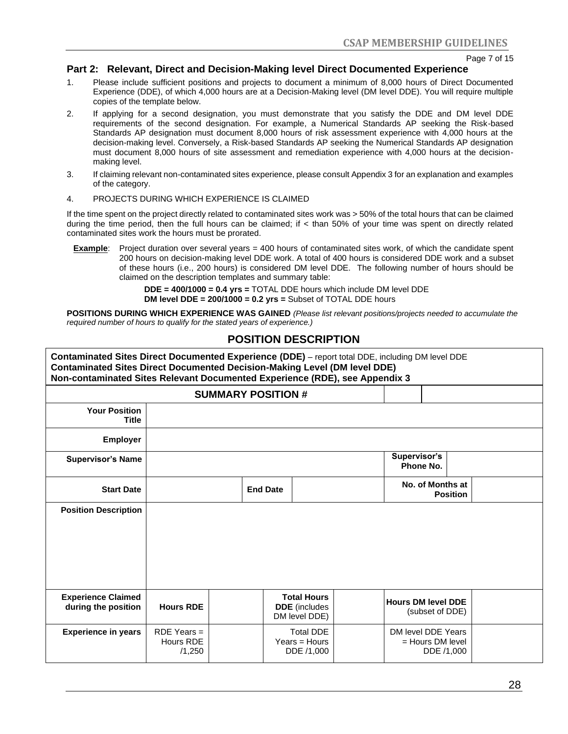Page 7 of 15

#### **Part 2: Relevant, Direct and Decision-Making level Direct Documented Experience**

- 1. Please include sufficient positions and projects to document a minimum of 8,000 hours of Direct Documented Experience (DDE), of which 4,000 hours are at a Decision-Making level (DM level DDE). You will require multiple copies of the template below.
- 2. If applying for a second designation, you must demonstrate that you satisfy the DDE and DM level DDE requirements of the second designation. For example, a Numerical Standards AP seeking the Risk-based Standards AP designation must document 8,000 hours of risk assessment experience with 4,000 hours at the decision-making level. Conversely, a Risk-based Standards AP seeking the Numerical Standards AP designation must document 8,000 hours of site assessment and remediation experience with 4,000 hours at the decisionmaking level.
- 3. If claiming relevant non-contaminated sites experience, please consult Appendix 3 for an explanation and examples of the category.
- 4. PROJECTS DURING WHICH EXPERIENCE IS CLAIMED

If the time spent on the project directly related to contaminated sites work was > 50% of the total hours that can be claimed during the time period, then the full hours can be claimed; if < than 50% of your time was spent on directly related contaminated sites work the hours must be prorated.

**Example**: Project duration over several years = 400 hours of contaminated sites work, of which the candidate spent 200 hours on decision-making level DDE work. A total of 400 hours is considered DDE work and a subset of these hours (i.e., 200 hours) is considered DM level DDE. The following number of hours should be claimed on the description templates and summary table:

> **DDE = 400/1000 = 0.4 yrs =** TOTAL DDE hours which include DM level DDE **DM level DDE = 200/1000 = 0.2 yrs =** Subset of TOTAL DDE hours

**POSITIONS DURING WHICH EXPERIENCE WAS GAINED** *(Please list relevant positions/projects needed to accumulate the required number of hours to qualify for the stated years of experience.)*

### **POSITION DESCRIPTION**

| Contaminated Sites Direct Documented Experience (DDE) - report total DDE, including DM level DDE<br><b>Contaminated Sites Direct Documented Decision-Making Level (DM level DDE)</b><br>Non-contaminated Sites Relevant Documented Experience (RDE), see Appendix 3 |                                      |                           |                 |                                                             |                                                        |                 |  |
|---------------------------------------------------------------------------------------------------------------------------------------------------------------------------------------------------------------------------------------------------------------------|--------------------------------------|---------------------------|-----------------|-------------------------------------------------------------|--------------------------------------------------------|-----------------|--|
|                                                                                                                                                                                                                                                                     |                                      | <b>SUMMARY POSITION #</b> |                 |                                                             |                                                        |                 |  |
| <b>Your Position</b><br><b>Title</b>                                                                                                                                                                                                                                |                                      |                           |                 |                                                             |                                                        |                 |  |
| <b>Employer</b>                                                                                                                                                                                                                                                     |                                      |                           |                 |                                                             |                                                        |                 |  |
| <b>Supervisor's Name</b>                                                                                                                                                                                                                                            |                                      |                           |                 |                                                             | Supervisor's<br>Phone No.                              |                 |  |
| <b>Start Date</b>                                                                                                                                                                                                                                                   |                                      |                           | <b>End Date</b> |                                                             | No. of Months at                                       | <b>Position</b> |  |
| <b>Position Description</b>                                                                                                                                                                                                                                         |                                      |                           |                 |                                                             |                                                        |                 |  |
| <b>Experience Claimed</b><br>during the position                                                                                                                                                                                                                    | <b>Hours RDE</b>                     |                           |                 | <b>Total Hours</b><br><b>DDE</b> (includes<br>DM level DDE) | <b>Hours DM level DDE</b><br>(subset of DDE)           |                 |  |
| <b>Experience in years</b>                                                                                                                                                                                                                                          | $RDE$ Years =<br>Hours RDE<br>/1,250 |                           |                 | <b>Total DDE</b><br>$Years = Hours$<br>DDE /1,000           | DM level DDE Years<br>$=$ Hours DM level<br>DDE /1,000 |                 |  |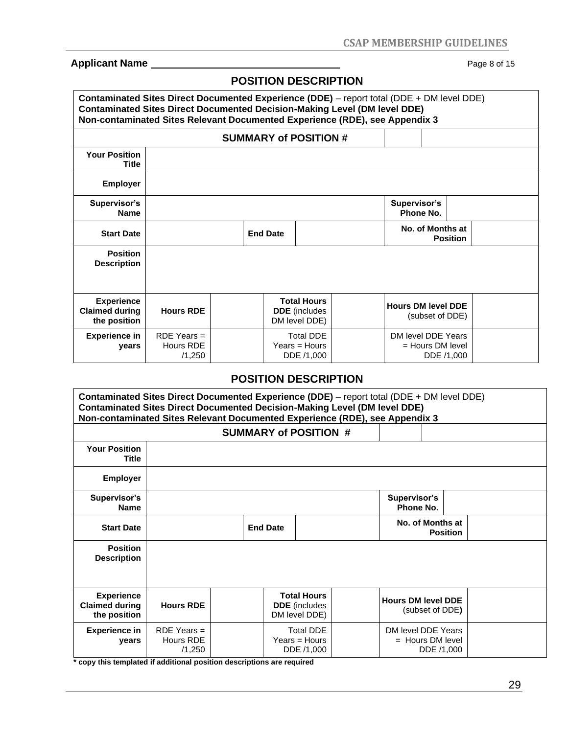### **Applicant Name** Page 8 of 15

### **POSITION DESCRIPTION**

|                                                            | Contaminated Sites Direct Documented Experience (DDE) - report total (DDE + DM level DDE)<br><b>Contaminated Sites Direct Documented Decision-Making Level (DM level DDE)</b><br>Non-contaminated Sites Relevant Documented Experience (RDE), see Appendix 3 |                              |  |                                                             |  |                           |                                                        |  |  |  |  |  |
|------------------------------------------------------------|--------------------------------------------------------------------------------------------------------------------------------------------------------------------------------------------------------------------------------------------------------------|------------------------------|--|-------------------------------------------------------------|--|---------------------------|--------------------------------------------------------|--|--|--|--|--|
|                                                            |                                                                                                                                                                                                                                                              | <b>SUMMARY of POSITION #</b> |  |                                                             |  |                           |                                                        |  |  |  |  |  |
| <b>Your Position</b><br>Title                              |                                                                                                                                                                                                                                                              |                              |  |                                                             |  |                           |                                                        |  |  |  |  |  |
| <b>Employer</b>                                            |                                                                                                                                                                                                                                                              |                              |  |                                                             |  |                           |                                                        |  |  |  |  |  |
| Supervisor's<br><b>Name</b>                                |                                                                                                                                                                                                                                                              |                              |  |                                                             |  | Supervisor's<br>Phone No. |                                                        |  |  |  |  |  |
| <b>Start Date</b>                                          |                                                                                                                                                                                                                                                              | <b>End Date</b>              |  |                                                             |  |                           | No. of Months at<br><b>Position</b>                    |  |  |  |  |  |
| <b>Position</b><br><b>Description</b>                      |                                                                                                                                                                                                                                                              |                              |  |                                                             |  |                           |                                                        |  |  |  |  |  |
| <b>Experience</b><br><b>Claimed during</b><br>the position | <b>Hours RDE</b>                                                                                                                                                                                                                                             |                              |  | <b>Total Hours</b><br><b>DDE</b> (includes<br>DM level DDE) |  |                           | <b>Hours DM level DDE</b><br>(subset of DDE)           |  |  |  |  |  |
| <b>Experience in</b><br>years                              | $RDE$ Years =<br>Hours RDE<br>/1,250                                                                                                                                                                                                                         |                              |  | <b>Total DDE</b><br>$Years = Hours$<br>DDE /1,000           |  |                           | DM level DDE Years<br>$=$ Hours DM level<br>DDE /1,000 |  |  |  |  |  |

### **POSITION DESCRIPTION**

|                                                            | Contaminated Sites Direct Documented Experience (DDE) - report total (DDE + DM level DDE)<br><b>Contaminated Sites Direct Documented Decision-Making Level (DM level DDE)</b><br>Non-contaminated Sites Relevant Documented Experience (RDE), see Appendix 3 |                              |                 |                                                             |  |                                          |                 |  |  |  |  |  |
|------------------------------------------------------------|--------------------------------------------------------------------------------------------------------------------------------------------------------------------------------------------------------------------------------------------------------------|------------------------------|-----------------|-------------------------------------------------------------|--|------------------------------------------|-----------------|--|--|--|--|--|
|                                                            |                                                                                                                                                                                                                                                              | <b>SUMMARY of POSITION #</b> |                 |                                                             |  |                                          |                 |  |  |  |  |  |
| <b>Your Position</b><br>Title                              |                                                                                                                                                                                                                                                              |                              |                 |                                                             |  |                                          |                 |  |  |  |  |  |
| <b>Employer</b>                                            |                                                                                                                                                                                                                                                              |                              |                 |                                                             |  |                                          |                 |  |  |  |  |  |
| Supervisor's<br><b>Name</b>                                |                                                                                                                                                                                                                                                              |                              |                 |                                                             |  | Supervisor's<br>Phone No.                |                 |  |  |  |  |  |
| <b>Start Date</b>                                          |                                                                                                                                                                                                                                                              |                              | <b>End Date</b> |                                                             |  | No. of Months at                         | <b>Position</b> |  |  |  |  |  |
| <b>Position</b><br><b>Description</b>                      |                                                                                                                                                                                                                                                              |                              |                 |                                                             |  |                                          |                 |  |  |  |  |  |
| <b>Experience</b><br><b>Claimed during</b><br>the position | <b>Hours RDE</b>                                                                                                                                                                                                                                             |                              |                 | <b>Total Hours</b><br><b>DDE</b> (includes<br>DM level DDE) |  | <b>Hours DM level DDE</b>                | (subset of DDE) |  |  |  |  |  |
| <b>Experience in</b><br>years                              | $RDE$ Years =<br>Hours RDE<br>/1,250                                                                                                                                                                                                                         |                              |                 | <b>Total DDE</b><br>$Years = Hours$<br>DDE /1,000           |  | DM level DDE Years<br>$=$ Hours DM level | DDE /1,000      |  |  |  |  |  |

**\* copy this templated if additional position descriptions are required**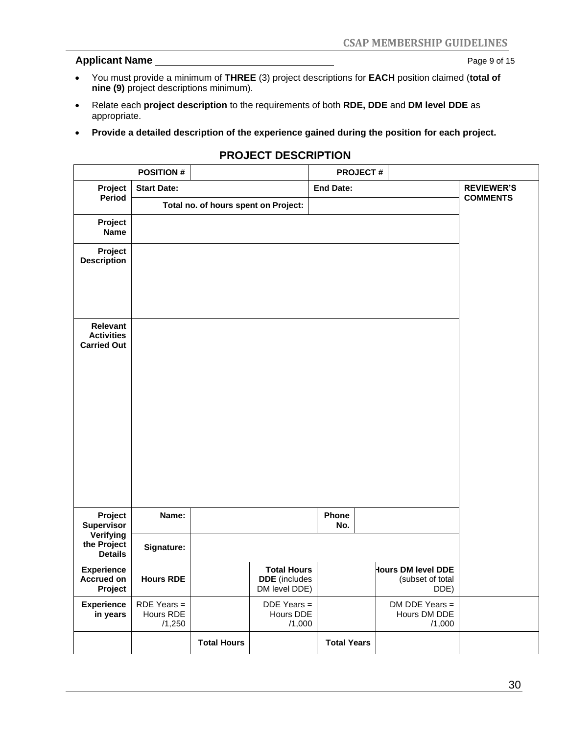#### **Applicant Name** 2014 2015

- You must provide a minimum of **THREE** (3) project descriptions for **EACH** position claimed (**total of nine (9)** project descriptions minimum).
- Relate each **project description** to the requirements of both **RDE, DDE** and **DM level DDE** as appropriate.
- **Provide a detailed description of the experience gained during the position for each project.**

### **PROJECT DESCRIPTION**

|                                                            | <b>POSITION#</b>                     |                                      |                                                             | <b>PROJECT#</b>    |                                                |                                      |
|------------------------------------------------------------|--------------------------------------|--------------------------------------|-------------------------------------------------------------|--------------------|------------------------------------------------|--------------------------------------|
| Project<br>Period                                          | <b>Start Date:</b>                   |                                      |                                                             | <b>End Date:</b>   |                                                | <b>REVIEWER'S</b><br><b>COMMENTS</b> |
|                                                            |                                      | Total no. of hours spent on Project: |                                                             |                    |                                                |                                      |
| Project<br>Name                                            |                                      |                                      |                                                             |                    |                                                |                                      |
| Project<br><b>Description</b>                              |                                      |                                      |                                                             |                    |                                                |                                      |
| <b>Relevant</b><br><b>Activities</b><br><b>Carried Out</b> |                                      |                                      |                                                             |                    |                                                |                                      |
| Project<br>Supervisor                                      | Name:                                |                                      |                                                             | Phone<br>No.       |                                                |                                      |
| Verifying<br>the Project<br><b>Details</b>                 | Signature:                           |                                      |                                                             |                    |                                                |                                      |
| <b>Experience</b><br><b>Accrued on</b><br>Project          | <b>Hours RDE</b>                     |                                      | <b>Total Hours</b><br><b>DDE</b> (includes<br>DM level DDE) |                    | Hours DM level DDE<br>(subset of total<br>DDE) |                                      |
| <b>Experience</b><br>in years                              | $RDE$ Years =<br>Hours RDE<br>/1,250 |                                      | $DDE$ Years =<br>Hours DDE<br>/1,000                        |                    | $DM$ DDE Years =<br>Hours DM DDE<br>/1,000     |                                      |
|                                                            |                                      | <b>Total Hours</b>                   |                                                             | <b>Total Years</b> |                                                |                                      |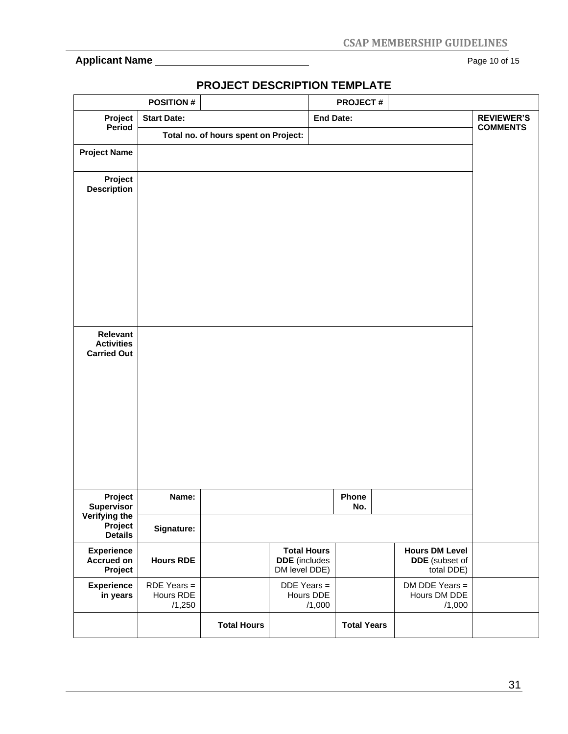### **Applicant Name** Page 10 of 15

|                                                     | <b>POSITION#</b>                     |                                      |                                                             | <b>PROJECT#</b>    |                                                       |                   |
|-----------------------------------------------------|--------------------------------------|--------------------------------------|-------------------------------------------------------------|--------------------|-------------------------------------------------------|-------------------|
| Project                                             | <b>Start Date:</b>                   |                                      | <b>End Date:</b>                                            |                    |                                                       | <b>REVIEWER'S</b> |
| Period                                              |                                      | Total no. of hours spent on Project: |                                                             |                    |                                                       | <b>COMMENTS</b>   |
| <b>Project Name</b>                                 |                                      |                                      |                                                             |                    |                                                       |                   |
| Project<br><b>Description</b>                       |                                      |                                      |                                                             |                    |                                                       |                   |
|                                                     |                                      |                                      |                                                             |                    |                                                       |                   |
| Relevant<br><b>Activities</b><br><b>Carried Out</b> |                                      |                                      |                                                             |                    |                                                       |                   |
|                                                     |                                      |                                      |                                                             |                    |                                                       |                   |
|                                                     |                                      |                                      |                                                             |                    |                                                       |                   |
| Project<br><b>Supervisor</b>                        | Name:                                |                                      |                                                             | Phone<br>No.       |                                                       |                   |
| Verifying the<br>Project<br><b>Details</b>          | Signature:                           |                                      |                                                             |                    |                                                       |                   |
| <b>Experience</b><br><b>Accrued on</b><br>Project   | <b>Hours RDE</b>                     |                                      | <b>Total Hours</b><br><b>DDE</b> (includes<br>DM level DDE) |                    | <b>Hours DM Level</b><br>DDE (subset of<br>total DDE) |                   |
| <b>Experience</b><br>in years                       | $RDE$ Years =<br>Hours RDE<br>/1,250 |                                      | DDE Years =<br>Hours DDE<br>/1,000                          |                    | DM DDE Years =<br>Hours DM DDE<br>/1,000              |                   |
|                                                     |                                      | <b>Total Hours</b>                   |                                                             | <b>Total Years</b> |                                                       |                   |

## **PROJECT DESCRIPTION TEMPLATE**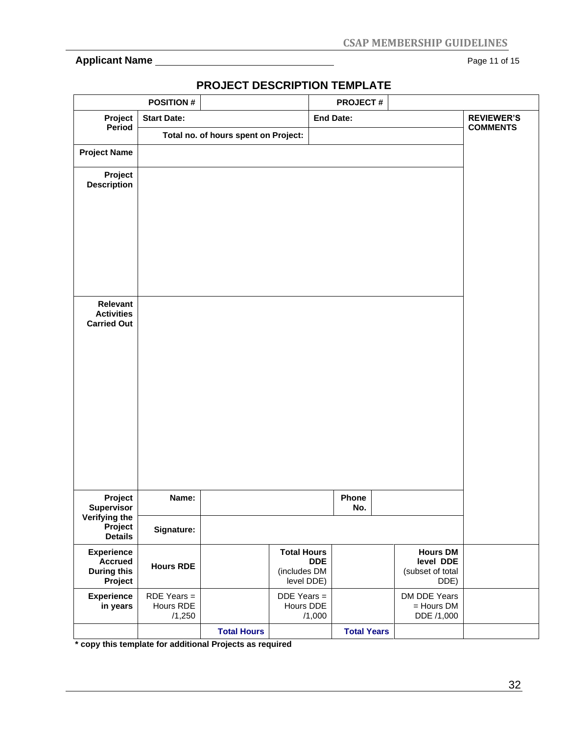### **Applicant Name** Page 11 of 15

|                                                                      | <b>POSITION#</b>                     |                                      |                                                                | <b>PROJECT#</b>    |                                                          |                                      |
|----------------------------------------------------------------------|--------------------------------------|--------------------------------------|----------------------------------------------------------------|--------------------|----------------------------------------------------------|--------------------------------------|
| Project<br>Period                                                    | <b>Start Date:</b>                   |                                      |                                                                | <b>End Date:</b>   |                                                          | <b>REVIEWER'S</b><br><b>COMMENTS</b> |
|                                                                      |                                      | Total no. of hours spent on Project: |                                                                |                    |                                                          |                                      |
| <b>Project Name</b>                                                  |                                      |                                      |                                                                |                    |                                                          |                                      |
| Project<br><b>Description</b>                                        |                                      |                                      |                                                                |                    |                                                          |                                      |
| Relevant<br><b>Activities</b><br><b>Carried Out</b>                  |                                      |                                      |                                                                |                    |                                                          |                                      |
| Project                                                              | Name:                                |                                      |                                                                | Phone              |                                                          |                                      |
| <b>Supervisor</b><br>Verifying the<br>Project<br><b>Details</b>      | Signature:                           |                                      |                                                                | No.                |                                                          |                                      |
| <b>Experience</b><br><b>Accrued</b><br><b>During this</b><br>Project | <b>Hours RDE</b>                     |                                      | <b>Total Hours</b><br><b>DDE</b><br>(includes DM<br>level DDE) |                    | <b>Hours DM</b><br>level DDE<br>(subset of total<br>DDE) |                                      |
| <b>Experience</b><br>in years                                        | $RDE$ Years =<br>Hours RDE<br>/1,250 |                                      | $DDE$ Years =<br>Hours DDE<br>/1,000                           |                    | DM DDE Years<br>$=$ Hours DM<br>DDE /1,000               |                                      |
|                                                                      |                                      | <b>Total Hours</b>                   |                                                                | <b>Total Years</b> |                                                          |                                      |

# **PROJECT DESCRIPTION TEMPLATE**

**\* copy this template for additional Projects as required**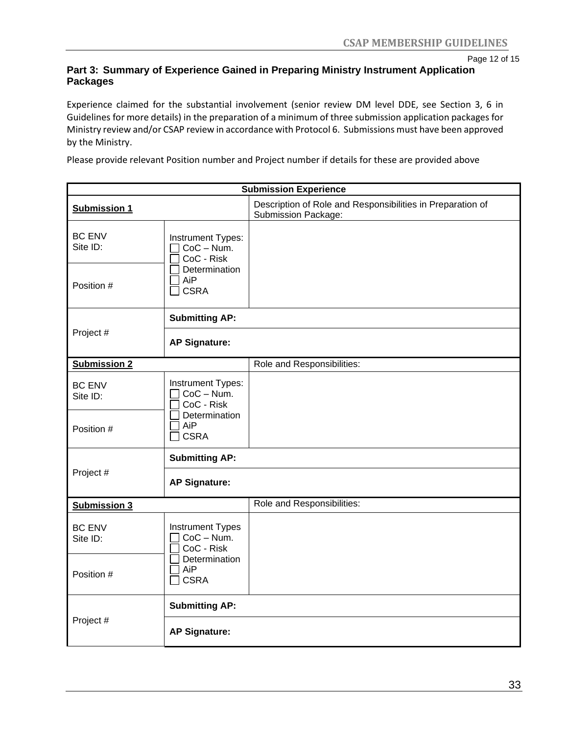Page 12 of 15

#### **Part 3: Summary of Experience Gained in Preparing Ministry Instrument Application Packages**

Experience claimed for the substantial involvement (senior review DM level DDE, see Section 3, 6 in Guidelines for more details) in the preparation of a minimum of three submission application packages for Ministry review and/or CSAP review in accordance with Protocol 6. Submissions must have been approved by the Ministry.

Please provide relevant Position number and Project number if details for these are provided above

|                           |                                                        | <b>Submission Experience</b>                                                             |
|---------------------------|--------------------------------------------------------|------------------------------------------------------------------------------------------|
| <b>Submission 1</b>       |                                                        | Description of Role and Responsibilities in Preparation of<br><b>Submission Package:</b> |
| <b>BC ENV</b><br>Site ID: | Instrument Types:<br>CoC - Num.<br>CoC - Risk          |                                                                                          |
| Position #                | Determination<br>AiP<br><b>CSRA</b>                    |                                                                                          |
|                           | <b>Submitting AP:</b>                                  |                                                                                          |
| Project #                 | <b>AP Signature:</b>                                   |                                                                                          |
| <b>Submission 2</b>       |                                                        | Role and Responsibilities:                                                               |
| <b>BC ENV</b><br>Site ID: | Instrument Types:<br>$CoC - Num.$<br>CoC - Risk        |                                                                                          |
| Position #                | Determination<br>AiP<br><b>CSRA</b>                    |                                                                                          |
|                           | <b>Submitting AP:</b>                                  |                                                                                          |
| Project #                 | <b>AP Signature:</b>                                   |                                                                                          |
| <b>Submission 3</b>       |                                                        | Role and Responsibilities:                                                               |
| <b>BC ENV</b><br>Site ID: | <b>Instrument Types</b><br>$CoC - Num$ .<br>CoC - Risk |                                                                                          |
| Position #                | Determination<br>AiP<br><b>CSRA</b>                    |                                                                                          |
|                           | <b>Submitting AP:</b>                                  |                                                                                          |
| Project #                 | <b>AP Signature:</b>                                   |                                                                                          |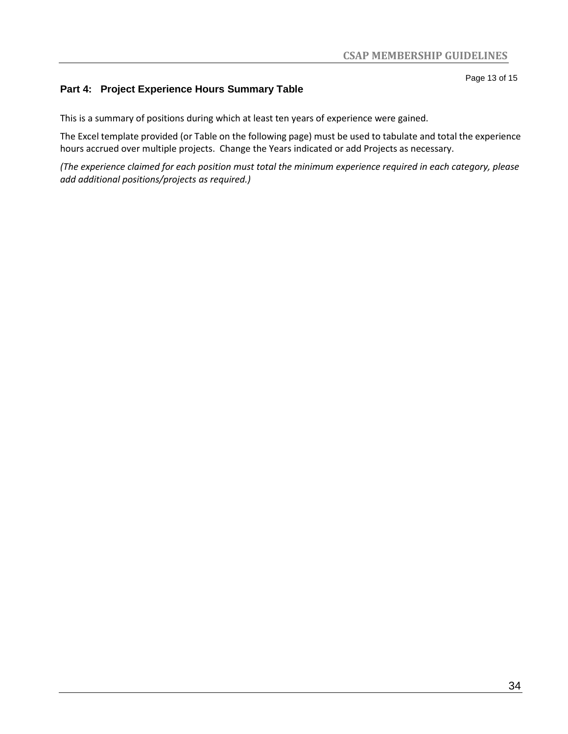### **Part 4: Project Experience Hours Summary Table**

This is a summary of positions during which at least ten years of experience were gained.

The Excel template provided (or Table on the following page) must be used to tabulate and total the experience hours accrued over multiple projects. Change the Years indicated or add Projects as necessary.

*(The experience claimed for each position must total the minimum experience required in each category, please add additional positions/projects as required.)*

Page 13 of 15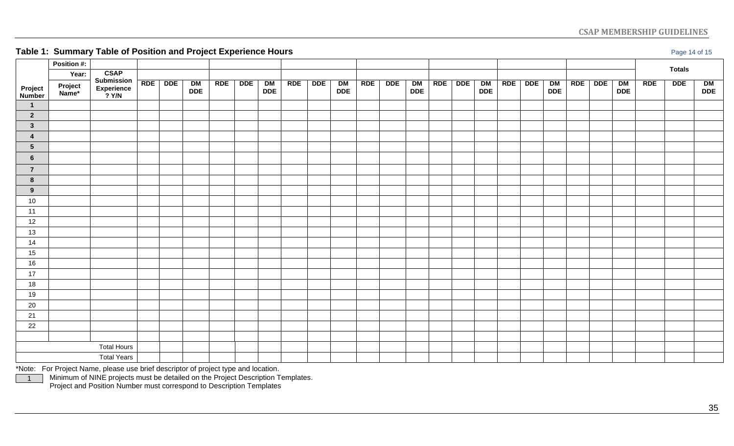### **CSAP MEMBERSHIP GUIDELINES**

**Table 1: Summary Table of Position and Project Experience Hours Page 14 of 15 Page 14 of 15 Page 14 of 15 Page 14 of 15** 

| <b>Totals</b><br>CSAP<br>Submission<br>Experience<br>? Y/N<br>Year:<br>RDE<br>DDE  <br><b>DDE</b><br><b>DDE</b><br>$\frac{\text{DM}}{\text{DDE}}$<br>RDE<br>DDE  <br>$\begin{array}{c}\nDR \\ DDE\n\end{array}$<br><b>RDE</b><br><b>DDE</b><br>DM<br>DDE<br><b>RDE</b><br><b>DDE</b><br>$\frac{\text{DM}}{\text{DDE}}$<br><b>RDE</b><br><b>DDE</b><br>$\begin{array}{c}\n\hline\nDM \\ \hline\nDDE\n\end{array}$<br>RDE<br>DM<br>DDE<br>RDE<br><b>DDE</b><br>DM<br>DDE<br>RDE<br>$\frac{DM}{DDE}$<br>Project<br>Name*<br>Project<br>Number<br>$\overline{\mathbf{1}}$<br>$\overline{2}$<br>$\mathbf{3}$<br>4<br>$5\phantom{.0}$<br>$6\phantom{a}$<br>$\overline{7}$<br>8<br>9<br>$10\,$<br>11<br>12<br>13<br>14<br>15<br>16<br>17<br>18<br>19<br>20<br>21<br>22<br><b>Total Hours</b><br><b>Total Years</b> | --<br>$\sim$ $\sim$ |  | $\sim$ $\sim$ | <b>COLLEGE</b> |  |  |  |  |  |  |  |  |  | ∵ ت |  |
|-------------------------------------------------------------------------------------------------------------------------------------------------------------------------------------------------------------------------------------------------------------------------------------------------------------------------------------------------------------------------------------------------------------------------------------------------------------------------------------------------------------------------------------------------------------------------------------------------------------------------------------------------------------------------------------------------------------------------------------------------------------------------------------------------------------|---------------------|--|---------------|----------------|--|--|--|--|--|--|--|--|--|-----|--|
|                                                                                                                                                                                                                                                                                                                                                                                                                                                                                                                                                                                                                                                                                                                                                                                                             | Position #:         |  |               |                |  |  |  |  |  |  |  |  |  |     |  |
|                                                                                                                                                                                                                                                                                                                                                                                                                                                                                                                                                                                                                                                                                                                                                                                                             |                     |  |               |                |  |  |  |  |  |  |  |  |  |     |  |
|                                                                                                                                                                                                                                                                                                                                                                                                                                                                                                                                                                                                                                                                                                                                                                                                             |                     |  |               |                |  |  |  |  |  |  |  |  |  |     |  |
|                                                                                                                                                                                                                                                                                                                                                                                                                                                                                                                                                                                                                                                                                                                                                                                                             |                     |  |               |                |  |  |  |  |  |  |  |  |  |     |  |
|                                                                                                                                                                                                                                                                                                                                                                                                                                                                                                                                                                                                                                                                                                                                                                                                             |                     |  |               |                |  |  |  |  |  |  |  |  |  |     |  |
|                                                                                                                                                                                                                                                                                                                                                                                                                                                                                                                                                                                                                                                                                                                                                                                                             |                     |  |               |                |  |  |  |  |  |  |  |  |  |     |  |
|                                                                                                                                                                                                                                                                                                                                                                                                                                                                                                                                                                                                                                                                                                                                                                                                             |                     |  |               |                |  |  |  |  |  |  |  |  |  |     |  |
|                                                                                                                                                                                                                                                                                                                                                                                                                                                                                                                                                                                                                                                                                                                                                                                                             |                     |  |               |                |  |  |  |  |  |  |  |  |  |     |  |
|                                                                                                                                                                                                                                                                                                                                                                                                                                                                                                                                                                                                                                                                                                                                                                                                             |                     |  |               |                |  |  |  |  |  |  |  |  |  |     |  |
|                                                                                                                                                                                                                                                                                                                                                                                                                                                                                                                                                                                                                                                                                                                                                                                                             |                     |  |               |                |  |  |  |  |  |  |  |  |  |     |  |
|                                                                                                                                                                                                                                                                                                                                                                                                                                                                                                                                                                                                                                                                                                                                                                                                             |                     |  |               |                |  |  |  |  |  |  |  |  |  |     |  |
|                                                                                                                                                                                                                                                                                                                                                                                                                                                                                                                                                                                                                                                                                                                                                                                                             |                     |  |               |                |  |  |  |  |  |  |  |  |  |     |  |
|                                                                                                                                                                                                                                                                                                                                                                                                                                                                                                                                                                                                                                                                                                                                                                                                             |                     |  |               |                |  |  |  |  |  |  |  |  |  |     |  |
|                                                                                                                                                                                                                                                                                                                                                                                                                                                                                                                                                                                                                                                                                                                                                                                                             |                     |  |               |                |  |  |  |  |  |  |  |  |  |     |  |
|                                                                                                                                                                                                                                                                                                                                                                                                                                                                                                                                                                                                                                                                                                                                                                                                             |                     |  |               |                |  |  |  |  |  |  |  |  |  |     |  |
|                                                                                                                                                                                                                                                                                                                                                                                                                                                                                                                                                                                                                                                                                                                                                                                                             |                     |  |               |                |  |  |  |  |  |  |  |  |  |     |  |
|                                                                                                                                                                                                                                                                                                                                                                                                                                                                                                                                                                                                                                                                                                                                                                                                             |                     |  |               |                |  |  |  |  |  |  |  |  |  |     |  |
|                                                                                                                                                                                                                                                                                                                                                                                                                                                                                                                                                                                                                                                                                                                                                                                                             |                     |  |               |                |  |  |  |  |  |  |  |  |  |     |  |
|                                                                                                                                                                                                                                                                                                                                                                                                                                                                                                                                                                                                                                                                                                                                                                                                             |                     |  |               |                |  |  |  |  |  |  |  |  |  |     |  |
|                                                                                                                                                                                                                                                                                                                                                                                                                                                                                                                                                                                                                                                                                                                                                                                                             |                     |  |               |                |  |  |  |  |  |  |  |  |  |     |  |
|                                                                                                                                                                                                                                                                                                                                                                                                                                                                                                                                                                                                                                                                                                                                                                                                             |                     |  |               |                |  |  |  |  |  |  |  |  |  |     |  |
|                                                                                                                                                                                                                                                                                                                                                                                                                                                                                                                                                                                                                                                                                                                                                                                                             |                     |  |               |                |  |  |  |  |  |  |  |  |  |     |  |
|                                                                                                                                                                                                                                                                                                                                                                                                                                                                                                                                                                                                                                                                                                                                                                                                             |                     |  |               |                |  |  |  |  |  |  |  |  |  |     |  |
|                                                                                                                                                                                                                                                                                                                                                                                                                                                                                                                                                                                                                                                                                                                                                                                                             |                     |  |               |                |  |  |  |  |  |  |  |  |  |     |  |
|                                                                                                                                                                                                                                                                                                                                                                                                                                                                                                                                                                                                                                                                                                                                                                                                             |                     |  |               |                |  |  |  |  |  |  |  |  |  |     |  |
|                                                                                                                                                                                                                                                                                                                                                                                                                                                                                                                                                                                                                                                                                                                                                                                                             |                     |  |               |                |  |  |  |  |  |  |  |  |  |     |  |
|                                                                                                                                                                                                                                                                                                                                                                                                                                                                                                                                                                                                                                                                                                                                                                                                             |                     |  |               |                |  |  |  |  |  |  |  |  |  |     |  |
|                                                                                                                                                                                                                                                                                                                                                                                                                                                                                                                                                                                                                                                                                                                                                                                                             |                     |  |               |                |  |  |  |  |  |  |  |  |  |     |  |

\*Note: For Project Name, please use brief descriptor of project type and location.

1

Minimum of NINE projects must be detailed on the Project Description Templates.

Project and Position Number must correspond to Description Templates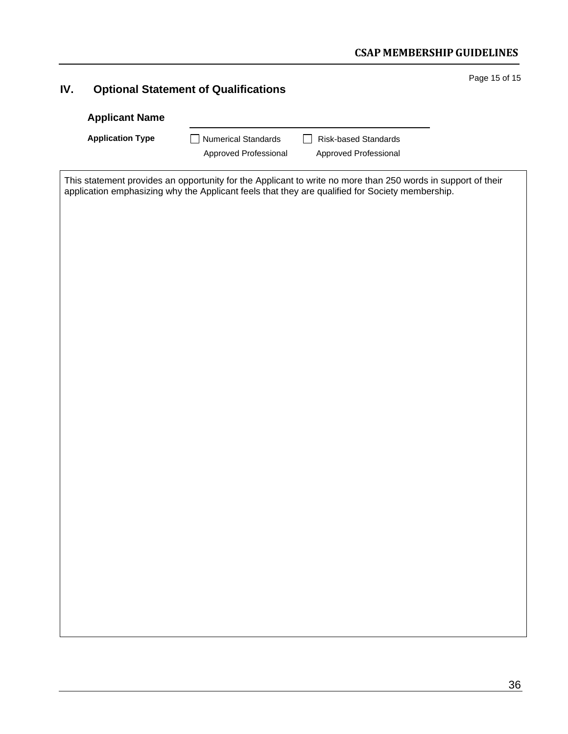| IV. |                         | <b>Optional Statement of Qualifications</b> |                                                                                                                                                                                                                 | Page 15 of 15 |
|-----|-------------------------|---------------------------------------------|-----------------------------------------------------------------------------------------------------------------------------------------------------------------------------------------------------------------|---------------|
|     | <b>Applicant Name</b>   |                                             |                                                                                                                                                                                                                 |               |
|     | <b>Application Type</b> | <b>Numerical Standards</b>                  | <b>Risk-based Standards</b><br>$\mathsf{L}$                                                                                                                                                                     |               |
|     |                         | Approved Professional                       | Approved Professional                                                                                                                                                                                           |               |
|     |                         |                                             | This statement provides an opportunity for the Applicant to write no more than 250 words in support of their<br>application emphasizing why the Applicant feels that they are qualified for Society membership. |               |
|     |                         |                                             |                                                                                                                                                                                                                 |               |
|     |                         |                                             |                                                                                                                                                                                                                 |               |
|     |                         |                                             |                                                                                                                                                                                                                 |               |
|     |                         |                                             |                                                                                                                                                                                                                 |               |
|     |                         |                                             |                                                                                                                                                                                                                 |               |
|     |                         |                                             |                                                                                                                                                                                                                 |               |
|     |                         |                                             |                                                                                                                                                                                                                 |               |
|     |                         |                                             |                                                                                                                                                                                                                 |               |
|     |                         |                                             |                                                                                                                                                                                                                 |               |
|     |                         |                                             |                                                                                                                                                                                                                 |               |
|     |                         |                                             |                                                                                                                                                                                                                 |               |
|     |                         |                                             |                                                                                                                                                                                                                 |               |
|     |                         |                                             |                                                                                                                                                                                                                 |               |
|     |                         |                                             |                                                                                                                                                                                                                 |               |
|     |                         |                                             |                                                                                                                                                                                                                 |               |
|     |                         |                                             |                                                                                                                                                                                                                 |               |
|     |                         |                                             |                                                                                                                                                                                                                 |               |
|     |                         |                                             |                                                                                                                                                                                                                 |               |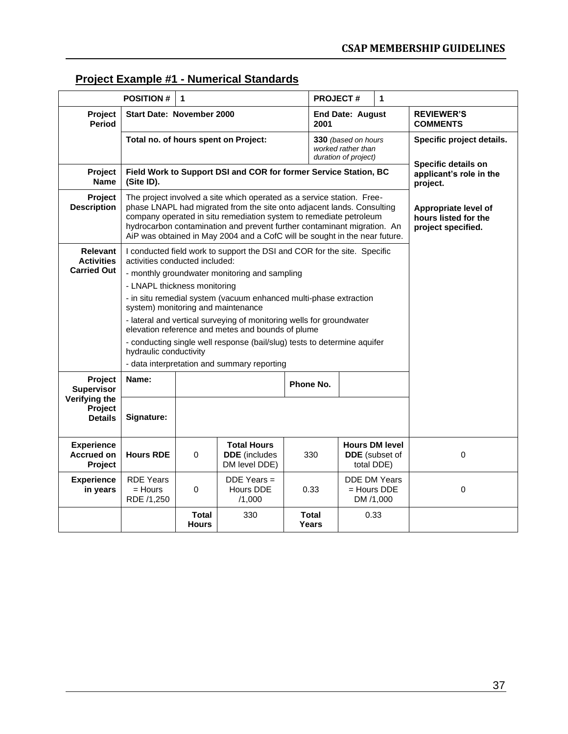# **Project Example #1 - Numerical Standards**

|                                                   | <b>POSITION#</b>                                                                                                                                                                                                                                                                                                                                                                | $\mathbf{1}$                 |                                                                                                                           | <b>PROJECT#</b>       |                                                                   | 1                     |                                                  |
|---------------------------------------------------|---------------------------------------------------------------------------------------------------------------------------------------------------------------------------------------------------------------------------------------------------------------------------------------------------------------------------------------------------------------------------------|------------------------------|---------------------------------------------------------------------------------------------------------------------------|-----------------------|-------------------------------------------------------------------|-----------------------|--------------------------------------------------|
| Project<br><b>Period</b>                          | <b>Start Date: November 2000</b>                                                                                                                                                                                                                                                                                                                                                |                              |                                                                                                                           | 2001                  | <b>End Date: August</b>                                           |                       | <b>REVIEWER'S</b><br><b>COMMENTS</b>             |
|                                                   |                                                                                                                                                                                                                                                                                                                                                                                 |                              | Total no. of hours spent on Project:                                                                                      |                       | 330 (based on hours<br>worked rather than<br>duration of project) |                       | Specific project details.<br>Specific details on |
| Project<br><b>Name</b>                            | Field Work to Support DSI and COR for former Service Station, BC<br>(Site ID).                                                                                                                                                                                                                                                                                                  |                              | applicant's role in the<br>project.                                                                                       |                       |                                                                   |                       |                                                  |
| Project<br><b>Description</b>                     | The project involved a site which operated as a service station. Free-<br>phase LNAPL had migrated from the site onto adjacent lands. Consulting<br>company operated in situ remediation system to remediate petroleum<br>hydrocarbon contamination and prevent further contaminant migration. An<br>AiP was obtained in May 2004 and a CofC will be sought in the near future. |                              | Appropriate level of<br>hours listed for the<br>project specified.                                                        |                       |                                                                   |                       |                                                  |
| <b>Relevant</b><br><b>Activities</b>              | activities conducted included:                                                                                                                                                                                                                                                                                                                                                  |                              | I conducted field work to support the DSI and COR for the site. Specific                                                  |                       |                                                                   |                       |                                                  |
| <b>Carried Out</b>                                |                                                                                                                                                                                                                                                                                                                                                                                 |                              | - monthly groundwater monitoring and sampling                                                                             |                       |                                                                   |                       |                                                  |
|                                                   | - LNAPL thickness monitoring                                                                                                                                                                                                                                                                                                                                                    |                              |                                                                                                                           |                       |                                                                   |                       |                                                  |
|                                                   | system) monitoring and maintenance                                                                                                                                                                                                                                                                                                                                              |                              | - in situ remedial system (vacuum enhanced multi-phase extraction                                                         |                       |                                                                   |                       |                                                  |
|                                                   |                                                                                                                                                                                                                                                                                                                                                                                 |                              | - lateral and vertical surveying of monitoring wells for groundwater<br>elevation reference and metes and bounds of plume |                       |                                                                   |                       |                                                  |
|                                                   | hydraulic conductivity                                                                                                                                                                                                                                                                                                                                                          |                              | - conducting single well response (bail/slug) tests to determine aquifer                                                  |                       |                                                                   |                       |                                                  |
|                                                   |                                                                                                                                                                                                                                                                                                                                                                                 |                              | - data interpretation and summary reporting                                                                               |                       |                                                                   |                       |                                                  |
| Project<br><b>Supervisor</b>                      | Name:                                                                                                                                                                                                                                                                                                                                                                           |                              |                                                                                                                           | Phone No.             |                                                                   |                       |                                                  |
| Verifying the<br>Project<br><b>Details</b>        | Signature:                                                                                                                                                                                                                                                                                                                                                                      |                              |                                                                                                                           |                       |                                                                   |                       |                                                  |
| <b>Experience</b><br><b>Accrued on</b><br>Project | <b>Hours RDE</b>                                                                                                                                                                                                                                                                                                                                                                | $\Omega$                     | <b>Total Hours</b><br><b>DDE</b> (includes<br>DM level DDE)                                                               | 330                   | <b>Hours DM level</b><br>total DDE)                               | <b>DDE</b> (subset of | 0                                                |
| <b>Experience</b><br>in years                     | <b>RDE Years</b><br>$=$ Hours<br>RDE /1,250                                                                                                                                                                                                                                                                                                                                     | $\mathbf 0$                  | $DDE$ Years =<br>Hours DDE<br>/1,000                                                                                      | 0.33                  | <b>DDE DM Years</b><br>= Hours DDE<br>DM /1,000                   |                       | $\mathbf 0$                                      |
|                                                   |                                                                                                                                                                                                                                                                                                                                                                                 | <b>Total</b><br><b>Hours</b> | 330                                                                                                                       | <b>Total</b><br>Years | 0.33                                                              |                       |                                                  |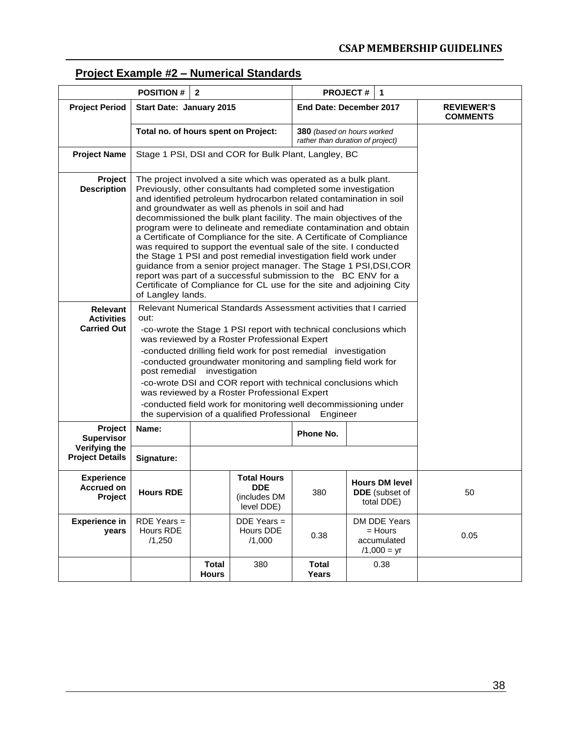### **Project Example #2 – Numerical Standards**

|                                                            | <b>POSITION#</b>                                                                                                                                                                                                                                                                                                                                                                                                                                                                                                                                                                                                                                                                                                                                                                                                                                               | $\overline{2}$                                       |                                                                                                                                                                                                                                                                                                                                                                                                                                                                                                               |                                                                   | <b>PROJECT#</b> | 1    |                                      |  |  |  |  |  |
|------------------------------------------------------------|----------------------------------------------------------------------------------------------------------------------------------------------------------------------------------------------------------------------------------------------------------------------------------------------------------------------------------------------------------------------------------------------------------------------------------------------------------------------------------------------------------------------------------------------------------------------------------------------------------------------------------------------------------------------------------------------------------------------------------------------------------------------------------------------------------------------------------------------------------------|------------------------------------------------------|---------------------------------------------------------------------------------------------------------------------------------------------------------------------------------------------------------------------------------------------------------------------------------------------------------------------------------------------------------------------------------------------------------------------------------------------------------------------------------------------------------------|-------------------------------------------------------------------|-----------------|------|--------------------------------------|--|--|--|--|--|
| <b>Project Period</b>                                      | Start Date: January 2015                                                                                                                                                                                                                                                                                                                                                                                                                                                                                                                                                                                                                                                                                                                                                                                                                                       |                                                      |                                                                                                                                                                                                                                                                                                                                                                                                                                                                                                               | End Date: December 2017                                           |                 |      | <b>REVIEWER'S</b><br><b>COMMENTS</b> |  |  |  |  |  |
|                                                            | Total no. of hours spent on Project:                                                                                                                                                                                                                                                                                                                                                                                                                                                                                                                                                                                                                                                                                                                                                                                                                           |                                                      |                                                                                                                                                                                                                                                                                                                                                                                                                                                                                                               | 380 (based on hours worked<br>rather than duration of project)    |                 |      |                                      |  |  |  |  |  |
| <b>Project Name</b>                                        |                                                                                                                                                                                                                                                                                                                                                                                                                                                                                                                                                                                                                                                                                                                                                                                                                                                                | Stage 1 PSI, DSI and COR for Bulk Plant, Langley, BC |                                                                                                                                                                                                                                                                                                                                                                                                                                                                                                               |                                                                   |                 |      |                                      |  |  |  |  |  |
| Project<br><b>Description</b>                              | The project involved a site which was operated as a bulk plant.<br>Previously, other consultants had completed some investigation<br>and identified petroleum hydrocarbon related contamination in soil<br>and groundwater as well as phenols in soil and had<br>decommissioned the bulk plant facility. The main objectives of the<br>program were to delineate and remediate contamination and obtain<br>a Certificate of Compliance for the site. A Certificate of Compliance<br>was required to support the eventual sale of the site. I conducted<br>the Stage 1 PSI and post remedial investigation field work under<br>guidance from a senior project manager. The Stage 1 PSI, DSI, COR<br>report was part of a successful submission to the BC ENV for a<br>Certificate of Compliance for CL use for the site and adjoining City<br>of Langley lands. |                                                      |                                                                                                                                                                                                                                                                                                                                                                                                                                                                                                               |                                                                   |                 |      |                                      |  |  |  |  |  |
| <b>Relevant</b><br><b>Activities</b><br><b>Carried Out</b> | out:<br>post remedial investigation                                                                                                                                                                                                                                                                                                                                                                                                                                                                                                                                                                                                                                                                                                                                                                                                                            |                                                      | Relevant Numerical Standards Assessment activities that I carried<br>-co-wrote the Stage 1 PSI report with technical conclusions which<br>was reviewed by a Roster Professional Expert<br>-conducted drilling field work for post remedial investigation<br>-conducted groundwater monitoring and sampling field work for<br>-co-wrote DSI and COR report with technical conclusions which<br>was reviewed by a Roster Professional Expert<br>-conducted field work for monitoring well decommissioning under |                                                                   |                 |      |                                      |  |  |  |  |  |
|                                                            |                                                                                                                                                                                                                                                                                                                                                                                                                                                                                                                                                                                                                                                                                                                                                                                                                                                                |                                                      | the supervision of a qualified Professional                                                                                                                                                                                                                                                                                                                                                                                                                                                                   | Engineer                                                          |                 |      |                                      |  |  |  |  |  |
| Project<br><b>Supervisor</b>                               | Name:                                                                                                                                                                                                                                                                                                                                                                                                                                                                                                                                                                                                                                                                                                                                                                                                                                                          |                                                      |                                                                                                                                                                                                                                                                                                                                                                                                                                                                                                               | Phone No.                                                         |                 |      |                                      |  |  |  |  |  |
| Verifying the<br><b>Project Details</b>                    | Signature:                                                                                                                                                                                                                                                                                                                                                                                                                                                                                                                                                                                                                                                                                                                                                                                                                                                     |                                                      |                                                                                                                                                                                                                                                                                                                                                                                                                                                                                                               |                                                                   |                 |      |                                      |  |  |  |  |  |
| <b>Experience</b><br><b>Accrued on</b><br>Project          | <b>Hours RDE</b>                                                                                                                                                                                                                                                                                                                                                                                                                                                                                                                                                                                                                                                                                                                                                                                                                                               |                                                      | <b>Total Hours</b><br><b>DDE</b><br>(includes DM<br>level DDE)                                                                                                                                                                                                                                                                                                                                                                                                                                                | 50                                                                |                 |      |                                      |  |  |  |  |  |
| <b>Experience in</b><br>years                              | $RDE$ Years =<br>Hours RDE<br>/1,250                                                                                                                                                                                                                                                                                                                                                                                                                                                                                                                                                                                                                                                                                                                                                                                                                           |                                                      | $DDE$ Years =<br>Hours DDE<br>/1,000                                                                                                                                                                                                                                                                                                                                                                                                                                                                          | DM DDE Years<br>$=$ Hours<br>0.38<br>accumulated<br>$/1,000 = yr$ |                 | 0.05 |                                      |  |  |  |  |  |
|                                                            | <b>Total</b><br><b>Total</b><br>380<br>0.38<br><b>Years</b><br><b>Hours</b>                                                                                                                                                                                                                                                                                                                                                                                                                                                                                                                                                                                                                                                                                                                                                                                    |                                                      |                                                                                                                                                                                                                                                                                                                                                                                                                                                                                                               |                                                                   |                 |      |                                      |  |  |  |  |  |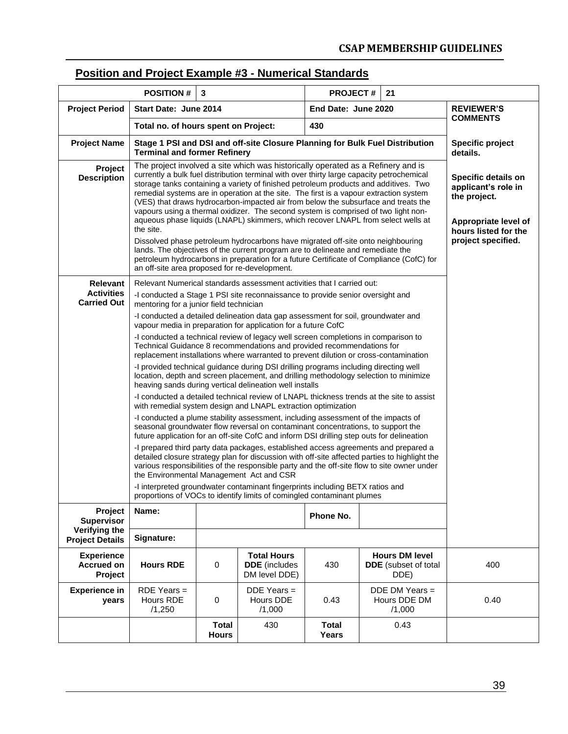### **Position and Project Example #3 - Numerical Standards**

|                                                     | <b>POSITION#</b>                                                                                                                                                                                                                                                                                                                                                                                                                                                                                                                                                                                                                                                                                                                                                                                                                                                                                                                                               | 3                            |                                                                                                                                                                                                                                                                                     | <b>PROJECT#</b>                                  |                                                      | 21  |                                     |
|-----------------------------------------------------|----------------------------------------------------------------------------------------------------------------------------------------------------------------------------------------------------------------------------------------------------------------------------------------------------------------------------------------------------------------------------------------------------------------------------------------------------------------------------------------------------------------------------------------------------------------------------------------------------------------------------------------------------------------------------------------------------------------------------------------------------------------------------------------------------------------------------------------------------------------------------------------------------------------------------------------------------------------|------------------------------|-------------------------------------------------------------------------------------------------------------------------------------------------------------------------------------------------------------------------------------------------------------------------------------|--------------------------------------------------|------------------------------------------------------|-----|-------------------------------------|
| <b>Project Period</b>                               | Start Date: June 2014                                                                                                                                                                                                                                                                                                                                                                                                                                                                                                                                                                                                                                                                                                                                                                                                                                                                                                                                          |                              |                                                                                                                                                                                                                                                                                     | End Date: June 2020                              |                                                      |     | <b>REVIEWER'S</b>                   |
|                                                     | Total no. of hours spent on Project:                                                                                                                                                                                                                                                                                                                                                                                                                                                                                                                                                                                                                                                                                                                                                                                                                                                                                                                           |                              |                                                                                                                                                                                                                                                                                     | 430                                              |                                                      |     | <b>COMMENTS</b>                     |
| <b>Project Name</b>                                 | <b>Terminal and former Refinery</b>                                                                                                                                                                                                                                                                                                                                                                                                                                                                                                                                                                                                                                                                                                                                                                                                                                                                                                                            |                              | Stage 1 PSI and DSI and off-site Closure Planning for Bulk Fuel Distribution                                                                                                                                                                                                        |                                                  |                                                      |     | <b>Specific project</b><br>details. |
| Project<br><b>Description</b>                       | The project involved a site which was historically operated as a Refinery and is<br>currently a bulk fuel distribution terminal with over thirty large capacity petrochemical<br>storage tanks containing a variety of finished petroleum products and additives. Two<br>remedial systems are in operation at the site. The first is a vapour extraction system<br>(VES) that draws hydrocarbon-impacted air from below the subsurface and treats the<br>vapours using a thermal oxidizer. The second system is comprised of two light non-<br>aqueous phase liquids (LNAPL) skimmers, which recover LNAPL from select wells at<br>the site.<br>Dissolved phase petroleum hydrocarbons have migrated off-site onto neighbouring<br>lands. The objectives of the current program are to delineate and remediate the<br>petroleum hydrocarbons in preparation for a future Certificate of Compliance (CofC) for<br>an off-site area proposed for re-development. |                              | Specific details on<br>applicant's role in<br>the project.<br>Appropriate level of<br>hours listed for the<br>project specified.                                                                                                                                                    |                                                  |                                                      |     |                                     |
| Relevant<br><b>Activities</b><br><b>Carried Out</b> | Relevant Numerical standards assessment activities that I carried out:<br>-I conducted a Stage 1 PSI site reconnaissance to provide senior oversight and<br>mentoring for a junior field technician                                                                                                                                                                                                                                                                                                                                                                                                                                                                                                                                                                                                                                                                                                                                                            |                              |                                                                                                                                                                                                                                                                                     |                                                  |                                                      |     |                                     |
|                                                     |                                                                                                                                                                                                                                                                                                                                                                                                                                                                                                                                                                                                                                                                                                                                                                                                                                                                                                                                                                |                              | -I conducted a detailed delineation data gap assessment for soil, groundwater and<br>vapour media in preparation for application for a future CofC                                                                                                                                  |                                                  |                                                      |     |                                     |
|                                                     |                                                                                                                                                                                                                                                                                                                                                                                                                                                                                                                                                                                                                                                                                                                                                                                                                                                                                                                                                                |                              | -I conducted a technical review of legacy well screen completions in comparison to<br>Technical Guidance 8 recommendations and provided recommendations for<br>replacement installations where warranted to prevent dilution or cross-contamination                                 |                                                  |                                                      |     |                                     |
|                                                     |                                                                                                                                                                                                                                                                                                                                                                                                                                                                                                                                                                                                                                                                                                                                                                                                                                                                                                                                                                |                              | -I provided technical guidance during DSI drilling programs including directing well<br>location, depth and screen placement, and drilling methodology selection to minimize<br>heaving sands during vertical delineation well installs                                             |                                                  |                                                      |     |                                     |
|                                                     |                                                                                                                                                                                                                                                                                                                                                                                                                                                                                                                                                                                                                                                                                                                                                                                                                                                                                                                                                                |                              | -I conducted a detailed technical review of LNAPL thickness trends at the site to assist<br>with remedial system design and LNAPL extraction optimization                                                                                                                           |                                                  |                                                      |     |                                     |
|                                                     |                                                                                                                                                                                                                                                                                                                                                                                                                                                                                                                                                                                                                                                                                                                                                                                                                                                                                                                                                                |                              | -I conducted a plume stability assessment, including assessment of the impacts of<br>seasonal groundwater flow reversal on contaminant concentrations, to support the<br>future application for an off-site CofC and inform DSI drilling step outs for delineation                  |                                                  |                                                      |     |                                     |
|                                                     | the Environmental Management Act and CSR                                                                                                                                                                                                                                                                                                                                                                                                                                                                                                                                                                                                                                                                                                                                                                                                                                                                                                                       |                              | -I prepared third party data packages, established access agreements and prepared a<br>detailed closure strategy plan for discussion with off-site affected parties to highlight the<br>various responsibilities of the responsible party and the off-site flow to site owner under |                                                  |                                                      |     |                                     |
|                                                     |                                                                                                                                                                                                                                                                                                                                                                                                                                                                                                                                                                                                                                                                                                                                                                                                                                                                                                                                                                |                              | -I interpreted groundwater contaminant fingerprints including BETX ratios and<br>proportions of VOCs to identify limits of comingled contaminant plumes                                                                                                                             |                                                  |                                                      |     |                                     |
| Project<br><b>Supervisor</b>                        | Name:                                                                                                                                                                                                                                                                                                                                                                                                                                                                                                                                                                                                                                                                                                                                                                                                                                                                                                                                                          |                              |                                                                                                                                                                                                                                                                                     | Phone No.                                        |                                                      |     |                                     |
| Verifying the<br><b>Project Details</b>             | Signature:                                                                                                                                                                                                                                                                                                                                                                                                                                                                                                                                                                                                                                                                                                                                                                                                                                                                                                                                                     |                              |                                                                                                                                                                                                                                                                                     |                                                  |                                                      |     |                                     |
| <b>Experience</b><br><b>Accrued on</b><br>Project   | <b>Hours RDE</b>                                                                                                                                                                                                                                                                                                                                                                                                                                                                                                                                                                                                                                                                                                                                                                                                                                                                                                                                               | 0                            | <b>Total Hours</b><br><b>DDE</b> (includes<br>DM level DDE)                                                                                                                                                                                                                         | 430                                              | <b>Hours DM level</b><br><b>DDE</b> (subset of total | 400 |                                     |
| <b>Experience in</b><br>vears                       | $RDE$ Years =<br>Hours RDE<br>/1,250                                                                                                                                                                                                                                                                                                                                                                                                                                                                                                                                                                                                                                                                                                                                                                                                                                                                                                                           | 0                            | $DDE$ Years =<br>Hours DDE<br>/1,000                                                                                                                                                                                                                                                | DDE DM Years =<br>Hours DDE DM<br>0.43<br>/1,000 |                                                      |     | 0.40                                |
|                                                     |                                                                                                                                                                                                                                                                                                                                                                                                                                                                                                                                                                                                                                                                                                                                                                                                                                                                                                                                                                | <b>Total</b><br><b>Hours</b> | 430                                                                                                                                                                                                                                                                                 | <b>Total</b><br>Years                            |                                                      |     |                                     |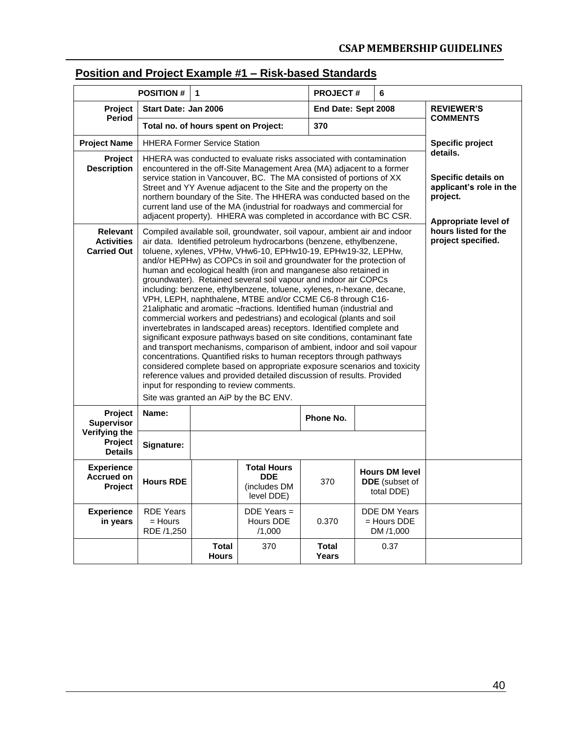### **Position and Project Example #1 – Risk-based Standards**

|                                                            | <b>POSITION #</b>                                                                                                                                                                                                                                                                                                                                                                                                                                                                                                | $\blacktriangleleft$         |                                                                                                                                                                                                                                                                                                                                                                                                                                                                                                                                                                                                                                                                                                                                                                                                                                                                                                                                                                                                                                                                                                                                                                                                                                                                              | <b>PROJECT#</b>              |                                            | 6                                                     |                   |
|------------------------------------------------------------|------------------------------------------------------------------------------------------------------------------------------------------------------------------------------------------------------------------------------------------------------------------------------------------------------------------------------------------------------------------------------------------------------------------------------------------------------------------------------------------------------------------|------------------------------|------------------------------------------------------------------------------------------------------------------------------------------------------------------------------------------------------------------------------------------------------------------------------------------------------------------------------------------------------------------------------------------------------------------------------------------------------------------------------------------------------------------------------------------------------------------------------------------------------------------------------------------------------------------------------------------------------------------------------------------------------------------------------------------------------------------------------------------------------------------------------------------------------------------------------------------------------------------------------------------------------------------------------------------------------------------------------------------------------------------------------------------------------------------------------------------------------------------------------------------------------------------------------|------------------------------|--------------------------------------------|-------------------------------------------------------|-------------------|
| <b>Project</b>                                             | Start Date: Jan 2006                                                                                                                                                                                                                                                                                                                                                                                                                                                                                             |                              |                                                                                                                                                                                                                                                                                                                                                                                                                                                                                                                                                                                                                                                                                                                                                                                                                                                                                                                                                                                                                                                                                                                                                                                                                                                                              | End Date: Sept 2008          |                                            |                                                       | <b>REVIEWER'S</b> |
| Period                                                     | Total no. of hours spent on Project:                                                                                                                                                                                                                                                                                                                                                                                                                                                                             |                              |                                                                                                                                                                                                                                                                                                                                                                                                                                                                                                                                                                                                                                                                                                                                                                                                                                                                                                                                                                                                                                                                                                                                                                                                                                                                              | 370                          |                                            |                                                       | <b>COMMENTS</b>   |
| <b>Project Name</b>                                        | <b>HHERA Former Service Station</b>                                                                                                                                                                                                                                                                                                                                                                                                                                                                              |                              |                                                                                                                                                                                                                                                                                                                                                                                                                                                                                                                                                                                                                                                                                                                                                                                                                                                                                                                                                                                                                                                                                                                                                                                                                                                                              |                              |                                            |                                                       | Specific project  |
| <b>Project</b><br><b>Description</b>                       | HHERA was conducted to evaluate risks associated with contamination<br>encountered in the off-Site Management Area (MA) adjacent to a former<br>service station in Vancouver, BC. The MA consisted of portions of XX<br>Street and YY Avenue adjacent to the Site and the property on the<br>northern boundary of the Site. The HHERA was conducted based on the<br>current land use of the MA (industrial for roadways and commercial for<br>adjacent property). HHERA was completed in accordance with BC CSR. |                              | details.<br>Specific details on<br>applicant's role in the<br>project.<br>Appropriate level of                                                                                                                                                                                                                                                                                                                                                                                                                                                                                                                                                                                                                                                                                                                                                                                                                                                                                                                                                                                                                                                                                                                                                                               |                              |                                            |                                                       |                   |
| <b>Relevant</b><br><b>Activities</b><br><b>Carried Out</b> |                                                                                                                                                                                                                                                                                                                                                                                                                                                                                                                  |                              | Compiled available soil, groundwater, soil vapour, ambient air and indoor<br>air data. Identified petroleum hydrocarbons (benzene, ethylbenzene,<br>toluene, xylenes, VPHw, VHw6-10, EPHw10-19, EPHw19-32, LEPHw,<br>and/or HEPHw) as COPCs in soil and groundwater for the protection of<br>human and ecological health (iron and manganese also retained in<br>groundwater). Retained several soil vapour and indoor air COPCs<br>including: benzene, ethylbenzene, toluene, xylenes, n-hexane, decane,<br>VPH, LEPH, naphthalene, MTBE and/or CCME C6-8 through C16-<br>21 aliphatic and aromatic ¬fractions. Identified human (industrial and<br>commercial workers and pedestrians) and ecological (plants and soil<br>invertebrates in landscaped areas) receptors. Identified complete and<br>significant exposure pathways based on site conditions, contaminant fate<br>and transport mechanisms, comparison of ambient, indoor and soil vapour<br>concentrations. Quantified risks to human receptors through pathways<br>considered complete based on appropriate exposure scenarios and toxicity<br>reference values and provided detailed discussion of results. Provided<br>input for responding to review comments.<br>Site was granted an AiP by the BC ENV. |                              | hours listed for the<br>project specified. |                                                       |                   |
| Project<br><b>Supervisor</b>                               | Name:                                                                                                                                                                                                                                                                                                                                                                                                                                                                                                            |                              |                                                                                                                                                                                                                                                                                                                                                                                                                                                                                                                                                                                                                                                                                                                                                                                                                                                                                                                                                                                                                                                                                                                                                                                                                                                                              | Phone No.                    |                                            |                                                       |                   |
| Verifying the<br>Project<br><b>Details</b>                 | Signature:                                                                                                                                                                                                                                                                                                                                                                                                                                                                                                       |                              |                                                                                                                                                                                                                                                                                                                                                                                                                                                                                                                                                                                                                                                                                                                                                                                                                                                                                                                                                                                                                                                                                                                                                                                                                                                                              |                              |                                            |                                                       |                   |
| <b>Experience</b><br><b>Accrued on</b><br>Project          | <b>Hours RDE</b>                                                                                                                                                                                                                                                                                                                                                                                                                                                                                                 |                              | <b>Total Hours</b><br><b>DDE</b><br>(includes DM<br>level DDE)                                                                                                                                                                                                                                                                                                                                                                                                                                                                                                                                                                                                                                                                                                                                                                                                                                                                                                                                                                                                                                                                                                                                                                                                               | 370                          |                                            | <b>Hours DM level</b><br>DDE (subset of<br>total DDE) |                   |
| <b>Experience</b><br>in years                              | <b>RDE Years</b><br>$=$ Hours<br>RDE /1,250                                                                                                                                                                                                                                                                                                                                                                                                                                                                      |                              | $DDE$ Years =<br>Hours DDE<br>/1,000                                                                                                                                                                                                                                                                                                                                                                                                                                                                                                                                                                                                                                                                                                                                                                                                                                                                                                                                                                                                                                                                                                                                                                                                                                         | 0.370                        |                                            | <b>DDE DM Years</b><br>= Hours DDE<br>DM /1,000       |                   |
|                                                            |                                                                                                                                                                                                                                                                                                                                                                                                                                                                                                                  | <b>Total</b><br><b>Hours</b> | 370                                                                                                                                                                                                                                                                                                                                                                                                                                                                                                                                                                                                                                                                                                                                                                                                                                                                                                                                                                                                                                                                                                                                                                                                                                                                          | <b>Total</b><br><b>Years</b> |                                            | 0.37                                                  |                   |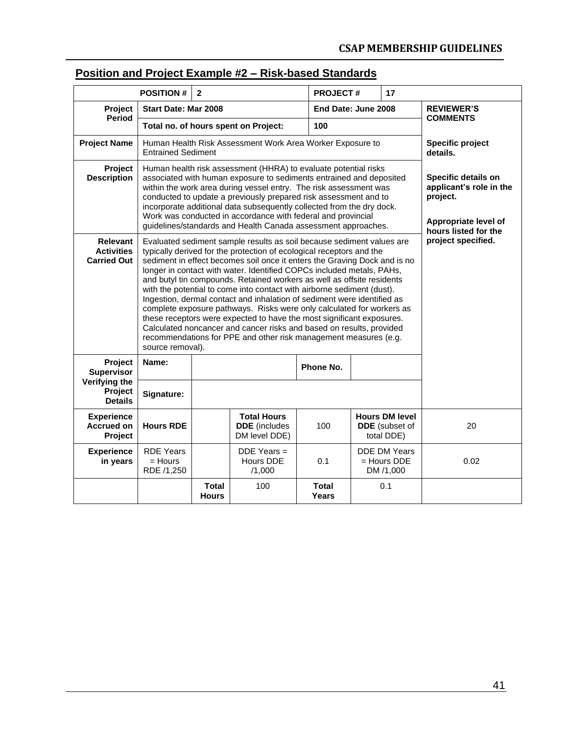### **Position and Project Example #2 – Risk-based Standards**

|                                                     | <b>POSITION #</b>                                                                                                                                                                                                                                                                                                                                                                                                        | $\mathbf{2}$                                                                                                                                                                                                                                                                                                                                                                                                                                                                                                                                                                                                                                                                                                                                                                                                                                                                                      |                                                             | <b>PROJECT#</b> |                     | 17                                                           |                              |
|-----------------------------------------------------|--------------------------------------------------------------------------------------------------------------------------------------------------------------------------------------------------------------------------------------------------------------------------------------------------------------------------------------------------------------------------------------------------------------------------|---------------------------------------------------------------------------------------------------------------------------------------------------------------------------------------------------------------------------------------------------------------------------------------------------------------------------------------------------------------------------------------------------------------------------------------------------------------------------------------------------------------------------------------------------------------------------------------------------------------------------------------------------------------------------------------------------------------------------------------------------------------------------------------------------------------------------------------------------------------------------------------------------|-------------------------------------------------------------|-----------------|---------------------|--------------------------------------------------------------|------------------------------|
| Start Date: Mar 2008<br>Project                     |                                                                                                                                                                                                                                                                                                                                                                                                                          |                                                                                                                                                                                                                                                                                                                                                                                                                                                                                                                                                                                                                                                                                                                                                                                                                                                                                                   |                                                             |                 | End Date: June 2008 |                                                              | <b>REVIEWER'S</b>            |
|                                                     | <b>Period</b><br>Total no. of hours spent on Project:<br>100                                                                                                                                                                                                                                                                                                                                                             |                                                                                                                                                                                                                                                                                                                                                                                                                                                                                                                                                                                                                                                                                                                                                                                                                                                                                                   |                                                             |                 |                     | <b>COMMENTS</b>                                              |                              |
| <b>Project Name</b>                                 | <b>Entrained Sediment</b>                                                                                                                                                                                                                                                                                                                                                                                                |                                                                                                                                                                                                                                                                                                                                                                                                                                                                                                                                                                                                                                                                                                                                                                                                                                                                                                   | Human Health Risk Assessment Work Area Worker Exposure to   |                 |                     |                                                              | Specific project<br>details. |
| Project<br><b>Description</b>                       | Human health risk assessment (HHRA) to evaluate potential risks<br>associated with human exposure to sediments entrained and deposited<br>within the work area during vessel entry. The risk assessment was<br>conducted to update a previously prepared risk assessment and to<br>incorporate additional data subsequently collected from the dry dock.<br>Work was conducted in accordance with federal and provincial | Specific details on<br>applicant's role in the<br>project.<br>Appropriate level of<br>hours listed for the                                                                                                                                                                                                                                                                                                                                                                                                                                                                                                                                                                                                                                                                                                                                                                                        |                                                             |                 |                     |                                                              |                              |
| Relevant<br><b>Activities</b><br><b>Carried Out</b> | source removal).                                                                                                                                                                                                                                                                                                                                                                                                         | guidelines/standards and Health Canada assessment approaches.<br>Evaluated sediment sample results as soil because sediment values are<br>typically derived for the protection of ecological receptors and the<br>sediment in effect becomes soil once it enters the Graving Dock and is no<br>longer in contact with water. Identified COPCs included metals, PAHs,<br>and butyl tin compounds. Retained workers as well as offsite residents<br>with the potential to come into contact with airborne sediment (dust).<br>Ingestion, dermal contact and inhalation of sediment were identified as<br>complete exposure pathways. Risks were only calculated for workers as<br>these receptors were expected to have the most significant exposures.<br>Calculated noncancer and cancer risks and based on results, provided<br>recommendations for PPE and other risk management measures (e.g. |                                                             |                 |                     |                                                              | project specified.           |
| Project<br><b>Supervisor</b>                        | Name:                                                                                                                                                                                                                                                                                                                                                                                                                    |                                                                                                                                                                                                                                                                                                                                                                                                                                                                                                                                                                                                                                                                                                                                                                                                                                                                                                   |                                                             | Phone No.       |                     |                                                              |                              |
| Verifying the<br>Project<br><b>Details</b>          | Signature:                                                                                                                                                                                                                                                                                                                                                                                                               |                                                                                                                                                                                                                                                                                                                                                                                                                                                                                                                                                                                                                                                                                                                                                                                                                                                                                                   |                                                             |                 |                     |                                                              |                              |
| <b>Experience</b><br><b>Accrued on</b><br>Project   | <b>Hours RDE</b>                                                                                                                                                                                                                                                                                                                                                                                                         |                                                                                                                                                                                                                                                                                                                                                                                                                                                                                                                                                                                                                                                                                                                                                                                                                                                                                                   | <b>Total Hours</b><br><b>DDE</b> (includes<br>DM level DDE) | 100             |                     | <b>Hours DM level</b><br><b>DDE</b> (subset of<br>total DDE) | 20                           |
| <b>Experience</b><br>in years                       | <b>RDE Years</b><br>$=$ Hours<br>RDE /1,250                                                                                                                                                                                                                                                                                                                                                                              |                                                                                                                                                                                                                                                                                                                                                                                                                                                                                                                                                                                                                                                                                                                                                                                                                                                                                                   | $DDE$ Years =<br>Hours DDE<br>/1,000                        | 0.1             |                     | <b>DDE DM Years</b><br>$=$ Hours DDE<br>DM /1,000            | 0.02                         |
|                                                     |                                                                                                                                                                                                                                                                                                                                                                                                                          | <b>Total</b><br><b>Hours</b>                                                                                                                                                                                                                                                                                                                                                                                                                                                                                                                                                                                                                                                                                                                                                                                                                                                                      | 100                                                         | Total<br>Years  |                     | 0.1                                                          |                              |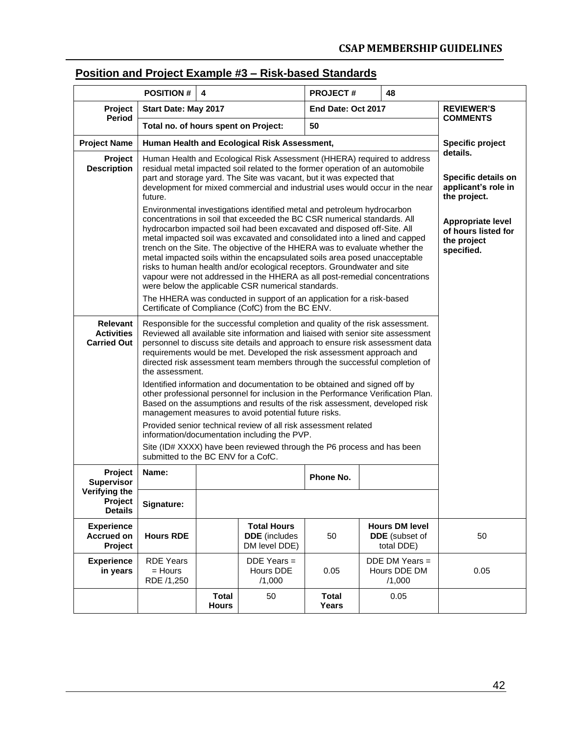### **Position and Project Example #3 – Risk-based Standards**

| <b>POSITION#</b>                                    |                                                                                                                                                                                                                                                                                                                                                                                                                                                                                                                                                                                                                                                                                                                                                                                                                                                                                                                                                                                                                        | 4                            |                                                                                                                            | <b>PROJECT#</b>       | 48                                                           |  |                                                                                                                                                 |
|-----------------------------------------------------|------------------------------------------------------------------------------------------------------------------------------------------------------------------------------------------------------------------------------------------------------------------------------------------------------------------------------------------------------------------------------------------------------------------------------------------------------------------------------------------------------------------------------------------------------------------------------------------------------------------------------------------------------------------------------------------------------------------------------------------------------------------------------------------------------------------------------------------------------------------------------------------------------------------------------------------------------------------------------------------------------------------------|------------------------------|----------------------------------------------------------------------------------------------------------------------------|-----------------------|--------------------------------------------------------------|--|-------------------------------------------------------------------------------------------------------------------------------------------------|
| Project                                             | Start Date: May 2017<br>End Date: Oct 2017                                                                                                                                                                                                                                                                                                                                                                                                                                                                                                                                                                                                                                                                                                                                                                                                                                                                                                                                                                             |                              |                                                                                                                            | <b>REVIEWER'S</b>     |                                                              |  |                                                                                                                                                 |
| Period                                              | Total no. of hours spent on Project:                                                                                                                                                                                                                                                                                                                                                                                                                                                                                                                                                                                                                                                                                                                                                                                                                                                                                                                                                                                   |                              |                                                                                                                            | 50                    |                                                              |  | <b>COMMENTS</b>                                                                                                                                 |
| <b>Project Name</b>                                 | Human Health and Ecological Risk Assessment,                                                                                                                                                                                                                                                                                                                                                                                                                                                                                                                                                                                                                                                                                                                                                                                                                                                                                                                                                                           |                              | <b>Specific project</b>                                                                                                    |                       |                                                              |  |                                                                                                                                                 |
| Project<br><b>Description</b>                       | Human Health and Ecological Risk Assessment (HHERA) required to address<br>residual metal impacted soil related to the former operation of an automobile<br>part and storage yard. The Site was vacant, but it was expected that<br>development for mixed commercial and industrial uses would occur in the near<br>future.<br>Environmental investigations identified metal and petroleum hydrocarbon<br>concentrations in soil that exceeded the BC CSR numerical standards. All<br>hydrocarbon impacted soil had been excavated and disposed off-Site. All<br>metal impacted soil was excavated and consolidated into a lined and capped<br>trench on the Site. The objective of the HHERA was to evaluate whether the<br>metal impacted soils within the encapsulated soils area posed unacceptable<br>risks to human health and/or ecological receptors. Groundwater and site<br>vapour were not addressed in the HHERA as all post-remedial concentrations<br>were below the applicable CSR numerical standards. |                              |                                                                                                                            |                       |                                                              |  | details.<br>Specific details on<br>applicant's role in<br>the project.<br>Appropriate level<br>of hours listed for<br>the project<br>specified. |
|                                                     |                                                                                                                                                                                                                                                                                                                                                                                                                                                                                                                                                                                                                                                                                                                                                                                                                                                                                                                                                                                                                        |                              | The HHERA was conducted in support of an application for a risk-based<br>Certificate of Compliance (CofC) from the BC ENV. |                       |                                                              |  |                                                                                                                                                 |
| Relevant<br><b>Activities</b><br><b>Carried Out</b> | Responsible for the successful completion and quality of the risk assessment.<br>Reviewed all available site information and liaised with senior site assessment<br>personnel to discuss site details and approach to ensure risk assessment data<br>requirements would be met. Developed the risk assessment approach and<br>directed risk assessment team members through the successful completion of<br>the assessment.<br>Identified information and documentation to be obtained and signed off by<br>other professional personnel for inclusion in the Performance Verification Plan.<br>Based on the assumptions and results of the risk assessment, developed risk<br>management measures to avoid potential future risks.<br>Provided senior technical review of all risk assessment related<br>information/documentation including the PVP.<br>Site (ID# XXXX) have been reviewed through the P6 process and has been<br>submitted to the BC ENV for a CofC.                                                |                              |                                                                                                                            |                       |                                                              |  |                                                                                                                                                 |
| Project<br><b>Supervisor</b>                        | Name:                                                                                                                                                                                                                                                                                                                                                                                                                                                                                                                                                                                                                                                                                                                                                                                                                                                                                                                                                                                                                  |                              |                                                                                                                            | Phone No.             |                                                              |  |                                                                                                                                                 |
| Verifying the<br>Project<br><b>Details</b>          | Signature:                                                                                                                                                                                                                                                                                                                                                                                                                                                                                                                                                                                                                                                                                                                                                                                                                                                                                                                                                                                                             |                              |                                                                                                                            |                       |                                                              |  |                                                                                                                                                 |
| <b>Experience</b><br><b>Accrued on</b><br>Project   | <b>Hours RDE</b>                                                                                                                                                                                                                                                                                                                                                                                                                                                                                                                                                                                                                                                                                                                                                                                                                                                                                                                                                                                                       |                              | <b>Total Hours</b><br><b>DDE</b> (includes<br>DM level DDE)                                                                | 50                    | <b>Hours DM level</b><br><b>DDE</b> (subset of<br>total DDE) |  | 50                                                                                                                                              |
| <b>Experience</b><br>in years                       | <b>RDE Years</b><br>= Hours<br>RDE /1,250                                                                                                                                                                                                                                                                                                                                                                                                                                                                                                                                                                                                                                                                                                                                                                                                                                                                                                                                                                              |                              | $DDE$ Years =<br>Hours DDE<br>/1,000                                                                                       | 0.05                  | DDE DM Years =<br>Hours DDE DM<br>/1,000                     |  | 0.05                                                                                                                                            |
|                                                     |                                                                                                                                                                                                                                                                                                                                                                                                                                                                                                                                                                                                                                                                                                                                                                                                                                                                                                                                                                                                                        | <b>Total</b><br><b>Hours</b> | 50                                                                                                                         | <b>Total</b><br>Years | 0.05                                                         |  |                                                                                                                                                 |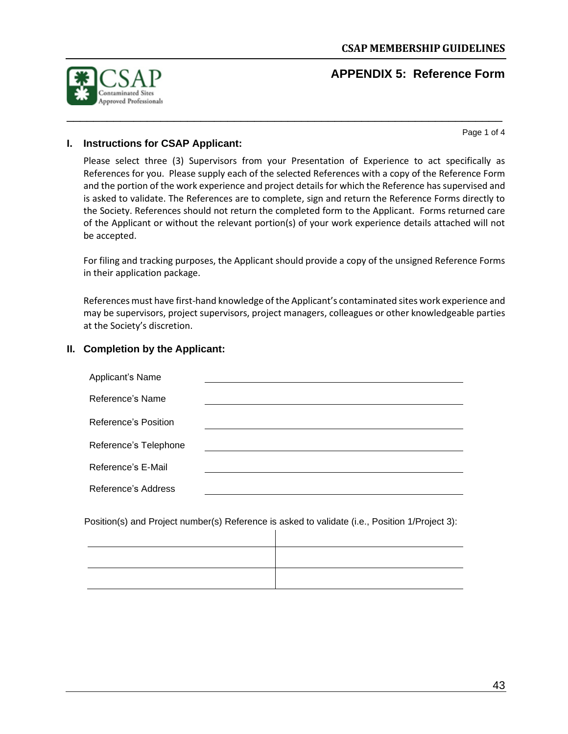### **APPENDIX 5: Reference Form**

<span id="page-44-0"></span>

Page 1 of 4

#### **I. Instructions for CSAP Applicant:**

Please select three (3) Supervisors from your Presentation of Experience to act specifically as References for you. Please supply each of the selected References with a copy of the Reference Form and the portion of the work experience and project details for which the Reference has supervised and is asked to validate. The References are to complete, sign and return the Reference Forms directly to the Society. References should not return the completed form to the Applicant. Forms returned care of the Applicant or without the relevant portion(s) of your work experience details attached will not be accepted.

\_\_\_\_\_\_\_\_\_\_\_\_\_\_\_\_\_\_\_\_\_\_\_\_\_\_\_\_\_\_\_\_\_\_\_\_\_\_\_\_\_\_\_\_\_\_\_\_\_\_\_\_\_\_\_\_\_\_\_\_\_\_\_\_\_

For filing and tracking purposes, the Applicant should provide a copy of the unsigned Reference Forms in their application package.

References must have first-hand knowledge of the Applicant's contaminated sites work experience and may be supervisors, project supervisors, project managers, colleagues or other knowledgeable parties at the Society's discretion.

#### **II. Completion by the Applicant:**

| Applicant's Name      |  |
|-----------------------|--|
| Reference's Name      |  |
| Reference's Position  |  |
| Reference's Telephone |  |
| Reference's E-Mail    |  |
| Reference's Address   |  |

Position(s) and Project number(s) Reference is asked to validate (i.e., Position 1/Project 3): $\mathbf{I}$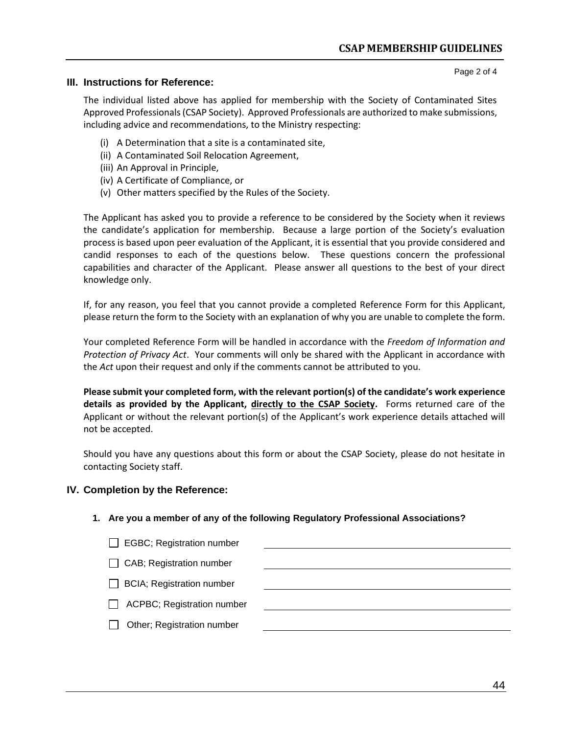Page 2 of 4

#### **III. Instructions for Reference:**

The individual listed above has applied for membership with the Society of Contaminated Sites Approved Professionals (CSAP Society). Approved Professionals are authorized to make submissions, including advice and recommendations, to the Ministry respecting:

- (i) A Determination that a site is a contaminated site,
- (ii) A Contaminated Soil Relocation Agreement,
- (iii) An Approval in Principle,
- (iv) A Certificate of Compliance, or
- (v) Other matters specified by the Rules of the Society.

The Applicant has asked you to provide a reference to be considered by the Society when it reviews the candidate's application for membership. Because a large portion of the Society's evaluation process is based upon peer evaluation of the Applicant, it is essential that you provide considered and candid responses to each of the questions below. These questions concern the professional capabilities and character of the Applicant. Please answer all questions to the best of your direct knowledge only.

If, for any reason, you feel that you cannot provide a completed Reference Form for this Applicant, please return the form to the Society with an explanation of why you are unable to complete the form.

Your completed Reference Form will be handled in accordance with the *Freedom of Information and Protection of Privacy Act*. Your comments will only be shared with the Applicant in accordance with the *Act* upon their request and only if the comments cannot be attributed to you.

**Please submit your completed form, with the relevant portion(s) of the candidate's work experience details as provided by the Applicant, directly to the CSAP Society.** Forms returned care of the Applicant or without the relevant portion(s) of the Applicant's work experience details attached will not be accepted.

Should you have any questions about this form or about the CSAP Society, please do not hesitate in contacting Society staff.

#### **IV. Completion by the Reference:**

#### **1. Are you a member of any of the following Regulatory Professional Associations?**

- EGBC; Registration number
- CAB; Registration number
- **BCIA**; Registration number
- $\Box$  ACPBC; Registration number
- Other; Registration number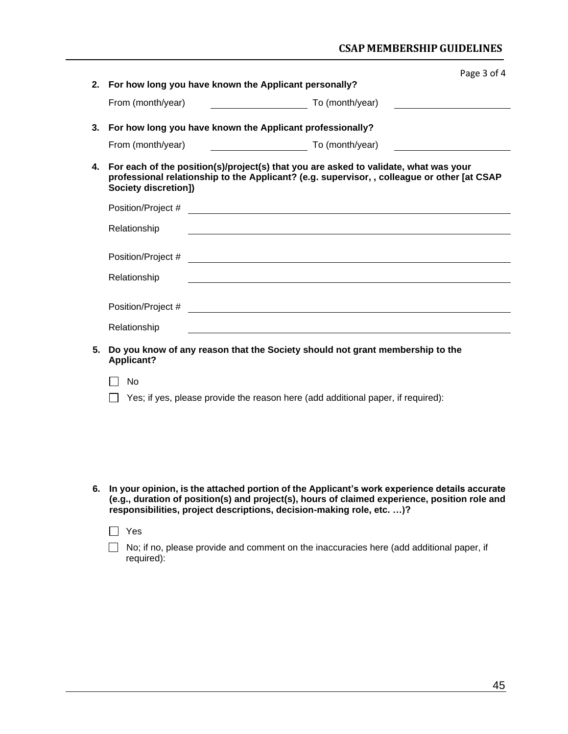### **CSAP MEMBERSHIP GUIDELINES**

|    |                      |                                                                                                                      |                                                                                                                                                                                     | Page 3 of 4                                                 |
|----|----------------------|----------------------------------------------------------------------------------------------------------------------|-------------------------------------------------------------------------------------------------------------------------------------------------------------------------------------|-------------------------------------------------------------|
| 2. |                      |                                                                                                                      | For how long you have known the Applicant personally?                                                                                                                               |                                                             |
|    | From (month/year)    |                                                                                                                      | To (month/year)                                                                                                                                                                     |                                                             |
| 3. |                      |                                                                                                                      | For how long you have known the Applicant professionally?                                                                                                                           |                                                             |
|    | From (month/year)    | <u> 1990 - Johann Barbara, politik eta politik eta politik eta politik eta politik eta politik eta politik eta p</u> | To (month/year)                                                                                                                                                                     | <u> 1989 - Johann Barnett, fransk kongresu og den som f</u> |
| 4. | Society discretion]) |                                                                                                                      | For each of the position(s)/project(s) that you are asked to validate, what was your<br>professional relationship to the Applicant? (e.g. supervisor, , colleague or other [at CSAP |                                                             |
|    | Position/Project #   |                                                                                                                      | <u> Alexandria de la construcción de la construcción de la construcción de la construcción de la construcción de l</u>                                                              |                                                             |
|    | Relationship         |                                                                                                                      |                                                                                                                                                                                     |                                                             |
|    |                      |                                                                                                                      |                                                                                                                                                                                     |                                                             |
|    | Relationship         |                                                                                                                      |                                                                                                                                                                                     |                                                             |
|    | Position/Project #   |                                                                                                                      | <u> 1980 - John Stein, Amerikaansk politiker (</u> † 1920)                                                                                                                          |                                                             |
|    | Relationship         |                                                                                                                      | <u> 1980 - Johann Barbara, martxa alemaniar arg</u>                                                                                                                                 |                                                             |
| 5. | <b>Applicant?</b>    |                                                                                                                      | Do you know of any reason that the Society should not grant membership to the                                                                                                       |                                                             |
|    | No                   |                                                                                                                      |                                                                                                                                                                                     |                                                             |
|    |                      |                                                                                                                      | Yes; if yes, please provide the reason here (add additional paper, if required):                                                                                                    |                                                             |
|    |                      |                                                                                                                      |                                                                                                                                                                                     |                                                             |
|    |                      |                                                                                                                      |                                                                                                                                                                                     |                                                             |
|    |                      |                                                                                                                      |                                                                                                                                                                                     |                                                             |

**6. In your opinion, is the attached portion of the Applicant's work experience details accurate (e.g., duration of position(s) and project(s), hours of claimed experience, position role and responsibilities, project descriptions, decision-making role, etc. …)?**

|  | II Yes                                                                                                        |
|--|---------------------------------------------------------------------------------------------------------------|
|  | $\Box$ No; if no, please provide and comment on the inaccuracies here (add additional paper, if<br>required): |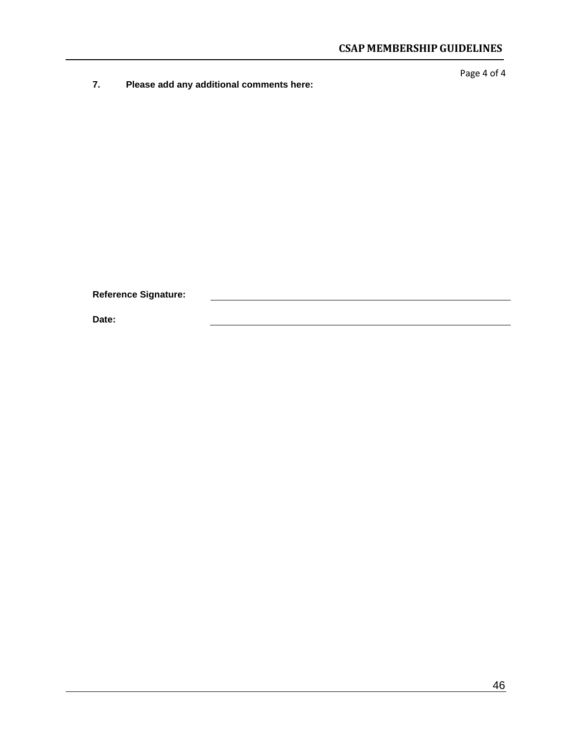**7. Please add any additional comments here:**

Page 4 of 4

**Reference Signature:**

**Date:**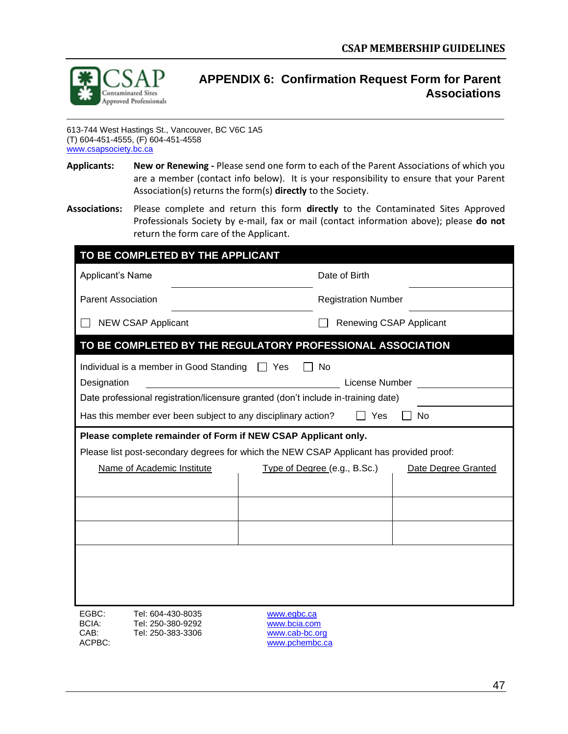

### <span id="page-48-0"></span>**APPENDIX 6: Confirmation Request Form for Parent Associations**

613-744 West Hastings St., Vancouver, BC V6C 1A5 (T) 604-451-4555, (F) 604-451-4558 [www.csapsociety.bc.ca](http://www.csapsociety.bc.ca/)

**Applicants: New or Renewing -** Please send one form to each of the Parent Associations of which you are a member (contact info below). It is your responsibility to ensure that your Parent Association(s) returns the form(s) **directly** to the Society.

\_\_\_\_\_\_\_\_\_\_\_\_\_\_\_\_\_\_\_\_\_\_\_\_\_\_\_\_\_\_\_\_\_\_\_\_\_\_\_\_\_\_\_\_\_\_\_\_\_\_\_\_\_\_\_\_\_\_\_\_\_\_\_\_\_\_\_\_\_\_\_\_\_\_\_\_\_\_\_\_\_\_\_\_\_\_\_\_\_\_\_\_\_\_\_\_\_\_\_\_\_\_\_\_\_\_

**Associations:** Please complete and return this form **directly** to the Contaminated Sites Approved Professionals Society by e-mail, fax or mail (contact information above); please **do not**  return the form care of the Applicant.

| TO BE COMPLETED BY THE APPLICANT                                                                                                   |                                                                                                                                                |
|------------------------------------------------------------------------------------------------------------------------------------|------------------------------------------------------------------------------------------------------------------------------------------------|
| Applicant's Name                                                                                                                   | Date of Birth                                                                                                                                  |
| <b>Parent Association</b>                                                                                                          | <b>Registration Number</b>                                                                                                                     |
| <b>NEW CSAP Applicant</b>                                                                                                          | Renewing CSAP Applicant                                                                                                                        |
|                                                                                                                                    | TO BE COMPLETED BY THE REGULATORY PROFESSIONAL ASSOCIATION                                                                                     |
| Individual is a member in Good Standing $\Box$ Yes<br>Designation<br>Has this member ever been subject to any disciplinary action? | No<br>License Number<br>Date professional registration/licensure granted (don't include in-training date)<br>Yes<br>No                         |
| Please complete remainder of Form if NEW CSAP Applicant only.                                                                      |                                                                                                                                                |
| Name of Academic Institute                                                                                                         | Please list post-secondary degrees for which the NEW CSAP Applicant has provided proof:<br>Type of Degree (e.g., B.Sc.)<br>Date Degree Granted |
| EGBC:<br>Tel: 604-430-8035<br><b>BCIA:</b><br>Tel: 250-380-9292<br>CAB:<br>Tel: 250-383-3306                                       | www.egbc.ca<br>www.bcia.com<br>www.cab-bc.org                                                                                                  |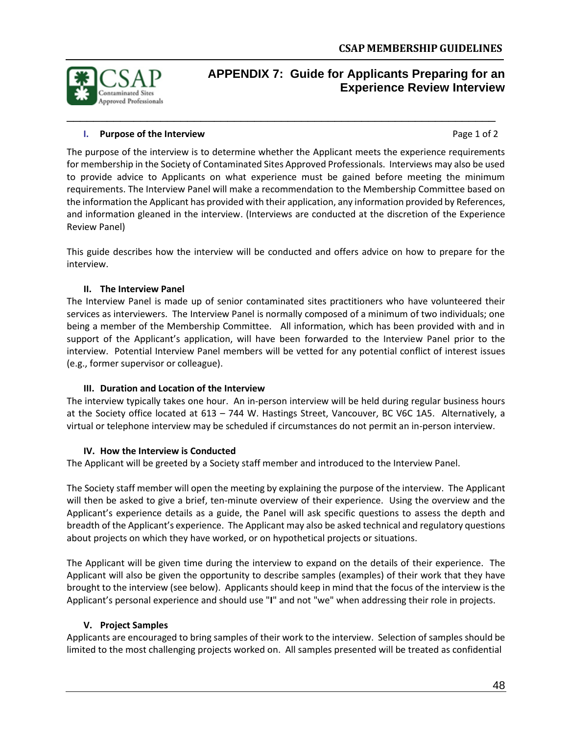

## <span id="page-49-0"></span>**APPENDIX 7: Guide for Applicants Preparing for an Experience Review Interview**

#### **I.** Purpose of the Interview **Page 1 of 2 Page 1 of 2**

The purpose of the interview is to determine whether the Applicant meets the experience requirements for membership in the Society of Contaminated Sites Approved Professionals. Interviews may also be used to provide advice to Applicants on what experience must be gained before meeting the minimum requirements. The Interview Panel will make a recommendation to the Membership Committee based on the information the Applicant has provided with their application, any information provided by References, and information gleaned in the interview. (Interviews are conducted at the discretion of the Experience Review Panel)

\_\_\_\_\_\_\_\_\_\_\_\_\_\_\_\_\_\_\_\_\_\_\_\_\_\_\_\_\_\_\_\_\_\_\_\_\_\_\_\_\_\_\_\_\_\_\_\_\_\_\_\_\_\_\_\_\_\_\_\_\_\_\_\_

This guide describes how the interview will be conducted and offers advice on how to prepare for the interview.

#### **II. The Interview Panel**

The Interview Panel is made up of senior contaminated sites practitioners who have volunteered their services as interviewers. The Interview Panel is normally composed of a minimum of two individuals; one being a member of the Membership Committee. All information, which has been provided with and in support of the Applicant's application, will have been forwarded to the Interview Panel prior to the interview. Potential Interview Panel members will be vetted for any potential conflict of interest issues (e.g., former supervisor or colleague).

#### **III. Duration and Location of the Interview**

The interview typically takes one hour. An in-person interview will be held during regular business hours at the Society office located at 613 – 744 W. Hastings Street, Vancouver, BC V6C 1A5. Alternatively, a virtual or telephone interview may be scheduled if circumstances do not permit an in-person interview.

#### **IV. How the Interview is Conducted**

The Applicant will be greeted by a Society staff member and introduced to the Interview Panel.

The Society staff member will open the meeting by explaining the purpose of the interview. The Applicant will then be asked to give a brief, ten-minute overview of their experience. Using the overview and the Applicant's experience details as a guide, the Panel will ask specific questions to assess the depth and breadth of the Applicant's experience. The Applicant may also be asked technical and regulatory questions about projects on which they have worked, or on hypothetical projects or situations.

The Applicant will be given time during the interview to expand on the details of their experience. The Applicant will also be given the opportunity to describe samples (examples) of their work that they have brought to the interview (see below). Applicants should keep in mind that the focus of the interview is the Applicant's personal experience and should use "**I**" and not "we" when addressing their role in projects.

#### **V. Project Samples**

Applicants are encouraged to bring samples of their work to the interview. Selection of samples should be limited to the most challenging projects worked on. All samples presented will be treated as confidential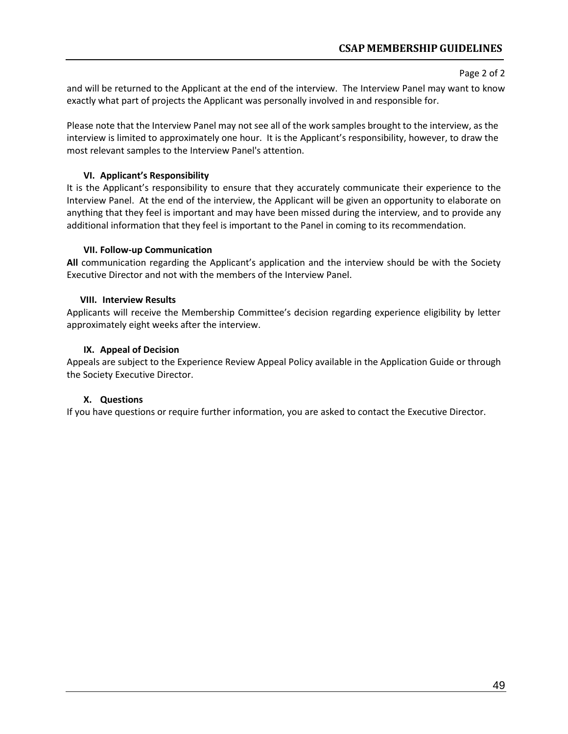#### Page 2 of 2

and will be returned to the Applicant at the end of the interview. The Interview Panel may want to know exactly what part of projects the Applicant was personally involved in and responsible for.

Please note that the Interview Panel may not see all of the work samples brought to the interview, as the interview is limited to approximately one hour. It is the Applicant's responsibility, however, to draw the most relevant samples to the Interview Panel's attention.

#### **VI. Applicant's Responsibility**

It is the Applicant's responsibility to ensure that they accurately communicate their experience to the Interview Panel. At the end of the interview, the Applicant will be given an opportunity to elaborate on anything that they feel is important and may have been missed during the interview, and to provide any additional information that they feel is important to the Panel in coming to its recommendation.

#### **VII. Follow-up Communication**

**All** communication regarding the Applicant's application and the interview should be with the Society Executive Director and not with the members of the Interview Panel.

#### **VIII. Interview Results**

Applicants will receive the Membership Committee's decision regarding experience eligibility by letter approximately eight weeks after the interview.

#### **IX. Appeal of Decision**

Appeals are subject to the Experience Review Appeal Policy available in the Application Guide or through the Society Executive Director.

#### **X. Questions**

If you have questions or require further information, you are asked to contact the Executive Director.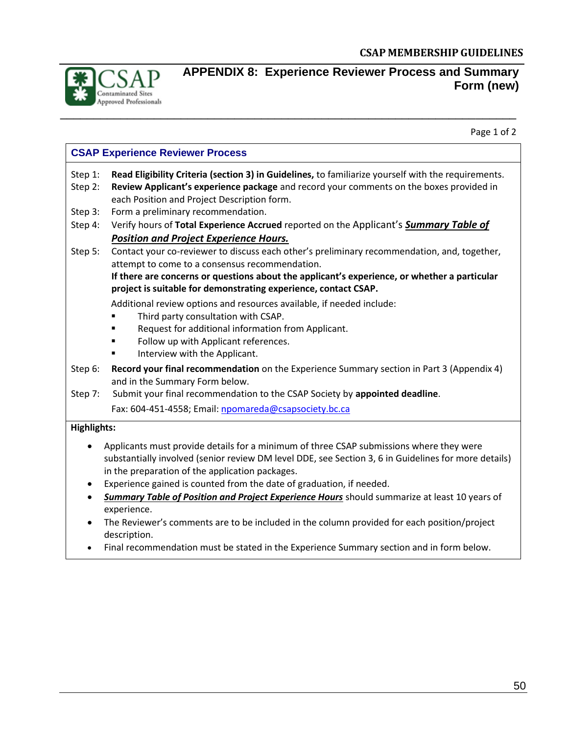

### <span id="page-51-0"></span>**APPENDIX 8: Experience Reviewer Process and Summary Form (new)**

Page 1 of 2

### **CSAP Experience Reviewer Process**

Step 1: **Read Eligibility Criteria (section 3) in Guidelines,** to familiarize yourself with the requirements.

- Step 2: **Review Applicant's experience package** and record your comments on the boxes provided in each Position and Project Description form.
- Step 3: Form a preliminary recommendation.
- Step 4: Verify hours of **Total Experience Accrued** reported on the Applicant's *Summary Table of Position and Project Experience Hours.*
- Step 5: Contact your co-reviewer to discuss each other's preliminary recommendation, and, together, attempt to come to a consensus recommendation.

**If there are concerns or questions about the applicant's experience, or whether a particular project is suitable for demonstrating experience, contact CSAP.**

- Additional review options and resources available, if needed include:
- Third party consultation with CSAP.
- Request for additional information from Applicant.
- Follow up with Applicant references.
- Interview with the Applicant.
- Step 6: **Record your final recommendation** on the Experience Summary section in Part 3 (Appendix 4) and in the Summary Form below.
- Step 7: Submit your final recommendation to the CSAP Society by **appointed deadline**.

Fax: 604-451-4558; Email[: npomareda@csapsociety.bc.ca](mailto:npomareda@csapsociety.bc.ca)

#### **Highlights:**

- Applicants must provide details for a minimum of three CSAP submissions where they were substantially involved (senior review DM level DDE, see Section 3, 6 in Guidelines for more details) in the preparation of the application packages.
- Experience gained is counted from the date of graduation, if needed.
- *Summary Table of Position and Project Experience Hours* should summarize at least 10 years of experience.
- The Reviewer's comments are to be included in the column provided for each position/project description.
- Final recommendation must be stated in the Experience Summary section and in form below.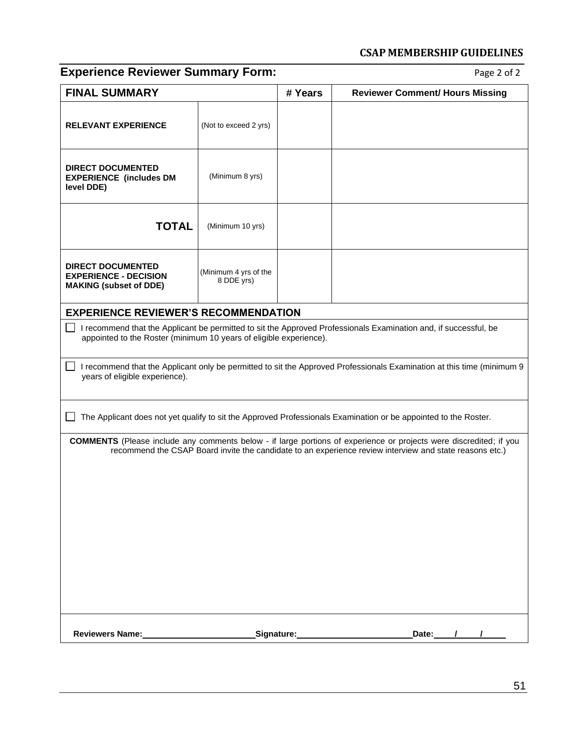# **Experience Reviewer Summary Form:** Page 2 of 2

| <b>FINAL SUMMARY</b>                                                                      |                                                                                                                                                                                        | # Years                             | <b>Reviewer Comment/ Hours Missing</b>                                                                                                                                                                                               |  |  |  |  |
|-------------------------------------------------------------------------------------------|----------------------------------------------------------------------------------------------------------------------------------------------------------------------------------------|-------------------------------------|--------------------------------------------------------------------------------------------------------------------------------------------------------------------------------------------------------------------------------------|--|--|--|--|
| <b>RELEVANT EXPERIENCE</b>                                                                | (Not to exceed 2 yrs)                                                                                                                                                                  |                                     |                                                                                                                                                                                                                                      |  |  |  |  |
| <b>DIRECT DOCUMENTED</b><br><b>EXPERIENCE (includes DM</b><br>level DDE)                  | (Minimum 8 yrs)                                                                                                                                                                        |                                     |                                                                                                                                                                                                                                      |  |  |  |  |
| <b>TOTAL</b>                                                                              | (Minimum 10 yrs)                                                                                                                                                                       |                                     |                                                                                                                                                                                                                                      |  |  |  |  |
| <b>DIRECT DOCUMENTED</b><br><b>EXPERIENCE - DECISION</b><br><b>MAKING (subset of DDE)</b> | (Minimum 4 yrs of the<br>8 DDE yrs)                                                                                                                                                    |                                     |                                                                                                                                                                                                                                      |  |  |  |  |
| <b>EXPERIENCE REVIEWER'S RECOMMENDATION</b>                                               |                                                                                                                                                                                        |                                     |                                                                                                                                                                                                                                      |  |  |  |  |
|                                                                                           | I recommend that the Applicant be permitted to sit the Approved Professionals Examination and, if successful, be<br>appointed to the Roster (minimum 10 years of eligible experience). |                                     |                                                                                                                                                                                                                                      |  |  |  |  |
| years of eligible experience).                                                            | I recommend that the Applicant only be permitted to sit the Approved Professionals Examination at this time (minimum 9                                                                 |                                     |                                                                                                                                                                                                                                      |  |  |  |  |
|                                                                                           |                                                                                                                                                                                        |                                     | The Applicant does not yet qualify to sit the Approved Professionals Examination or be appointed to the Roster.                                                                                                                      |  |  |  |  |
|                                                                                           |                                                                                                                                                                                        |                                     | <b>COMMENTS</b> (Please include any comments below - if large portions of experience or projects were discredited; if you<br>recommend the CSAP Board invite the candidate to an experience review interview and state reasons etc.) |  |  |  |  |
|                                                                                           |                                                                                                                                                                                        |                                     |                                                                                                                                                                                                                                      |  |  |  |  |
|                                                                                           |                                                                                                                                                                                        |                                     |                                                                                                                                                                                                                                      |  |  |  |  |
|                                                                                           |                                                                                                                                                                                        |                                     |                                                                                                                                                                                                                                      |  |  |  |  |
|                                                                                           |                                                                                                                                                                                        |                                     |                                                                                                                                                                                                                                      |  |  |  |  |
|                                                                                           |                                                                                                                                                                                        |                                     |                                                                                                                                                                                                                                      |  |  |  |  |
| Reviewers Name:<br><u>Example 2008</u>                                                    |                                                                                                                                                                                        | Signature: Management of Signature: | Date:                                                                                                                                                                                                                                |  |  |  |  |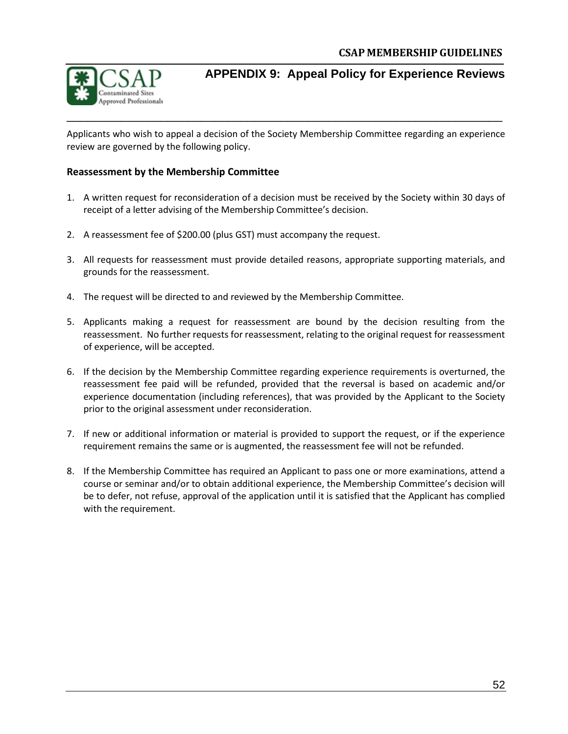

### <span id="page-53-0"></span>**APPENDIX 9: Appeal Policy for Experience Reviews**

Applicants who wish to appeal a decision of the Society Membership Committee regarding an experience review are governed by the following policy.

\_\_\_\_\_\_\_\_\_\_\_\_\_\_\_\_\_\_\_\_\_\_\_\_\_\_\_\_\_\_\_\_\_\_\_\_\_\_\_\_\_\_\_\_\_\_\_\_\_\_\_\_\_\_\_\_\_\_\_\_\_\_\_\_\_

#### **Reassessment by the Membership Committee**

- 1. A written request for reconsideration of a decision must be received by the Society within 30 days of receipt of a letter advising of the Membership Committee's decision.
- 2. A reassessment fee of \$200.00 (plus GST) must accompany the request.
- 3. All requests for reassessment must provide detailed reasons, appropriate supporting materials, and grounds for the reassessment.
- 4. The request will be directed to and reviewed by the Membership Committee.
- 5. Applicants making a request for reassessment are bound by the decision resulting from the reassessment. No further requests for reassessment, relating to the original request for reassessment of experience, will be accepted.
- 6. If the decision by the Membership Committee regarding experience requirements is overturned, the reassessment fee paid will be refunded, provided that the reversal is based on academic and/or experience documentation (including references), that was provided by the Applicant to the Society prior to the original assessment under reconsideration.
- 7. If new or additional information or material is provided to support the request, or if the experience requirement remains the same or is augmented, the reassessment fee will not be refunded.
- 8. If the Membership Committee has required an Applicant to pass one or more examinations, attend a course or seminar and/or to obtain additional experience, the Membership Committee's decision will be to defer, not refuse, approval of the application until it is satisfied that the Applicant has complied with the requirement.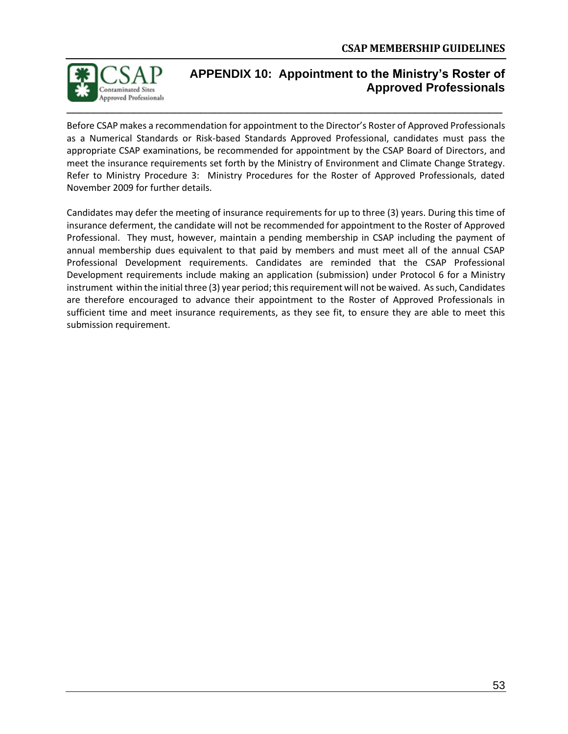

### <span id="page-54-0"></span>**APPENDIX 10: Appointment to the Ministry's Roster of Approved Professionals**

Before CSAP makes a recommendation for appointment to the Director's Roster of Approved Professionals as a Numerical Standards or Risk-based Standards Approved Professional, candidates must pass the appropriate CSAP examinations, be recommended for appointment by the CSAP Board of Directors, and meet the insurance requirements set forth by the Ministry of Environment and Climate Change Strategy. Refer to Ministry Procedure 3: Ministry Procedures for the Roster of Approved Professionals, dated November 2009 for further details.

Candidates may defer the meeting of insurance requirements for up to three (3) years. During this time of insurance deferment, the candidate will not be recommended for appointment to the Roster of Approved Professional. They must, however, maintain a pending membership in CSAP including the payment of annual membership dues equivalent to that paid by members and must meet all of the annual CSAP Professional Development requirements. Candidates are reminded that the CSAP Professional Development requirements include making an application (submission) under Protocol 6 for a Ministry instrument within the initial three (3) year period; this requirement will not be waived. As such, Candidates are therefore encouraged to advance their appointment to the Roster of Approved Professionals in sufficient time and meet insurance requirements, as they see fit, to ensure they are able to meet this submission requirement.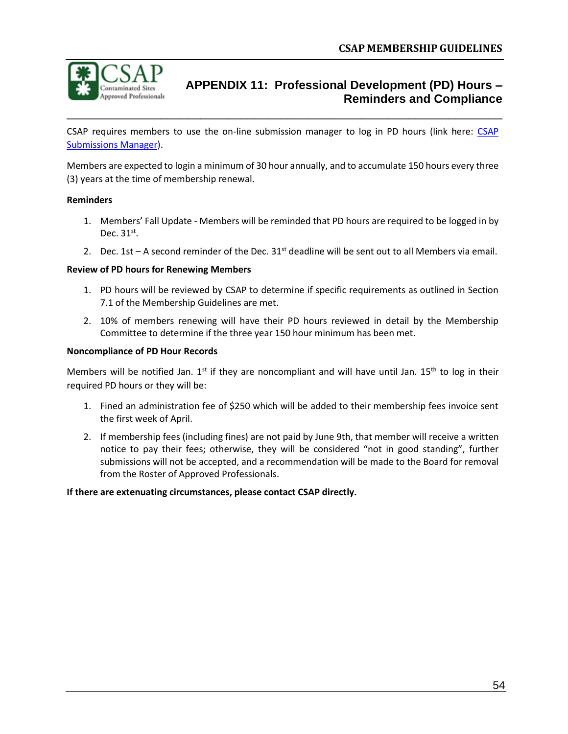

### <span id="page-55-0"></span>**APPENDIX 11: Professional Development (PD) Hours – Reminders and Compliance**

CSAP requires members to use the on-line submission manager to log in PD hours (link here: CSAP [Submissions Manager\)](https://www.csapsubmissions.com/).

\_\_\_\_\_\_\_\_\_\_\_\_\_\_\_\_\_\_\_\_\_\_\_\_\_\_\_\_\_\_\_\_\_\_\_\_\_\_\_\_\_\_\_\_\_\_\_\_\_\_\_\_\_\_\_\_\_\_\_\_\_\_\_\_\_

Members are expected to login a minimum of 30 hour annually, and to accumulate 150 hours every three (3) years at the time of membership renewal.

#### **Reminders**

- 1. Members' Fall Update Members will be reminded that PD hours are required to be logged in by Dec.  $31<sup>st</sup>$ .
- 2. Dec. 1st A second reminder of the Dec.  $31<sup>st</sup>$  deadline will be sent out to all Members via email.

#### **Review of PD hours for Renewing Members**

- 1. PD hours will be reviewed by CSAP to determine if specific requirements as outlined in Section 7.1 of the Membership Guidelines are met.
- 2. 10% of members renewing will have their PD hours reviewed in detail by the Membership Committee to determine if the three year 150 hour minimum has been met.

#### **Noncompliance of PD Hour Records**

Members will be notified Jan.  $1<sup>st</sup>$  if they are noncompliant and will have until Jan.  $15<sup>th</sup>$  to log in their required PD hours or they will be:

- 1. Fined an administration fee of \$250 which will be added to their membership fees invoice sent the first week of April.
- 2. If membership fees (including fines) are not paid by June 9th, that member will receive a written notice to pay their fees; otherwise, they will be considered "not in good standing", further submissions will not be accepted, and a recommendation will be made to the Board for removal from the Roster of Approved Professionals.

#### **If there are extenuating circumstances, please contact CSAP directly.**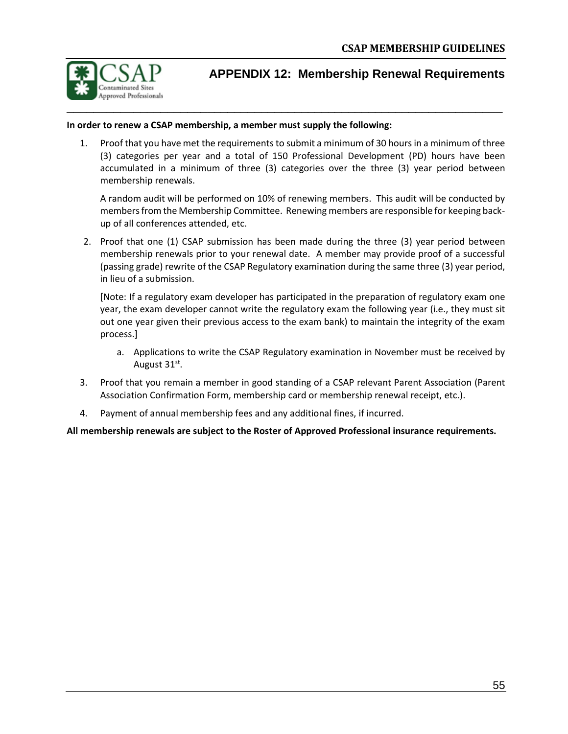

### <span id="page-56-0"></span>**APPENDIX 12: Membership Renewal Requirements**

#### **In order to renew a CSAP membership, a member must supply the following:**

1. Proof that you have met the requirements to submit a minimum of 30 hours in a minimum of three (3) categories per year and a total of 150 Professional Development (PD) hours have been accumulated in a minimum of three (3) categories over the three (3) year period between membership renewals.

A random audit will be performed on 10% of renewing members. This audit will be conducted by members from the Membership Committee. Renewing members are responsible for keeping backup of all conferences attended, etc.

2. Proof that one (1) CSAP submission has been made during the three (3) year period between membership renewals prior to your renewal date. A member may provide proof of a successful (passing grade) rewrite of the CSAP Regulatory examination during the same three (3) year period, in lieu of a submission.

[Note: If a regulatory exam developer has participated in the preparation of regulatory exam one year, the exam developer cannot write the regulatory exam the following year (i.e., they must sit out one year given their previous access to the exam bank) to maintain the integrity of the exam process.]

- a. Applications to write the CSAP Regulatory examination in November must be received by August 31 $^{\rm st}$ .
- 3. Proof that you remain a member in good standing of a CSAP relevant Parent Association (Parent Association Confirmation Form, membership card or membership renewal receipt, etc.).
- 4. Payment of annual membership fees and any additional fines, if incurred.

**All membership renewals are subject to the Roster of Approved Professional insurance requirements.**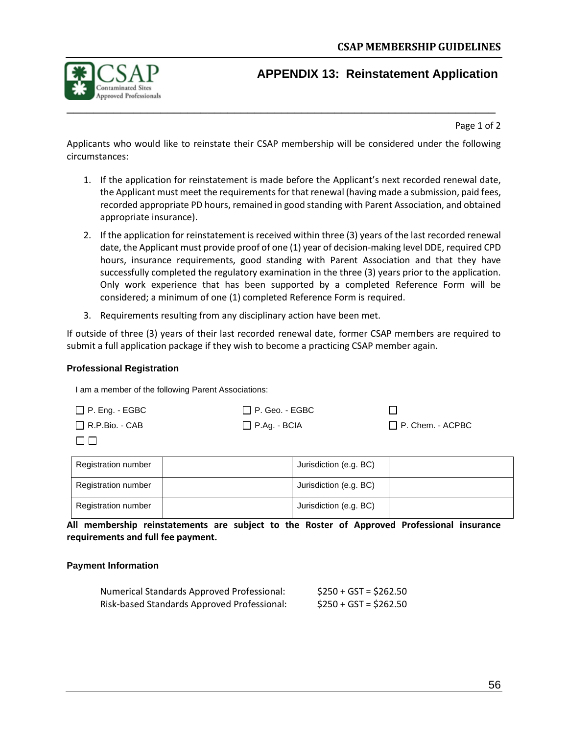

### <span id="page-57-0"></span>**APPENDIX 13: Reinstatement Application**

Page 1 of 2

Applicants who would like to reinstate their CSAP membership will be considered under the following circumstances:

- 1. If the application for reinstatement is made before the Applicant's next recorded renewal date, the Applicant must meet the requirements for that renewal (having made a submission, paid fees, recorded appropriate PD hours, remained in good standing with Parent Association, and obtained appropriate insurance).
- 2. If the application for reinstatement is received within three (3) years of the last recorded renewal date, the Applicant must provide proof of one (1) year of decision-making level DDE, required CPD hours, insurance requirements, good standing with Parent Association and that they have successfully completed the regulatory examination in the three (3) years prior to the application. Only work experience that has been supported by a completed Reference Form will be considered; a minimum of one (1) completed Reference Form is required.
- 3. Requirements resulting from any disciplinary action have been met.

If outside of three (3) years of their last recorded renewal date, former CSAP members are required to submit a full application package if they wish to become a practicing CSAP member again.

#### **Professional Registration**

I am a member of the following Parent Associations:

| $\Box$ P. Eng. - EGBC | $\Box$ P. Geo. - EGBC |                         |
|-----------------------|-----------------------|-------------------------|
| $\Box$ R.P.Bio. - CAB | $\Box$ P.Ag. - BCIA   | $\Box$ P. Chem. - ACPBC |
| $\square$             |                       |                         |

| <b>Registration number</b> | Jurisdiction (e.g. BC) |  |
|----------------------------|------------------------|--|
| <b>Registration number</b> | Jurisdiction (e.g. BC) |  |
| <b>Registration number</b> | Jurisdiction (e.g. BC) |  |

**All membership reinstatements are subject to the Roster of Approved Professional insurance requirements and full fee payment.**

#### **Payment Information**

| <b>Numerical Standards Approved Professional:</b> | $$250 + GST = $262.50$ |
|---------------------------------------------------|------------------------|
| Risk-based Standards Approved Professional:       | $$250 + GST = $262.50$ |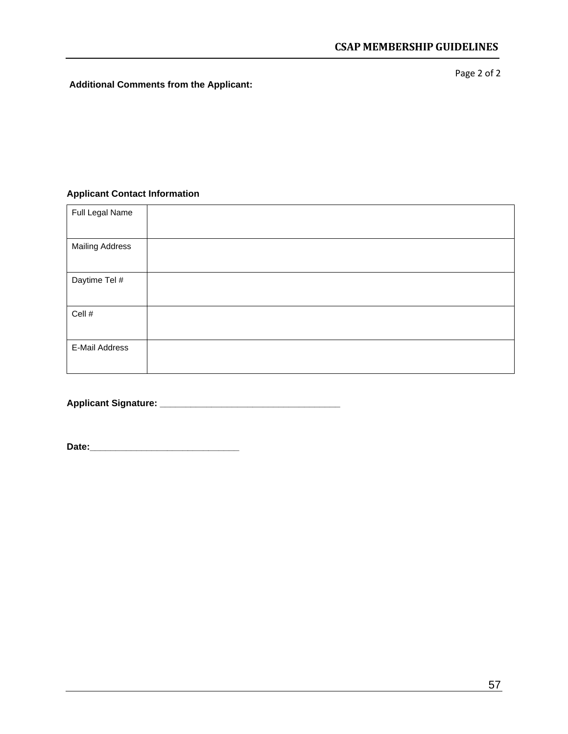**Additional Comments from the Applicant:**

Page 2 of 2

#### **Applicant Contact Information**

| Full Legal Name        |  |
|------------------------|--|
| <b>Mailing Address</b> |  |
| Daytime Tel #          |  |
| Cell #                 |  |
| E-Mail Address         |  |

**Applicant Signature: \_\_\_\_\_\_\_\_\_\_\_\_\_\_\_\_\_\_\_\_\_\_\_\_\_\_\_\_\_\_\_\_\_\_\_**

**Date:\_\_\_\_\_\_\_\_\_\_\_\_\_\_\_\_\_\_\_\_\_\_\_\_\_\_\_\_\_**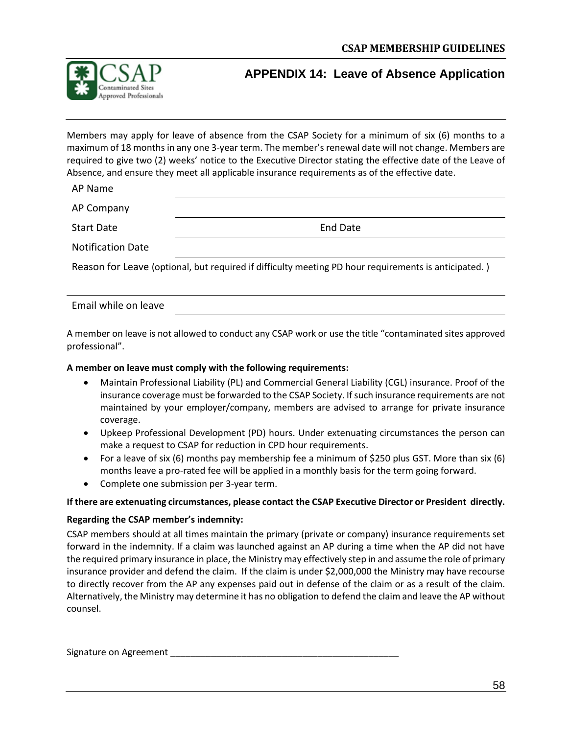

### <span id="page-59-0"></span>**APPENDIX 14: Leave of Absence Application**

Members may apply for leave of absence from the CSAP Society for a minimum of six (6) months to a maximum of 18 months in any one 3-year term. The member's renewal date will not change. Members are required to give two (2) weeks' notice to the Executive Director stating the effective date of the Leave of Absence, and ensure they meet all applicable insurance requirements as of the effective date.

AP Name

AP Company

Start Date **End Date** 

Notification Date

Reason for Leave (optional, but required if difficulty meeting PD hour requirements is anticipated. )

Email while on leave

A member on leave is not allowed to conduct any CSAP work or use the title "contaminated sites approved professional".

#### **A member on leave must comply with the following requirements:**

- Maintain Professional Liability (PL) and Commercial General Liability (CGL) insurance. Proof of the insurance coverage must be forwarded to the CSAP Society. If such insurance requirements are not maintained by your employer/company, members are advised to arrange for private insurance coverage.
- Upkeep Professional Development (PD) hours. Under extenuating circumstances the person can make a request to CSAP for reduction in CPD hour requirements.
- For a leave of six (6) months pay membership fee a minimum of \$250 plus GST. More than six (6) months leave a pro-rated fee will be applied in a monthly basis for the term going forward.
- Complete one submission per 3-year term.

#### **If there are extenuating circumstances, please contact the CSAP Executive Director or President directly.**

#### **Regarding the CSAP member's indemnity:**

CSAP members should at all times maintain the primary (private or company) insurance requirements set forward in the indemnity. If a claim was launched against an AP during a time when the AP did not have the required primary insurance in place, the Ministry may effectively step in and assume the role of primary insurance provider and defend the claim. If the claim is under \$2,000,000 the Ministry may have recourse to directly recover from the AP any expenses paid out in defense of the claim or as a result of the claim. Alternatively, the Ministry may determine it has no obligation to defend the claim and leave the AP without counsel.

Signature on Agreement